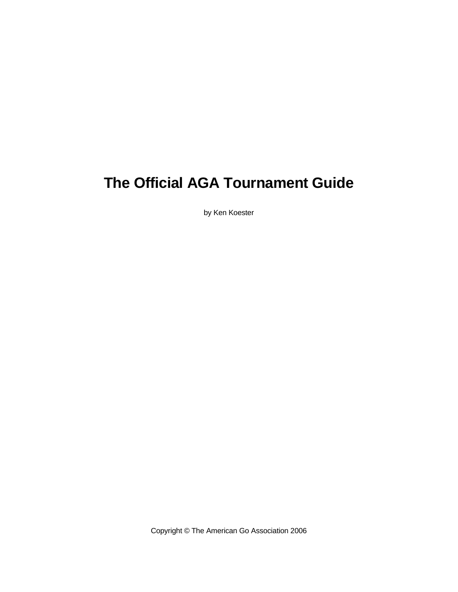# **The Official AGA Tournament Guide**

by Ken Koester

Copyright © The American Go Association 2006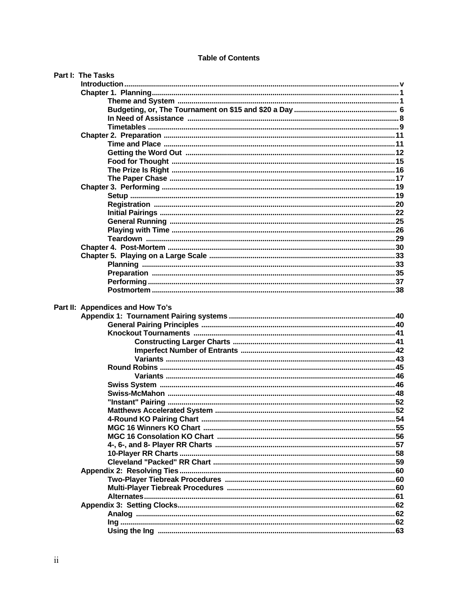#### **Table of Contents**

|  | Part I: The Tasks                |  |
|--|----------------------------------|--|
|  |                                  |  |
|  |                                  |  |
|  |                                  |  |
|  |                                  |  |
|  |                                  |  |
|  |                                  |  |
|  |                                  |  |
|  |                                  |  |
|  |                                  |  |
|  |                                  |  |
|  |                                  |  |
|  |                                  |  |
|  |                                  |  |
|  |                                  |  |
|  |                                  |  |
|  |                                  |  |
|  |                                  |  |
|  |                                  |  |
|  |                                  |  |
|  |                                  |  |
|  |                                  |  |
|  |                                  |  |
|  |                                  |  |
|  |                                  |  |
|  |                                  |  |
|  | Part II: Appendices and How To's |  |
|  |                                  |  |
|  |                                  |  |
|  |                                  |  |
|  |                                  |  |
|  |                                  |  |
|  |                                  |  |
|  |                                  |  |
|  |                                  |  |
|  |                                  |  |
|  |                                  |  |
|  |                                  |  |
|  |                                  |  |
|  |                                  |  |
|  |                                  |  |
|  |                                  |  |
|  |                                  |  |
|  |                                  |  |
|  |                                  |  |
|  |                                  |  |
|  |                                  |  |
|  |                                  |  |
|  |                                  |  |
|  |                                  |  |
|  |                                  |  |
|  |                                  |  |
|  |                                  |  |
|  |                                  |  |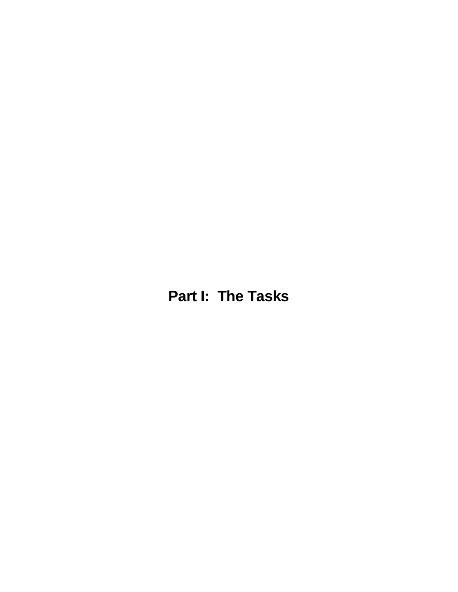**Part I: The Tasks**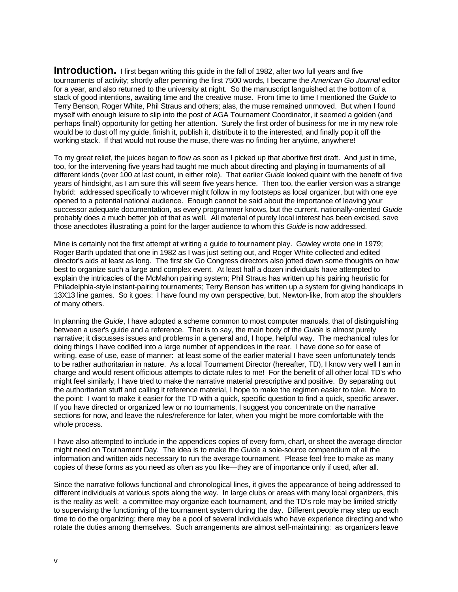**Introduction.** I first began writing this guide in the fall of 1982, after two full years and five tournaments of activity; shortly after penning the first 7500 words, I became the *American Go Journal* editor for a year, and also returned to the university at night. So the manuscript languished at the bottom of a stack of good intentions, awaiting time and the creative muse. From time to time I mentioned the *Guide* to Terry Benson, Roger White, Phil Straus and others; alas, the muse remained unmoved. But when I found myself with enough leisure to slip into the post of AGA Tournament Coordinator, it seemed a golden (and perhaps final!) opportunity for getting her attention. Surely the first order of business for me in my new role would be to dust off my guide, finish it, publish it, distribute it to the interested, and finally pop it off the working stack. If that would not rouse the muse, there was no finding her anytime, anywhere!

To my great relief, the juices began to flow as soon as I picked up that abortive first draft. And just in time, too, for the intervening five years had taught me much about directing and playing in tournaments of all different kinds (over 100 at last count, in either role). That earlier *Guide* looked quaint with the benefit of five years of hindsight, as I am sure this will seem five years hence. Then too, the earlier version was a strange hybrid: addressed specifically to whoever might follow in my footsteps as local organizer, but with one eye opened to a potential national audience. Enough cannot be said about the importance of leaving your successor adequate documentation, as every programmer knows, but the current, nationally-oriented *Guide* probably does a much better job of that as well. All material of purely local interest has been excised, save those anecdotes illustrating a point for the larger audience to whom this *Guide* is now addressed.

Mine is certainly not the first attempt at writing a guide to tournament play. Gawley wrote one in 1979; Roger Barth updated that one in 1982 as I was just setting out, and Roger White collected and edited director's aids at least as long. The first six Go Congress directors also jotted down some thoughts on how best to organize such a large and complex event. At least half a dozen individuals have attempted to explain the intricacies of the McMahon pairing system; Phil Straus has written up his pairing heuristic for Philadelphia-style instant-pairing tournaments; Terry Benson has written up a system for giving handicaps in 13X13 line games. So it goes: I have found my own perspective, but, Newton-like, from atop the shoulders of many others.

In planning the *Guide*, I have adopted a scheme common to most computer manuals, that of distinguishing between a user's guide and a reference. That is to say, the main body of the *Guide* is almost purely narrative; it discusses issues and problems in a general and, I hope, helpful way. The mechanical rules for doing things I have codified into a large number of appendices in the rear. I have done so for ease of writing, ease of use, ease of manner: at least some of the earlier material I have seen unfortunately tends to be rather authoritarian in nature. As a local Tournament Director (hereafter, TD), I know very well I am in charge and would resent officious attempts to dictate rules to me! For the benefit of all other local TD's who might feel similarly, I have tried to make the narrative material prescriptive and positive. By separating out the authoritarian stuff and calling it reference material, I hope to make the regimen easier to take. More to the point: I want to make it easier for the TD with a quick, specific question to find a quick, specific answer. If you have directed or organized few or no tournaments, I suggest you concentrate on the narrative sections for now, and leave the rules/reference for later, when you might be more comfortable with the whole process.

I have also attempted to include in the appendices copies of every form, chart, or sheet the average director might need on Tournament Day. The idea is to make the *Guide* a sole-source compendium of all the information and written aids necessary to run the average tournament. Please feel free to make as many copies of these forms as you need as often as you like—they are of importance only if used, after all.

Since the narrative follows functional and chronological lines, it gives the appearance of being addressed to different individuals at various spots along the way. In large clubs or areas with many local organizers, this is the reality as well: a committee may organize each tournament, and the TD's role may be limited strictly to supervising the functioning of the tournament system during the day. Different people may step up each time to do the organizing; there may be a pool of several individuals who have experience directing and who rotate the duties among themselves. Such arrangements are almost self-maintaining: as organizers leave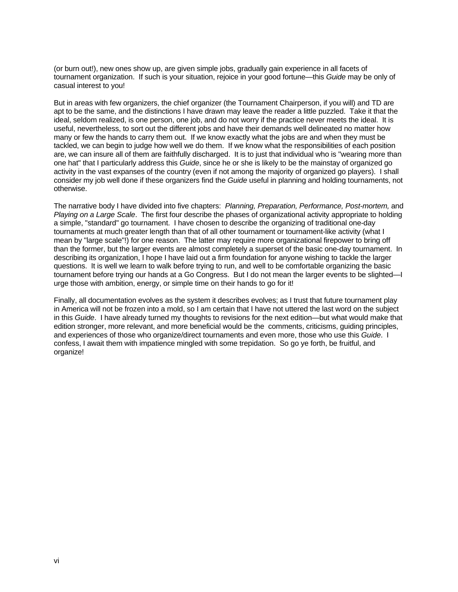(or burn out!), new ones show up, are given simple jobs, gradually gain experience in all facets of tournament organization. If such is your situation, rejoice in your good fortune—this *Guide* may be only of casual interest to you!

But in areas with few organizers, the chief organizer (the Tournament Chairperson, if you will) and TD are apt to be the same, and the distinctions I have drawn may leave the reader a little puzzled. Take it that the ideal, seldom realized, is one person, one job, and do not worry if the practice never meets the ideal. It is useful, nevertheless, to sort out the different jobs and have their demands well delineated no matter how many or few the hands to carry them out. If we know exactly what the jobs are and when they must be tackled, we can begin to judge how well we do them. If we know what the responsibilities of each position are, we can insure all of them are faithfully discharged. It is to just that individual who is "wearing more than one hat" that I particularly address this *Guide*, since he or she is likely to be the mainstay of organized go activity in the vast expanses of the country (even if not among the majority of organized go players). I shall consider my job well done if these organizers find the *Guide* useful in planning and holding tournaments, not otherwise.

The narrative body I have divided into five chapters: *Planning, Preparation, Performance, Post-mortem,* and *Playing on a Large Scale*. The first four describe the phases of organizational activity appropriate to holding a simple, "standard" go tournament. I have chosen to describe the organizing of traditional one-day tournaments at much greater length than that of all other tournament or tournament-like activity (what I mean by "large scale"!) for one reason. The latter may require more organizational firepower to bring off than the former, but the larger events are almost completely a superset of the basic one-day tournament. In describing its organization, I hope I have laid out a firm foundation for anyone wishing to tackle the larger questions. It is well we learn to walk before trying to run, and well to be comfortable organizing the basic tournament before trying our hands at a Go Congress. But I do not mean the larger events to be slighted—I urge those with ambition, energy, or simple time on their hands to go for it!

Finally, all documentation evolves as the system it describes evolves; as I trust that future tournament play in America will not be frozen into a mold, so I am certain that I have not uttered the last word on the subject in this *Guide*. I have already turned my thoughts to revisions for the next edition—but what would make that edition stronger, more relevant, and more beneficial would be the comments, criticisms, guiding principles, and experiences of those who organize/direct tournaments and even more, those who use this *Guide*. I confess, I await them with impatience mingled with some trepidation. So go ye forth, be fruitful, and organize!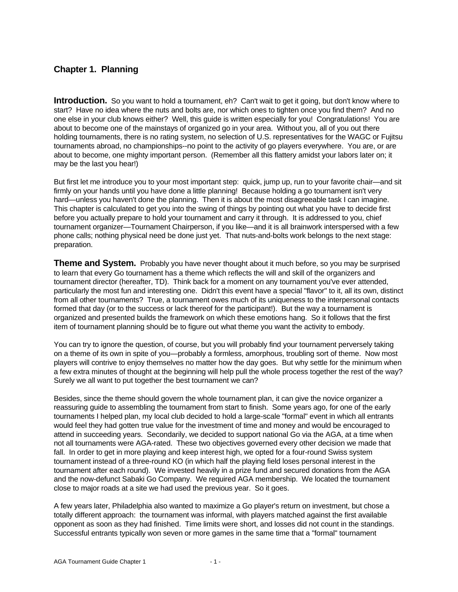## **Chapter 1. Planning**

**Introduction.** So you want to hold a tournament, eh? Can't wait to get it going, but don't know where to start? Have no idea where the nuts and bolts are, nor which ones to tighten once you find them? And no one else in your club knows either? Well, this guide is written especially for you! Congratulations! You are about to become one of the mainstays of organized go in your area. Without you, all of you out there holding tournaments, there is no rating system, no selection of U.S. representatives for the WAGC or Fujitsu tournaments abroad, no championships--no point to the activity of go players everywhere. You are, or are about to become, one mighty important person. (Remember all this flattery amidst your labors later on; it may be the last you hear!)

But first let me introduce you to your most important step: quick, jump up, run to your favorite chair—and sit firmly on your hands until you have done a little planning! Because holding a go tournament isn't very hard—unless you haven't done the planning. Then it is about the most disagreeable task I can imagine. This chapter is calculated to get you into the swing of things by pointing out what you have to decide first before you actually prepare to hold your tournament and carry it through. It is addressed to you, chief tournament organizer—Tournament Chairperson, if you like—and it is all brainwork interspersed with a few phone calls; nothing physical need be done just yet. That nuts-and-bolts work belongs to the next stage: preparation.

**Theme and System.** Probably you have never thought about it much before, so you may be surprised to learn that every Go tournament has a theme which reflects the will and skill of the organizers and tournament director (hereafter, TD). Think back for a moment on any tournament you've ever attended, particularly the most fun and interesting one. Didn't this event have a special "flavor" to it, all its own, distinct from all other tournaments? True, a tournament owes much of its uniqueness to the interpersonal contacts formed that day (or to the success or lack thereof for the participant!). But the way a tournament is organized and presented builds the framework on which these emotions hang. So it follows that the first item of tournament planning should be to figure out what theme you want the activity to embody.

You can try to ignore the question, of course, but you will probably find your tournament perversely taking on a theme of its own in spite of you—probably a formless, amorphous, troubling sort of theme. Now most players will contrive to enjoy themselves no matter how the day goes. But why settle for the minimum when a few extra minutes of thought at the beginning will help pull the whole process together the rest of the way? Surely we all want to put together the best tournament we can?

Besides, since the theme should govern the whole tournament plan, it can give the novice organizer a reassuring guide to assembling the tournament from start to finish. Some years ago, for one of the early tournaments I helped plan, my local club decided to hold a large-scale "formal" event in which all entrants would feel they had gotten true value for the investment of time and money and would be encouraged to attend in succeeding years. Secondarily, we decided to support national Go via the AGA, at a time when not all tournaments were AGA-rated. These two objectives governed every other decision we made that fall. In order to get in more playing and keep interest high, we opted for a four-round Swiss system tournament instead of a three-round KO (in which half the playing field loses personal interest in the tournament after each round). We invested heavily in a prize fund and secured donations from the AGA and the now-defunct Sabaki Go Company. We required AGA membership. We located the tournament close to major roads at a site we had used the previous year. So it goes.

A few years later, Philadelphia also wanted to maximize a Go player's return on investment, but chose a totally different approach: the tournament was informal, with players matched against the first available opponent as soon as they had finished. Time limits were short, and losses did not count in the standings. Successful entrants typically won seven or more games in the same time that a "formal" tournament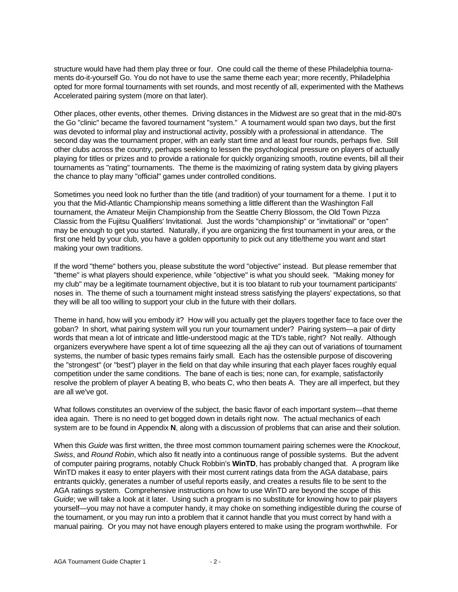structure would have had them play three or four. One could call the theme of these Philadelphia tournaments do-it-yourself Go. You do not have to use the same theme each year; more recently, Philadelphia opted for more formal tournaments with set rounds, and most recently of all, experimented with the Mathews Accelerated pairing system (more on that later).

Other places, other events, other themes. Driving distances in the Midwest are so great that in the mid-80's the Go "clinic" became the favored tournament "system." A tournament would span two days, but the first was devoted to informal play and instructional activity, possibly with a professional in attendance. The second day was the tournament proper, with an early start time and at least four rounds, perhaps five. Still other clubs across the country, perhaps seeking to lessen the psychological pressure on players of actually playing for titles or prizes and to provide a rationale for quickly organizing smooth, routine events, bill all their tournaments as "rating" tournaments. The theme is the maximizing of rating system data by giving players the chance to play many "official" games under controlled conditions.

Sometimes you need look no further than the title (and tradition) of your tournament for a theme. I put it to you that the Mid-Atlantic Championship means something a little different than the Washington Fall tournament, the Amateur Meijin Championship from the Seattle Cherry Blossom, the Old Town Pizza Classic from the Fujitsu Qualifiers' Invitational. Just the words "championship" or "invitational" or "open" may be enough to get you started. Naturally, if you are organizing the first tournament in your area, or the first one held by your club, you have a golden opportunity to pick out any title/theme you want and start making your own traditions.

If the word "theme" bothers you, please substitute the word "objective" instead. But please remember that "theme" is what players should experience, while "objective" is what you should seek. "Making money for my club" may be a legitimate tournament objective, but it is too blatant to rub your tournament participants' noses in. The theme of such a tournament might instead stress satisfying the players' expectations, so that they will be all too willing to support your club in the future with their dollars.

Theme in hand, how will you embody it? How will you actually get the players together face to face over the goban? In short, what pairing system will you run your tournament under? Pairing system—a pair of dirty words that mean a lot of intricate and little-understood magic at the TD's table, right? Not really. Although organizers everywhere have spent a lot of time squeezing all the aji they can out of variations of tournament systems, the number of basic types remains fairly small. Each has the ostensible purpose of discovering the "strongest" (or "best") player in the field on that day while insuring that each player faces roughly equal competition under the same conditions. The bane of each is ties; none can, for example, satisfactorily resolve the problem of player A beating B, who beats C, who then beats A. They are all imperfect, but they are all we've got.

What follows constitutes an overview of the subject, the basic flavor of each important system—that theme idea again. There is no need to get bogged down in details right now. The actual mechanics of each system are to be found in Appendix **N**, along with a discussion of problems that can arise and their solution.

When this *Guide* was first written, the three most common tournament pairing schemes were the *Knockout*, *Swiss*, and *Round Robin*, which also fit neatly into a continuous range of possible systems. But the advent of computer pairing programs, notably Chuck Robbin's **WinTD**, has probably changed that. A program like WinTD makes it easy to enter players with their most current ratings data from the AGA database, pairs entrants quickly, generates a number of useful reports easily, and creates a results file to be sent to the AGA ratings system. Comprehensive instructions on how to use WinTD are beyond the scope of this *Guide*; we will take a look at it later. Using such a program is no substitute for knowing how to pair players yourself—you may not have a computer handy, it may choke on something indigestible during the course of the tournament, or you may run into a problem that it cannot handle that you must correct by hand with a manual pairing. Or you may not have enough players entered to make using the program worthwhile. For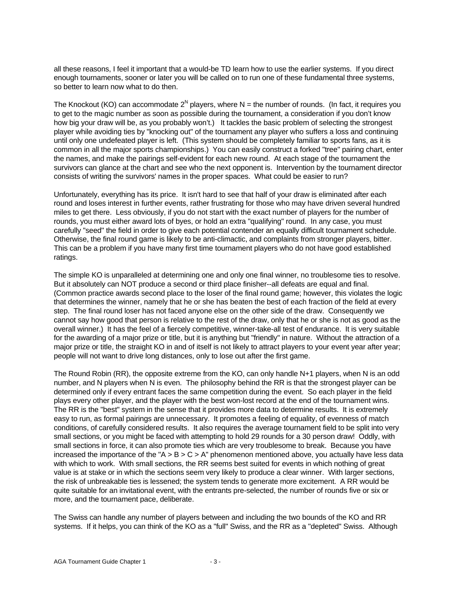all these reasons, I feel it important that a would-be TD learn how to use the earlier systems. If you direct enough tournaments, sooner or later you will be called on to run one of these fundamental three systems, so better to learn now what to do then.

The Knockout (KO) can accommodate 2<sup>N</sup> players, where N = the number of rounds. (In fact, it requires you to get to the magic number as soon as possible during the tournament, a consideration if you don't know how big your draw will be, as you probably won't.) It tackles the basic problem of selecting the strongest player while avoiding ties by "knocking out" of the tournament any player who suffers a loss and continuing until only one undefeated player is left. (This system should be completely familiar to sports fans, as it is common in all the major sports championships.) You can easily construct a forked "tree" pairing chart, enter the names, and make the pairings self-evident for each new round. At each stage of the tournament the survivors can glance at the chart and see who the next opponent is. Intervention by the tournament director consists of writing the survivors' names in the proper spaces. What could be easier to run?

Unfortunately, everything has its price. It isn't hard to see that half of your draw is eliminated after each round and loses interest in further events, rather frustrating for those who may have driven several hundred miles to get there. Less obviously, if you do not start with the exact number of players for the number of rounds, you must either award lots of byes, or hold an extra "qualifying" round. In any case, you must carefully "seed" the field in order to give each potential contender an equally difficult tournament schedule. Otherwise, the final round game is likely to be anti-climactic, and complaints from stronger players, bitter. This can be a problem if you have many first time tournament players who do not have good established ratings.

The simple KO is unparalleled at determining one and only one final winner, no troublesome ties to resolve. But it absolutely can NOT produce a second or third place finisher--all defeats are equal and final. (Common practice awards second place to the loser of the final round game; however, this violates the logic that determines the winner, namely that he or she has beaten the best of each fraction of the field at every step. The final round loser has not faced anyone else on the other side of the draw. Consequently we cannot say how good that person is relative to the rest of the draw, only that he or she is not as good as the overall winner.) It has the feel of a fiercely competitive, winner-take-all test of endurance. It is very suitable for the awarding of a major prize or title, but it is anything but "friendly" in nature. Without the attraction of a major prize or title, the straight KO in and of itself is not likely to attract players to your event year after year; people will not want to drive long distances, only to lose out after the first game.

The Round Robin (RR), the opposite extreme from the KO, can only handle N+1 players, when N is an odd number, and N players when N is even. The philosophy behind the RR is that the strongest player can be determined only if every entrant faces the same competition during the event. So each player in the field plays every other player, and the player with the best won-lost record at the end of the tournament wins. The RR is the "best" system in the sense that it provides more data to determine results. It is extremely easy to run, as formal pairings are unnecessary. It promotes a feeling of equality, of evenness of match conditions, of carefully considered results. It also requires the average tournament field to be split into very small sections, or you might be faced with attempting to hold 29 rounds for a 30 person draw! Oddly, with small sections in force, it can also promote ties which are very troublesome to break. Because you have increased the importance of the "A  $>$  B  $>$  C  $>$  A" phenomenon mentioned above, you actually have less data with which to work. With small sections, the RR seems best suited for events in which nothing of great value is at stake or in which the sections seem very likely to produce a clear winner. With larger sections, the risk of unbreakable ties is lessened; the system tends to generate more excitement. A RR would be quite suitable for an invitational event, with the entrants pre-selected, the number of rounds five or six or more, and the tournament pace, deliberate.

The Swiss can handle any number of players between and including the two bounds of the KO and RR systems. If it helps, you can think of the KO as a "full" Swiss, and the RR as a "depleted" Swiss. Although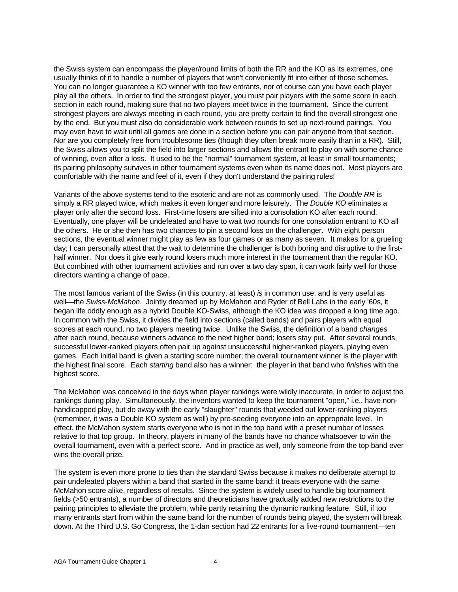the Swiss system can encompass the player/round limits of both the RR and the KO as its extremes, one usually thinks of it to handle a number of players that won't conveniently fit into either of those schemes. You can no longer guarantee a KO winner with too few entrants, nor of course can you have each player play all the others. In order to find the strongest player, you must pair players with the same score in each section in each round, making sure that no two players meet twice in the tournament. Since the current strongest players are always meeting in each round, you are pretty certain to find the overall strongest one by the end. But you must also do considerable work between rounds to set up next-round pairings. You may even have to wait until all games are done in a section before you can pair anyone from that section. Nor are you completely free from troublesome ties (though they often break more easily than in a RR). Still, the Swiss allows you to split the field into larger sections and allows the entrant to play on with some chance of winning, even after a loss. It used to be the "normal" tournament system, at least in small tournaments; its pairing philosophy survives in other tournament systems even when its name does not. Most players are comfortable with the name and feel of it, even if they don't understand the pairing rules!

Variants of the above systems tend to the esoteric and are not as commonly used. The *Double RR* is simply a RR played twice, which makes it even longer and more leisurely. The *Double KO* eliminates a player only after the second loss. First-time losers are sifted into a consolation KO after each round. Eventually, one player will be undefeated and have to wait two rounds for one consolation entrant to KO all the others. He or she then has two chances to pin a second loss on the challenger. With eight person sections, the eventual winner might play as few as four games or as many as seven. It makes for a grueling day; I can personally attest that the wait to determine the challenger is both boring and disruptive to the firsthalf winner. Nor does it give early round losers much more interest in the tournament than the regular KO. But combined with other tournament activities and run over a two day span, it can work fairly well for those directors wanting a change of pace.

The most famous variant of the Swiss (in this country, at least) *is* in common use, and is very useful as well—the *Swiss-McMahon*. Jointly dreamed up by McMahon and Ryder of Bell Labs in the early '60s, it began life oddly enough as a hybrid Double KO-Swiss, although the KO idea was dropped a long time ago. In common with the Swiss, it divides the field into sections (called bands) and pairs players with equal scores at each round, no two players meeting twice. Unlike the Swiss, the definition of a band *changes* after each round, because winners advance to the next higher band; losers stay put. After several rounds, successful lower-ranked players often pair up against unsuccessful higher-ranked players, playing even games. Each initial band is given a starting score number; the overall tournament winner is the player with the highest final score. Each *starting* band also has a winner: the player in that band who *finishes* with the highest score.

The McMahon was conceived in the days when player rankings were wildly inaccurate, in order to adjust the rankings during play. Simultaneously, the inventors wanted to keep the tournament "open," i.e., have nonhandicapped play, but do away with the early "slaughter" rounds that weeded out lower-ranking players (remember, it was a Double KO system as well) by pre-seeding everyone into an appropriate level. In effect, the McMahon system starts everyone who is not in the top band with a preset number of losses relative to that top group. In theory, players in many of the bands have no chance whatsoever to win the overall tournament, even with a perfect score. And in practice as well, only someone from the top band ever wins the overall prize.

The system is even more prone to ties than the standard Swiss because it makes no deliberate attempt to pair undefeated players within a band that started in the same band; it treats everyone with the same McMahon score alike, regardless of results. Since the system is widely used to handle big tournament fields (>50 entrants), a number of directors and theoreticians have gradually added new restrictions to the pairing principles to alleviate the problem, while partly retaining the dynamic ranking feature. Still, if too many entrants start from within the same band for the number of rounds being played, the system will break down. At the Third U.S. Go Congress, the 1-dan section had 22 entrants for a five-round tournament—ten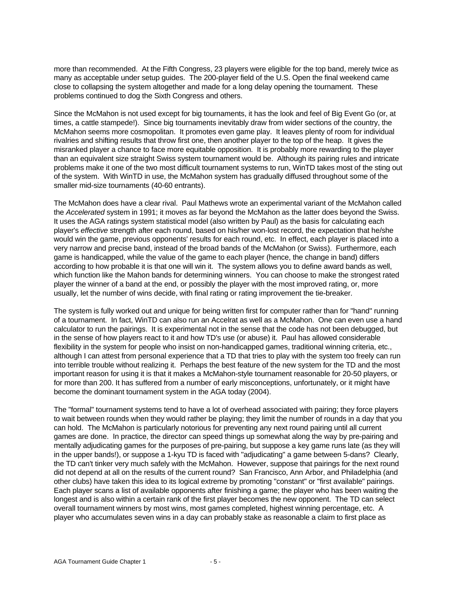more than recommended. At the Fifth Congress, 23 players were eligible for the top band, merely twice as many as acceptable under setup guides. The 200-player field of the U.S. Open the final weekend came close to collapsing the system altogether and made for a long delay opening the tournament. These problems continued to dog the Sixth Congress and others.

Since the McMahon is not used except for big tournaments, it has the look and feel of Big Event Go (or, at times, a cattle stampede!). Since big tournaments inevitably draw from wider sections of the country, the McMahon seems more cosmopolitan. It promotes even game play. It leaves plenty of room for individual rivalries and shifting results that throw first one, then another player to the top of the heap. It gives the misranked player a chance to face more equitable opposition. It is probably more rewarding to the player than an equivalent size straight Swiss system tournament would be. Although its pairing rules and intricate problems make it one of the two most difficult tournament systems to run, WinTD takes most of the sting out of the system. With WinTD in use, the McMahon system has gradually diffused throughout some of the smaller mid-size tournaments (40-60 entrants).

The McMahon does have a clear rival. Paul Mathews wrote an experimental variant of the McMahon called the *Accelerated* system in 1991; it moves as far beyond the McMahon as the latter does beyond the Swiss. It uses the AGA ratings system statistical model (also written by Paul) as the basis for calculating each player's *effective* strength after each round, based on his/her won-lost record, the expectation that he/she would win the game, previous opponents' results for each round, etc. In effect, each player is placed into a very narrow and precise band, instead of the broad bands of the McMahon (or Swiss). Furthermore, each game is handicapped, while the value of the game to each player (hence, the change in band) differs according to how probable it is that one will win it. The system allows you to define award bands as well, which function like the Mahon bands for determining winners. You can choose to make the strongest rated player the winner of a band at the end, or possibly the player with the most improved rating, or, more usually, let the number of wins decide, with final rating or rating improvement the tie-breaker.

The system is fully worked out and unique for being written first for computer rather than for "hand" running of a tournament. In fact, WinTD can also run an Accelrat as well as a McMahon. One can even use a hand calculator to run the pairings. It is experimental not in the sense that the code has not been debugged, but in the sense of how players react to it and how TD's use (or abuse) it. Paul has allowed considerable flexibility in the system for people who insist on non-handicapped games, traditional winning criteria, etc., although I can attest from personal experience that a TD that tries to play with the system too freely can run into terrible trouble without realizing it. Perhaps the best feature of the new system for the TD and the most important reason for using it is that it makes a McMahon-style tournament reasonable for 20-50 players, or for more than 200. It has suffered from a number of early misconceptions, unfortunately, or it might have become the dominant tournament system in the AGA today (2004).

The "formal" tournament systems tend to have a lot of overhead associated with pairing; they force players to wait between rounds when they would rather be playing; they limit the number of rounds in a day that you can hold. The McMahon is particularly notorious for preventing any next round pairing until all current games are done. In practice, the director can speed things up somewhat along the way by pre-pairing and mentally adjudicating games for the purposes of pre-pairing, but suppose a key game runs late (as they will in the upper bands!), or suppose a 1-kyu TD is faced with "adjudicating" a game between 5-dans? Clearly, the TD can't tinker very much safely with the McMahon. However, suppose that pairings for the next round did not depend at all on the results of the current round? San Francisco, Ann Arbor, and Philadelphia (and other clubs) have taken this idea to its logical extreme by promoting "constant" or "first available" pairings. Each player scans a list of available opponents after finishing a game; the player who has been waiting the longest and is also within a certain rank of the first player becomes the new opponent. The TD can select overall tournament winners by most wins, most games completed, highest winning percentage, etc. A player who accumulates seven wins in a day can probably stake as reasonable a claim to first place as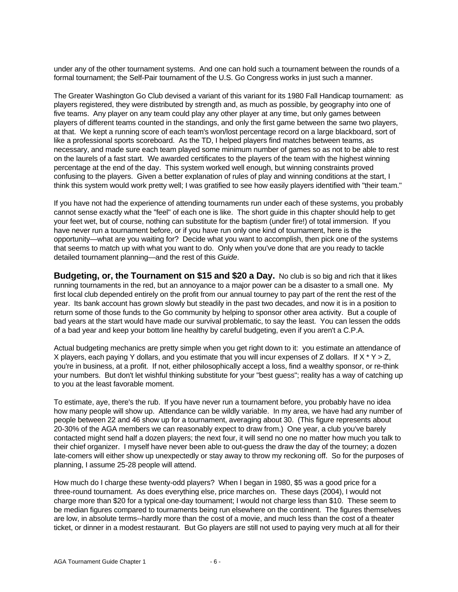under any of the other tournament systems. And one can hold such a tournament between the rounds of a formal tournament; the Self-Pair tournament of the U.S. Go Congress works in just such a manner.

The Greater Washington Go Club devised a variant of this variant for its 1980 Fall Handicap tournament: as players registered, they were distributed by strength and, as much as possible, by geography into one of five teams. Any player on any team could play any other player at any time, but only games between players of different teams counted in the standings, and only the first game between the same two players, at that. We kept a running score of each team's won/lost percentage record on a large blackboard, sort of like a professional sports scoreboard. As the TD, I helped players find matches between teams, as necessary, and made sure each team played some minimum number of games so as not to be able to rest on the laurels of a fast start. We awarded certificates to the players of the team with the highest winning percentage at the end of the day. This system worked well enough, but winning constraints proved confusing to the players. Given a better explanation of rules of play and winning conditions at the start, I think this system would work pretty well; I was gratified to see how easily players identified with "their team."

If you have not had the experience of attending tournaments run under each of these systems, you probably cannot sense exactly what the "feel" of each one is like. The short guide in this chapter should help to get your feet wet, but of course, nothing can substitute for the baptism (under fire!) of total immersion. If you have never run a tournament before, or if you have run only one kind of tournament, here is the opportunity—what are you waiting for? Decide what you want to accomplish, then pick one of the systems that seems to match up with what you want to do. Only when you've done that are you ready to tackle detailed tournament planning—and the rest of this *Guide*.

**Budgeting, or, the Tournament on \$15 and \$20 a Day.** No club is so big and rich that it likes running tournaments in the red, but an annoyance to a major power can be a disaster to a small one. My first local club depended entirely on the profit from our annual tourney to pay part of the rent the rest of the year. Its bank account has grown slowly but steadily in the past two decades, and now it is in a position to return some of those funds to the Go community by helping to sponsor other area activity. But a couple of bad years at the start would have made our survival problematic, to say the least. You can lessen the odds of a bad year and keep your bottom line healthy by careful budgeting, even if you aren't a C.P.A.

Actual budgeting mechanics are pretty simple when you get right down to it: you estimate an attendance of X players, each paying Y dollars, and you estimate that you will incur expenses of Z dollars. If  $X * Y > Z$ , you're in business, at a profit. If not, either philosophically accept a loss, find a wealthy sponsor, or re-think your numbers. But don't let wishful thinking substitute for your "best guess"; reality has a way of catching up to you at the least favorable moment.

To estimate, aye, there's the rub. If you have never run a tournament before, you probably have no idea how many people will show up. Attendance can be wildly variable. In my area, we have had any number of people between 22 and 46 show up for a tournament, averaging about 30. (This figure represents about 20-30% of the AGA members we can reasonably expect to draw from.) One year, a club you've barely contacted might send half a dozen players; the next four, it will send no one no matter how much you talk to their chief organizer. I myself have never been able to out-guess the draw the day of the tourney; a dozen late-comers will either show up unexpectedly or stay away to throw my reckoning off. So for the purposes of planning, I assume 25-28 people will attend.

How much do I charge these twenty-odd players? When I began in 1980, \$5 was a good price for a three-round tournament. As does everything else, price marches on. These days (2004), I would not charge more than \$20 for a typical one-day tournament; I would not charge less than \$10. These seem to be median figures compared to tournaments being run elsewhere on the continent. The figures themselves are low, in absolute terms--hardly more than the cost of a movie, and much less than the cost of a theater ticket, or dinner in a modest restaurant. But Go players are still not used to paying very much at all for their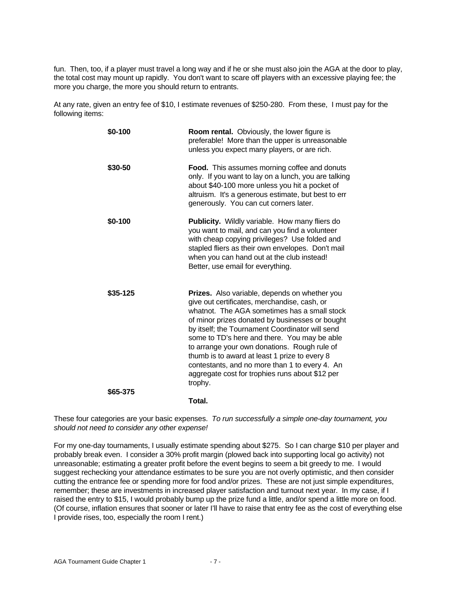fun. Then, too, if a player must travel a long way and if he or she must also join the AGA at the door to play, the total cost may mount up rapidly. You don't want to scare off players with an excessive playing fee; the more you charge, the more you should return to entrants.

At any rate, given an entry fee of \$10, I estimate revenues of \$250-280. From these, I must pay for the following items:

| \$0-100  | <b>Room rental.</b> Obviously, the lower figure is<br>preferable! More than the upper is unreasonable<br>unless you expect many players, or are rich.                                                                                                                                                                                                                                                                                                                                                                       |
|----------|-----------------------------------------------------------------------------------------------------------------------------------------------------------------------------------------------------------------------------------------------------------------------------------------------------------------------------------------------------------------------------------------------------------------------------------------------------------------------------------------------------------------------------|
| \$30-50  | <b>Food.</b> This assumes morning coffee and donuts<br>only. If you want to lay on a lunch, you are talking<br>about \$40-100 more unless you hit a pocket of<br>altruism. It's a generous estimate, but best to err<br>generously. You can cut corners later.                                                                                                                                                                                                                                                              |
| \$0-100  | Publicity. Wildly variable. How many fliers do<br>you want to mail, and can you find a volunteer<br>with cheap copying privileges? Use folded and<br>stapled fliers as their own envelopes. Don't mail<br>when you can hand out at the club instead!<br>Better, use email for everything.                                                                                                                                                                                                                                   |
| \$35-125 | <b>Prizes.</b> Also variable, depends on whether you<br>give out certificates, merchandise, cash, or<br>whatnot. The AGA sometimes has a small stock<br>of minor prizes donated by businesses or bought<br>by itself; the Tournament Coordinator will send<br>some to TD's here and there. You may be able<br>to arrange your own donations. Rough rule of<br>thumb is to award at least 1 prize to every 8<br>contestants, and no more than 1 to every 4. An<br>aggregate cost for trophies runs about \$12 per<br>trophy. |
| \$65-375 | Total.                                                                                                                                                                                                                                                                                                                                                                                                                                                                                                                      |
|          |                                                                                                                                                                                                                                                                                                                                                                                                                                                                                                                             |

These four categories are your basic expenses. *To run successfully a simple one-day tournament, you should not need to consider any other expense!*

For my one-day tournaments, I usually estimate spending about \$275. So I can charge \$10 per player and probably break even. I consider a 30% profit margin (plowed back into supporting local go activity) not unreasonable; estimating a greater profit before the event begins to seem a bit greedy to me. I would suggest rechecking your attendance estimates to be sure you are not overly optimistic, and then consider cutting the entrance fee or spending more for food and/or prizes. These are not just simple expenditures, remember; these are investments in increased player satisfaction and turnout next year. In my case, if I raised the entry to \$15, I would probably bump up the prize fund a little, and/or spend a little more on food. (Of course, inflation ensures that sooner or later I'll have to raise that entry fee as the cost of everything else I provide rises, too, especially the room I rent.)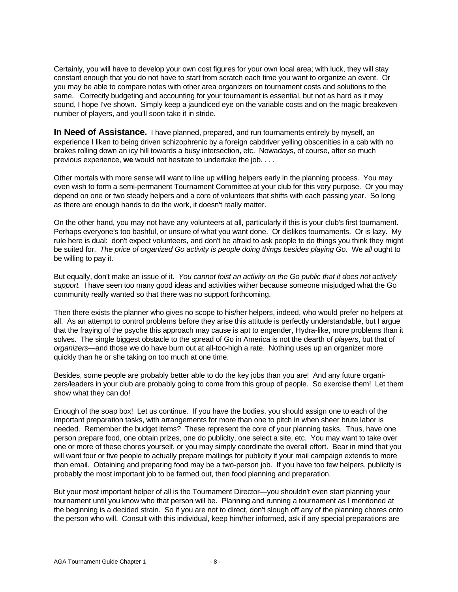Certainly, you will have to develop your own cost figures for your own local area; with luck, they will stay constant enough that you do not have to start from scratch each time you want to organize an event. Or you may be able to compare notes with other area organizers on tournament costs and solutions to the same. Correctly budgeting and accounting for your tournament is essential, but not as hard as it may sound, I hope I've shown. Simply keep a jaundiced eye on the variable costs and on the magic breakeven number of players, and you'll soon take it in stride.

**In Need of Assistance.** I have planned, prepared, and run tournaments entirely by myself, an experience I liken to being driven schizophrenic by a foreign cabdriver yelling obscenities in a cab with no brakes rolling down an icy hill towards a busy intersection, etc. Nowadays, of course, after so much previous experience, **we** would not hesitate to undertake the job. . . .

Other mortals with more sense will want to line up willing helpers early in the planning process. You may even wish to form a semi-permanent Tournament Committee at your club for this very purpose. Or you may depend on one or two steady helpers and a core of volunteers that shifts with each passing year. So long as there are enough hands to do the work, it doesn't really matter.

On the other hand, you may not have any volunteers at all, particularly if this is your club's first tournament. Perhaps everyone's too bashful, or unsure of what you want done. Or dislikes tournaments. Or is lazy. My rule here is dual: don't expect volunteers, and don't be afraid to ask people to do things you think they might be suited for. *The price of organized Go activity is people doing things besides playing Go.* We *all* ought to be willing to pay it.

But equally, don't make an issue of it. *You cannot foist an activity on the Go public that it does not actively support.* I have seen too many good ideas and activities wither because someone misjudged what the Go community really wanted so that there was no support forthcoming.

Then there exists the planner who gives no scope to his/her helpers, indeed, who would prefer no helpers at all. As an attempt to control problems before they arise this attitude is perfectly understandable, but I argue that the fraying of the psyche this approach may cause is apt to engender, Hydra-like, more problems than it solves. The single biggest obstacle to the spread of Go in America is not the dearth of *players*, but that of *organizers*—and those we do have burn out at all-too-high a rate. Nothing uses up an organizer more quickly than he or she taking on too much at one time.

Besides, some people are probably better able to do the key jobs than you are! And any future organizers/leaders in your club are probably going to come from this group of people. So exercise them! Let them show what they can do!

Enough of the soap box! Let us continue. If you have the bodies, you should assign one to each of the important preparation tasks, with arrangements for more than one to pitch in when sheer brute labor is needed. Remember the budget items? These represent the core of your planning tasks. Thus, have one person prepare food, one obtain prizes, one do publicity, one select a site, etc. You may want to take over one or more of these chores yourself, or you may simply coordinate the overall effort. Bear in mind that you will want four or five people to actually prepare mailings for publicity if your mail campaign extends to more than email. Obtaining and preparing food may be a two-person job. If you have too few helpers, publicity is probably the most important job to be farmed out, then food planning and preparation.

But your most important helper of all is the Tournament Director—you shouldn't even start planning your tournament until you know who that person will be. Planning and running a tournament as I mentioned at the beginning is a decided strain. So if you are not to direct, don't slough off any of the planning chores onto the person who will. Consult with this individual, keep him/her informed, ask if any special preparations are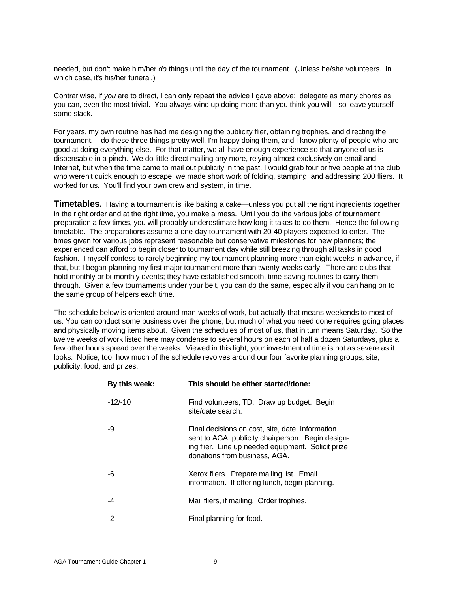needed, but don't make him/her *do* things until the day of the tournament. (Unless he/she volunteers. In which case, it's his/her funeral.)

Contrariwise, if *you* are to direct, I can only repeat the advice I gave above: delegate as many chores as you can, even the most trivial. You always wind up doing more than you think you will—so leave yourself some slack.

For years, my own routine has had me designing the publicity flier, obtaining trophies, and directing the tournament. I do these three things pretty well, I'm happy doing them, and I know plenty of people who are good at doing everything else. For that matter, we all have enough experience so that anyone of us is dispensable in a pinch. We do little direct mailing any more, relying almost exclusively on email and Internet, but when the time came to mail out publicity in the past, I would grab four or five people at the club who weren't quick enough to escape; we made short work of folding, stamping, and addressing 200 fliers. It worked for us. You'll find your own crew and system, in time.

**Timetables.** Having a tournament is like baking a cake—unless you put all the right ingredients together in the right order and at the right time, you make a mess. Until you do the various jobs of tournament preparation a few times, you will probably underestimate how long it takes to do them. Hence the following timetable. The preparations assume a one-day tournament with 20-40 players expected to enter. The times given for various jobs represent reasonable but conservative milestones for new planners; the experienced can afford to begin closer to tournament day while still breezing through all tasks in good fashion. I myself confess to rarely beginning my tournament planning more than eight weeks in advance, if that, but I began planning my first major tournament more than twenty weeks early! There are clubs that hold monthly or bi-monthly events; they have established smooth, time-saving routines to carry them through. Given a few tournaments under your belt, you can do the same, especially if you can hang on to the same group of helpers each time.

The schedule below is oriented around man-weeks of work, but actually that means weekends to most of us. You can conduct some business over the phone, but much of what you need done requires going places and physically moving items about. Given the schedules of most of us, that in turn means Saturday. So the twelve weeks of work listed here may condense to several hours on each of half a dozen Saturdays, plus a few other hours spread over the weeks. Viewed in this light, your investment of time is not as severe as it looks. Notice, too, how much of the schedule revolves around our four favorite planning groups, site, publicity, food, and prizes.

| By this week: | This should be either started/done:                                                                                                                                                          |
|---------------|----------------------------------------------------------------------------------------------------------------------------------------------------------------------------------------------|
| $-12/-10$     | Find volunteers, TD. Draw up budget. Begin<br>site/date search.                                                                                                                              |
| -9            | Final decisions on cost, site, date. Information<br>sent to AGA, publicity chairperson. Begin design-<br>ing flier. Line up needed equipment. Solicit prize<br>donations from business, AGA. |
| -6            | Xerox fliers. Prepare mailing list. Email<br>information. If offering lunch, begin planning.                                                                                                 |
| -4            | Mail fliers, if mailing. Order trophies.                                                                                                                                                     |
| $-2$          | Final planning for food.                                                                                                                                                                     |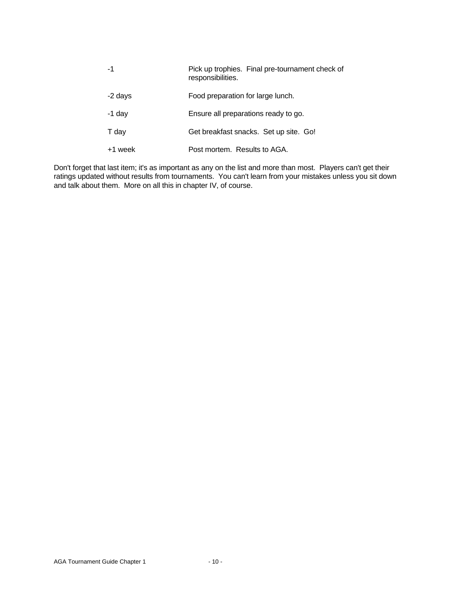| -1      | Pick up trophies. Final pre-tournament check of<br>responsibilities. |
|---------|----------------------------------------------------------------------|
| -2 days | Food preparation for large lunch.                                    |
| -1 day  | Ensure all preparations ready to go.                                 |
| T day   | Get breakfast snacks. Set up site. Go!                               |
| +1 week | Post mortem. Results to AGA.                                         |
|         |                                                                      |

Don't forget that last item; it's as important as any on the list and more than most. Players can't get their ratings updated without results from tournaments. You can't learn from your mistakes unless you sit down and talk about them. More on all this in chapter IV, of course.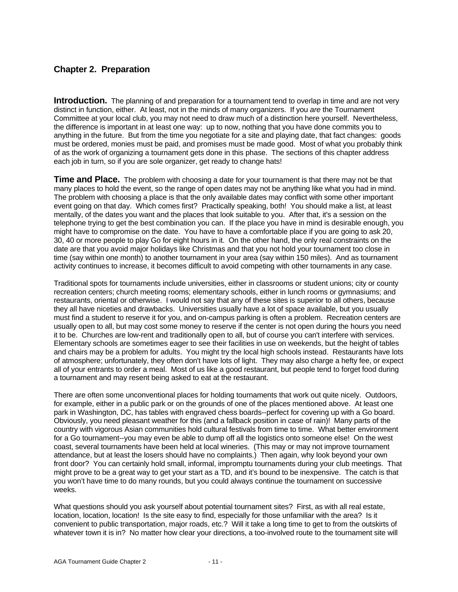## **Chapter 2. Preparation**

**Introduction.** The planning of and preparation for a tournament tend to overlap in time and are not very distinct in function, either. At least, not in the minds of many organizers. If you *are* the Tournament Committee at your local club, you may not need to draw much of a distinction here yourself. Nevertheless, the difference is important in at least one way: up to now, nothing that you have done commits you to anything in the future. But from the time you negotiate for a site and playing date, that fact changes: goods must be ordered, monies must be paid, and promises must be made good. Most of what you probably think of as the work of organizing a tournament gets done in this phase. The sections of this chapter address each job in turn, so if you are sole organizer, get ready to change hats!

**Time and Place.** The problem with choosing a date for your tournament is that there may not be that many places to hold the event, so the range of open dates may not be anything like what you had in mind. The problem with choosing a place is that the only available dates may conflict with some other important event going on that day. Which comes first? Practically speaking, both! You should make a list, at least mentally, of the dates you want and the places that look suitable to you. After that, it's a session on the telephone trying to get the best combination you can. If the place you have in mind is desirable enough, you might have to compromise on the date. You have to have a comfortable place if you are going to ask 20, 30, 40 or more people to play Go for eight hours in it. On the other hand, the only real constraints on the date are that you avoid major holidays like Christmas and that you not hold your tournament too close in time (say within one month) to another tournament in your area (say within 150 miles). And as tournament activity continues to increase, it becomes difficult to avoid competing with other tournaments in any case.

Traditional spots for tournaments include universities, either in classrooms or student unions; city or county recreation centers; church meeting rooms; elementary schools, either in lunch rooms or gymnasiums; and restaurants, oriental or otherwise. I would not say that any of these sites is superior to all others, because they all have niceties and drawbacks. Universities usually have a lot of space available, but you usually must find a student to reserve it for you, and on-campus parking is often a problem. Recreation centers are usually open to all, but may cost some money to reserve if the center is not open during the hours you need it to be. Churches are low-rent and traditionally open to all, but of course you can't interfere with services. Elementary schools are sometimes eager to see their facilities in use on weekends, but the height of tables and chairs may be a problem for adults. You might try the local high schools instead. Restaurants have lots of atmosphere; unfortunately, they often don't have lots of light. They may also charge a hefty fee, or expect all of your entrants to order a meal. Most of us like a good restaurant, but people tend to forget food during a tournament and may resent being asked to eat at the restaurant.

There are often some unconventional places for holding tournaments that work out quite nicely. Outdoors, for example, either in a public park or on the grounds of one of the places mentioned above. At least one park in Washington, DC, has tables with engraved chess boards--perfect for covering up with a Go board. Obviously, you need pleasant weather for this (and a fallback position in case of rain)! Many parts of the country with vigorous Asian communities hold cultural festivals from time to time. What better environment for a Go tournament--you may even be able to dump off all the logistics onto someone else! On the west coast, several tournaments have been held at local wineries. (This may or may not improve tournament attendance, but at least the losers should have no complaints.) Then again, why look beyond your own front door? You can certainly hold small, informal, impromptu tournaments during your club meetings. That might prove to be a great way to get your start as a TD, and it's bound to be inexpensive. The catch is that you won't have time to do many rounds, but you could always continue the tournament on successive weeks.

What questions should you ask yourself about potential tournament sites? First, as with all real estate, location, location, location! Is the site easy to find, especially for those unfamiliar with the area? Is it convenient to public transportation, major roads, etc.? Will it take a long time to get to from the outskirts of whatever town it is in? No matter how clear your directions, a too-involved route to the tournament site will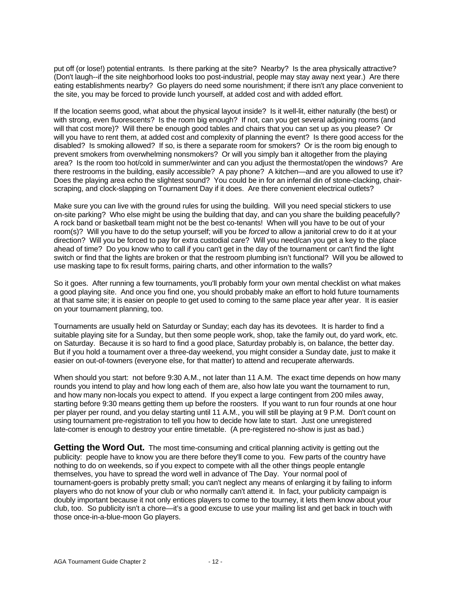put off (or lose!) potential entrants. Is there parking at the site? Nearby? Is the area physically attractive? (Don't laugh--if the site neighborhood looks too post-industrial, people may stay away next year.) Are there eating establishments nearby? Go players do need some nourishment; if there isn't any place convenient to the site, you may be forced to provide lunch yourself, at added cost and with added effort.

If the location seems good, what about the physical layout inside? Is it well-lit, either naturally (the best) or with strong, even fluorescents? Is the room big enough? If not, can you get several adjoining rooms (and will that cost more)? Will there be enough good tables and chairs that you can set up as you please? Or will you have to rent them, at added cost and complexity of planning the event? Is there good access for the disabled? Is smoking allowed? If so, is there a separate room for smokers? Or is the room big enough to prevent smokers from overwhelming nonsmokers? Or will you simply ban it altogether from the playing area? Is the room too hot/cold in summer/winter and can you adjust the thermostat/open the windows? Are there restrooms in the building, easily accessible? A pay phone? A kitchen—and are you allowed to use it? Does the playing area echo the slightest sound? You could be in for an infernal din of stone-clacking, chairscraping, and clock-slapping on Tournament Day if it does. Are there convenient electrical outlets?

Make sure you can live with the ground rules for using the building. Will you need special stickers to use on-site parking? Who else might be using the building that day, and can you share the building peacefully? A rock band or basketball team might not be the best co-tenants! When will you have to be out of your room(s)? Will you have to do the setup yourself; will you be *forced* to allow a janitorial crew to do it at your direction? Will you be forced to pay for extra custodial care? Will you need/can you get a key to the place ahead of time? Do you know who to call if you can't get in the day of the tournament or can't find the light switch or find that the lights are broken or that the restroom plumbing isn't functional? Will you be allowed to use masking tape to fix result forms, pairing charts, and other information to the walls?

So it goes. After running a few tournaments, you'll probably form your own mental checklist on what makes a good playing site. And once you find one, you should probably make an effort to hold future tournaments at that same site; it is easier on people to get used to coming to the same place year after year. It is easier on your tournament planning, too.

Tournaments are usually held on Saturday or Sunday; each day has its devotees. It is harder to find a suitable playing site for a Sunday, but then some people work, shop, take the family out, do yard work, etc. on Saturday. Because it is so hard to find a good place, Saturday probably is, on balance, the better day. But if you hold a tournament over a three-day weekend, you might consider a Sunday date, just to make it easier on out-of-towners (everyone else, for that matter) to attend and recuperate afterwards.

When should you start: not before 9:30 A.M., not later than 11 A.M. The exact time depends on how many rounds you intend to play and how long each of them are, also how late you want the tournament to run, and how many non-locals you expect to attend. If you expect a large contingent from 200 miles away, starting before 9:30 means getting them up before the roosters. If you want to run four rounds at one hour per player per round, and you delay starting until 11 A.M., you will still be playing at 9 P.M. Don't count on using tournament pre-registration to tell you how to decide how late to start. Just one unregistered late-comer is enough to destroy your entire timetable. (A pre-registered no-show is just as bad.)

**Getting the Word Out.** The most time-consuming and critical planning activity is getting out the publicity: people have to know you are there before they'll come to you. Few parts of the country have nothing to do on weekends, so if you expect to compete with all the other things people entangle themselves, you have to spread the word well in advance of The Day. Your normal pool of tournament-goers is probably pretty small; you can't neglect any means of enlarging it by failing to inform players who do not know of your club or who normally can't attend it. In fact, your publicity campaign is doubly important because it not only entices players to come to the tourney, it lets them know about your club, too. So publicity isn't a chore—it's a good excuse to use your mailing list and get back in touch with those once-in-a-blue-moon Go players.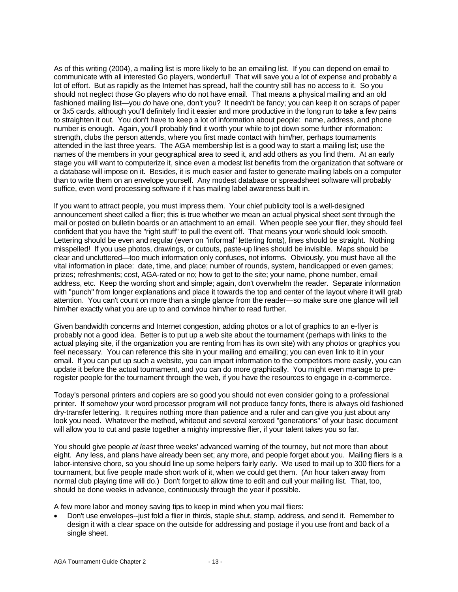As of this writing (2004), a mailing list is more likely to be an emailing list. If you can depend on email to communicate with all interested Go players, wonderful! That will save you a lot of expense and probably a lot of effort. But as rapidly as the Internet has spread, half the country still has no access to it. So you should not neglect those Go players who do not have email. That means a physical mailing and an old fashioned mailing list—you *do* have one, don't you? It needn't be fancy; you can keep it on scraps of paper or 3x5 cards, although you'll definitely find it easier and more productive in the long run to take a few pains to straighten it out. You don't have to keep a lot of information about people: name, address, and phone number is enough. Again, you'll probably find it worth your while to jot down some further information: strength, clubs the person attends, where you first made contact with him/her, perhaps tournaments attended in the last three years. The AGA membership list is a good way to start a mailing list; use the names of the members in your geographical area to seed it, and add others as you find them. At an early stage you will want to computerize it, since even a modest list benefits from the organization that software or a database will impose on it. Besides, it is much easier and faster to generate mailing labels on a computer than to write them on an envelope yourself. Any modest database or spreadsheet software will probably suffice, even word processing software if it has mailing label awareness built in.

If you want to attract people, you must impress them. Your chief publicity tool is a well-designed announcement sheet called a flier; this is true whether we mean an actual physical sheet sent through the mail or posted on bulletin boards or an attachment to an email. When people see your flier, they should feel confident that you have the "right stuff" to pull the event off. That means your work should look smooth. Lettering should be even and regular (even on "informal" lettering fonts), lines should be straight. Nothing misspelled! If you use photos, drawings, or cutouts, paste-up lines should be invisible. Maps should be clear and uncluttered—too much information only confuses, not informs. Obviously, you must have all the vital information in place: date, time, and place; number of rounds, system, handicapped or even games; prizes; refreshments; cost, AGA-rated or no; how to get to the site; your name, phone number, email address, etc. Keep the wording short and simple; again, don't overwhelm the reader. Separate information with "punch" from longer explanations and place it towards the top and center of the layout where it will grab attention. You can't count on more than a single glance from the reader—so make sure one glance will tell him/her exactly what you are up to and convince him/her to read further.

Given bandwidth concerns and Internet congestion, adding photos or a lot of graphics to an e-flyer is probably not a good idea. Better is to put up a web site about the tournament (perhaps with links to the actual playing site, if the organization you are renting from has its own site) with any photos or graphics you feel necessary. You can reference this site in your mailing and emailing; you can even link to it in your email. If you can put up such a website, you can impart information to the competitors more easily, you can update it before the actual tournament, and you can do more graphically. You might even manage to preregister people for the tournament through the web, if you have the resources to engage in e-commerce.

Today's personal printers and copiers are so good you should not even consider going to a professional printer. If somehow your word processor program will not produce fancy fonts, there is always old fashioned dry-transfer lettering. It requires nothing more than patience and a ruler and can give you just about any look you need. Whatever the method, whiteout and several xeroxed "generations" of your basic document will allow you to cut and paste together a mighty impressive flier, if your talent takes you so far.

You should give people *at least* three weeks' advanced warning of the tourney, but not more than about eight. Any less, and plans have already been set; any more, and people forget about you. Mailing fliers is a labor-intensive chore, so you should line up some helpers fairly early. We used to mail up to 300 fliers for a tournament, but five people made short work of it, when we could get them. (An hour taken away from normal club playing time will do.) Don't forget to allow time to edit and cull your mailing list. That, too, should be done weeks in advance, continuously through the year if possible.

A few more labor and money saving tips to keep in mind when you mail fliers:

• Don't use envelopes--just fold a flier in thirds, staple shut, stamp, address, and send it. Remember to design it with a clear space on the outside for addressing and postage if you use front and back of a single sheet.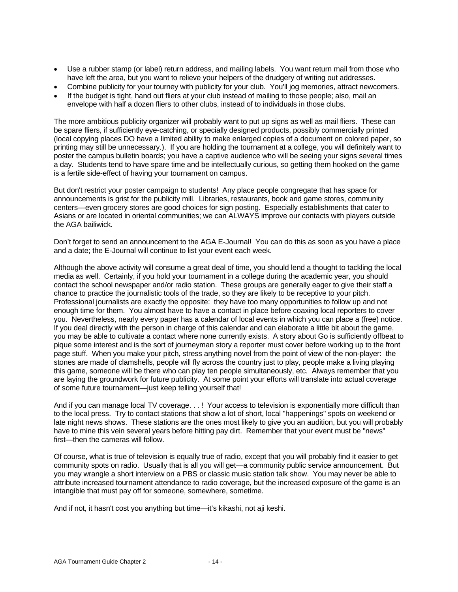- Use a rubber stamp (or label) return address, and mailing labels. You want return mail from those who have left the area, but you want to relieve your helpers of the drudgery of writing out addresses.
- Combine publicity for your tourney with publicity for your club. You'll jog memories, attract newcomers.
- If the budget is tight, hand out fliers at your club instead of mailing to those people; also, mail an envelope with half a dozen fliers to other clubs, instead of to individuals in those clubs.

The more ambitious publicity organizer will probably want to put up signs as well as mail fliers. These can be spare fliers, if sufficiently eye-catching, or specially designed products, possibly commercially printed (local copying places DO have a limited ability to make enlarged copies of a document on colored paper, so printing may still be unnecessary.). If you are holding the tournament at a college, you will definitely want to poster the campus bulletin boards; you have a captive audience who will be seeing your signs several times a day. Students tend to have spare time and be intellectually curious, so getting them hooked on the game is a fertile side-effect of having your tournament on campus.

But don't restrict your poster campaign to students! Any place people congregate that has space for announcements is grist for the publicity mill. Libraries, restaurants, book and game stores, community centers—even grocery stores are good choices for sign posting. Especially establishments that cater to Asians or are located in oriental communities; we can ALWAYS improve our contacts with players outside the AGA bailiwick.

Don't forget to send an announcement to the AGA E-Journal! You can do this as soon as you have a place and a date; the E-Journal will continue to list your event each week.

Although the above activity will consume a great deal of time, you should lend a thought to tackling the local media as well. Certainly, if you hold your tournament in a college during the academic year, you should contact the school newspaper and/or radio station. These groups are generally eager to give their staff a chance to practice the journalistic tools of the trade, so they are likely to be receptive to your pitch. Professional journalists are exactly the opposite: they have too many opportunities to follow up and not enough time for them. You almost have to have a contact in place before coaxing local reporters to cover you. Nevertheless, nearly every paper has a calendar of local events in which you can place a (free) notice. If you deal directly with the person in charge of this calendar and can elaborate a little bit about the game, you may be able to cultivate a contact where none currently exists. A story about Go is sufficiently offbeat to pique some interest and is the sort of journeyman story a reporter must cover before working up to the front page stuff. When you make your pitch, stress anything novel from the point of view of the non-player: the stones are made of clamshells, people will fly across the country just to play, people make a living playing this game, someone will be there who can play ten people simultaneously, etc. Always remember that you are laying the groundwork for future publicity. At some point your efforts will translate into actual coverage of some future tournament—just keep telling yourself that!

And if you can manage local TV coverage. . . ! Your access to television is exponentially more difficult than to the local press. Try to contact stations that show a lot of short, local "happenings" spots on weekend or late night news shows. These stations are the ones most likely to give you an audition, but you will probably have to mine this vein several years before hitting pay dirt. Remember that your event must be "news" first—then the cameras will follow.

Of course, what is true of television is equally true of radio, except that you will probably find it easier to get community spots on radio. Usually that is all you will get—a community public service announcement. But you may wrangle a short interview on a PBS or classic music station talk show. You may never be able to attribute increased tournament attendance to radio coverage, but the increased exposure of the game is an intangible that must pay off for someone, somewhere, sometime.

And if not, it hasn't cost you anything but time—it's kikashi, not aji keshi.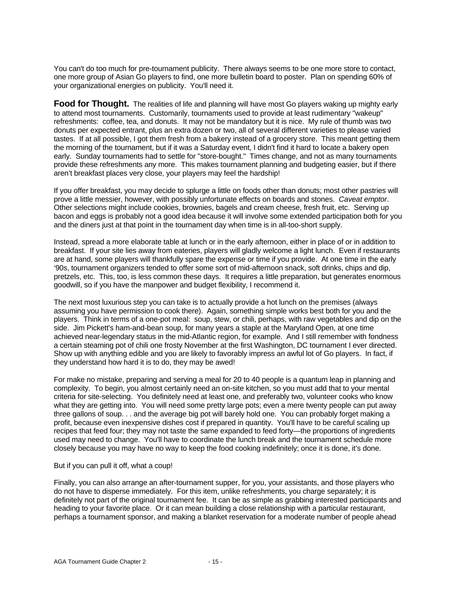You can't do too much for pre-tournament publicity. There always seems to be one more store to contact, one more group of Asian Go players to find, one more bulletin board to poster. Plan on spending 60% of your organizational energies on publicity. You'll need it.

**Food for Thought.** The realities of life and planning will have most Go players waking up mighty early to attend most tournaments. Customarily, tournaments used to provide at least rudimentary "wakeup" refreshments: coffee, tea, and donuts. It may not be mandatory but it is nice. My rule of thumb was two donuts per expected entrant, plus an extra dozen or two, all of several different varieties to please varied tastes. If at all possible, I got them fresh from a bakery instead of a grocery store. This meant getting them the morning of the tournament, but if it was a Saturday event, I didn't find it hard to locate a bakery open early. Sunday tournaments had to settle for "store-bought." Times change, and not as many tournaments provide these refreshments any more. This makes tournament planning and budgeting easier, but if there aren't breakfast places very close, your players may feel the hardship!

If you offer breakfast, you may decide to splurge a little on foods other than donuts; most other pastries will prove a little messier, however, with possibly unfortunate effects on boards and stones. *Caveat emptor*. Other selections might include cookies, brownies, bagels and cream cheese, fresh fruit, etc. Serving up bacon and eggs is probably not a good idea because it will involve some extended participation both for you and the diners just at that point in the tournament day when time is in all-too-short supply.

Instead, spread a more elaborate table at lunch or in the early afternoon, either in place of or in addition to breakfast. If your site lies away from eateries, players will gladly welcome a light lunch. Even if restaurants are at hand, some players will thankfully spare the expense or time if you provide. At one time in the early '90s, tournament organizers tended to offer some sort of mid-afternoon snack, soft drinks, chips and dip, pretzels, etc. This, too, is less common these days. It requires a little preparation, but generates enormous goodwill, so if you have the manpower and budget flexibility, I recommend it.

The next most luxurious step you can take is to actually provide a hot lunch on the premises (always assuming you have permission to cook there). Again, something simple works best both for you and the players. Think in terms of a one-pot meal: soup, stew, or chili, perhaps, with raw vegetables and dip on the side. Jim Pickett's ham-and-bean soup, for many years a staple at the Maryland Open, at one time achieved near-legendary status in the mid-Atlantic region, for example. And I still remember with fondness a certain steaming pot of chili one frosty November at the first Washington, DC tournament I ever directed. Show up with anything edible and you are likely to favorably impress an awful lot of Go players. In fact, if they understand how hard it is to do, they may be awed!

For make no mistake, preparing and serving a meal for 20 to 40 people is a quantum leap in planning and complexity. To begin, you almost certainly need an on-site kitchen, so you must add that to your mental criteria for site-selecting. You definitely need at least one, and preferably two, volunteer cooks who know what they are getting into. You will need some pretty large pots; even a mere twenty people can put away three gallons of soup. . . and the average big pot will barely hold one. You can probably forget making a profit, because even inexpensive dishes cost if prepared in quantity. You'll have to be careful scaling up recipes that feed four; they may not taste the same expanded to feed forty—the proportions of ingredients used may need to change. You'll have to coordinate the lunch break and the tournament schedule more closely because you may have no way to keep the food cooking indefinitely; once it is done, it's done.

#### But if you can pull it off, what a coup!

Finally, you can also arrange an after-tournament supper, for you, your assistants, and those players who do not have to disperse immediately. For this item, unlike refreshments, you charge separately; it is definitely not part of the original tournament fee. It can be as simple as grabbing interested participants and heading to your favorite place. Or it can mean building a close relationship with a particular restaurant, perhaps a tournament sponsor, and making a blanket reservation for a moderate number of people ahead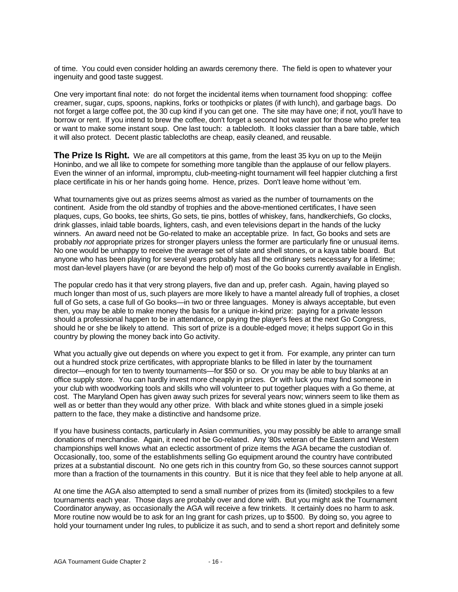of time. You could even consider holding an awards ceremony there. The field is open to whatever your ingenuity and good taste suggest.

One very important final note: do not forget the incidental items when tournament food shopping: coffee creamer, sugar, cups, spoons, napkins, forks or toothpicks or plates (if with lunch), and garbage bags. Do not forget a large coffee pot, the 30 cup kind if you can get one. The site may have one; if not, you'll have to borrow or rent. If you intend to brew the coffee, don't forget a second hot water pot for those who prefer tea or want to make some instant soup. One last touch: a tablecloth. It looks classier than a bare table, which it will also protect. Decent plastic tablecloths are cheap, easily cleaned, and reusable.

**The Prize Is Right.** We are all competitors at this game, from the least 35 kyu on up to the Meijin Honinbo, and we all like to compete for something more tangible than the applause of our fellow players. Even the winner of an informal, impromptu, club-meeting-night tournament will feel happier clutching a first place certificate in his or her hands going home. Hence, prizes. Don't leave home without 'em.

What tournaments give out as prizes seems almost as varied as the number of tournaments on the continent. Aside from the old standby of trophies and the above-mentioned certificates, I have seen plaques, cups, Go books, tee shirts, Go sets, tie pins, bottles of whiskey, fans, handkerchiefs, Go clocks, drink glasses, inlaid table boards, lighters, cash, and even televisions depart in the hands of the lucky winners. An award need not be Go-related to make an acceptable prize. In fact, Go books and sets are probably *not* appropriate prizes for stronger players unless the former are particularly fine or unusual items. No one would be unhappy to receive the average set of slate and shell stones, or a kaya table board. But anyone who has been playing for several years probably has all the ordinary sets necessary for a lifetime; most dan-level players have (or are beyond the help of) most of the Go books currently available in English.

The popular credo has it that very strong players, five dan and up, prefer cash. Again, having played so much longer than most of us, such players are more likely to have a mantel already full of trophies, a closet full of Go sets, a case full of Go books—in two or three languages. Money is always acceptable, but even then, you may be able to make money the basis for a unique in-kind prize: paying for a private lesson should a professional happen to be in attendance, or paying the player's fees at the next Go Congress, should he or she be likely to attend. This sort of prize is a double-edged move; it helps support Go in this country by plowing the money back into Go activity.

What you actually give out depends on where you expect to get it from. For example, any printer can turn out a hundred stock prize certificates, with appropriate blanks to be filled in later by the tournament director—enough for ten to twenty tournaments—for \$50 or so. Or you may be able to buy blanks at an office supply store. You can hardly invest more cheaply in prizes. Or with luck you may find someone in your club with woodworking tools and skills who will volunteer to put together plaques with a Go theme, at cost. The Maryland Open has given away such prizes for several years now; winners seem to like them as well as or better than they would any other prize. With black and white stones glued in a simple joseki pattern to the face, they make a distinctive and handsome prize.

If you have business contacts, particularly in Asian communities, you may possibly be able to arrange small donations of merchandise. Again, it need not be Go-related. Any '80s veteran of the Eastern and Western championships well knows what an eclectic assortment of prize items the AGA became the custodian of. Occasionally, too, some of the establishments selling Go equipment around the country have contributed prizes at a substantial discount. No one gets rich in this country from Go, so these sources cannot support more than a fraction of the tournaments in this country. But it is nice that they feel able to help anyone at all.

At one time the AGA also attempted to send a small number of prizes from its (limited) stockpiles to a few tournaments each year. Those days are probably over and done with. But you might ask the Tournament Coordinator anyway, as occasionally the AGA will receive a few trinkets. It certainly does no harm to ask. More routine now would be to ask for an Ing grant for cash prizes, up to \$500. By doing so, you agree to hold your tournament under Ing rules, to publicize it as such, and to send a short report and definitely some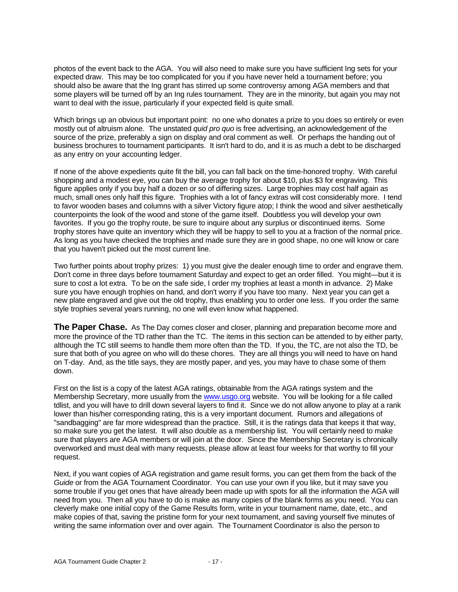photos of the event back to the AGA. You will also need to make sure you have sufficient Ing sets for your expected draw. This may be too complicated for you if you have never held a tournament before; you should also be aware that the Ing grant has stirred up some controversy among AGA members and that some players will be turned off by an Ing rules tournament. They are in the minority, but again you may not want to deal with the issue, particularly if your expected field is quite small.

Which brings up an obvious but important point: no one who donates a prize to you does so entirely or even mostly out of altruism alone. The unstated *quid pro quo* is free advertising, an acknowledgement of the source of the prize, preferably a sign on display and oral comment as well. Or perhaps the handing out of business brochures to tournament participants. It isn't hard to do, and it is as much a debt to be discharged as any entry on your accounting ledger.

If none of the above expedients quite fit the bill, you can fall back on the time-honored trophy. With careful shopping and a modest eye, you can buy the average trophy for about \$10, plus \$3 for engraving. This figure applies only if you buy half a dozen or so of differing sizes. Large trophies may cost half again as much, small ones only half this figure. Trophies with a lot of fancy extras will cost considerably more. I tend to favor wooden bases and columns with a silver Victory figure atop; I think the wood and silver aesthetically counterpoints the look of the wood and stone of the game itself. Doubtless you will develop your own favorites. If you go the trophy route, be sure to inquire about any surplus or discontinued items. Some trophy stores have quite an inventory which they will be happy to sell to you at a fraction of the normal price. As long as you have checked the trophies and made sure they are in good shape, no one will know or care that you haven't picked out the most current line.

Two further points about trophy prizes: 1) you must give the dealer enough time to order and engrave them. Don't come in three days before tournament Saturday and expect to get an order filled. You might—but it is sure to cost a lot extra. To be on the safe side, I order my trophies at least a month in advance. 2) Make sure you have enough trophies on hand, and don't worry if you have too many. Next year you can get a new plate engraved and give out the old trophy, thus enabling you to order one less. If you order the same style trophies several years running, no one will even know what happened.

**The Paper Chase.** As The Day comes closer and closer, planning and preparation become more and more the province of the TD rather than the TC. The items in this section can be attended to by either party, although the TC still seems to handle them more often than the TD. If you, the TC, are not also the TD, be sure that both of you agree on who will do these chores. They are all things you will need to have on hand on T-day. And, as the title says, they are mostly paper, and yes, you may have to chase some of them down.

First on the list is a copy of the latest AGA ratings, obtainable from the AGA ratings system and the Membership Secretary, more usually from the www.usgo.org website. You will be looking for a file called tdlist, and you will have to drill down several layers to find it. Since we do not allow anyone to play at a rank lower than his/her corresponding rating, this is a very important document. Rumors and allegations of "sandbagging" are far more widespread than the practice. Still, it is the ratings data that keeps it that way, so make sure you get the latest. It will also double as a membership list. You will certainly need to make sure that players are AGA members or will join at the door. Since the Membership Secretary is chronically overworked and must deal with many requests, please allow at least four weeks for that worthy to fill your request.

Next, if you want copies of AGA registration and game result forms, you can get them from the back of the *Guide* or from the AGA Tournament Coordinator. You can use your own if you like, but it may save you some trouble if you get ones that have already been made up with spots for all the information the AGA will need from you. Then all you have to do is make as many copies of the blank forms as you need. You can cleverly make one initial copy of the Game Results form, write in your tournament name, date, etc., and make copies of that, saving the pristine form for your next tournament, and saving yourself five minutes of writing the same information over and over again. The Tournament Coordinator is also the person to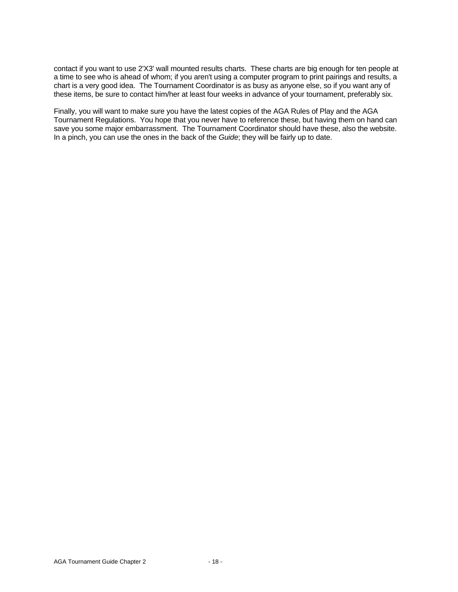contact if you want to use 2'X3' wall mounted results charts. These charts are big enough for ten people at a time to see who is ahead of whom; if you aren't using a computer program to print pairings and results, a chart is a very good idea. The Tournament Coordinator is as busy as anyone else, so if you want any of these items, be sure to contact him/her at least four weeks in advance of your tournament, preferably six.

Finally, you will want to make sure you have the latest copies of the AGA Rules of Play and the AGA Tournament Regulations. You hope that you never have to reference these, but having them on hand can save you some major embarrassment. The Tournament Coordinator should have these, also the website. In a pinch, you can use the ones in the back of the *Guide*; they will be fairly up to date.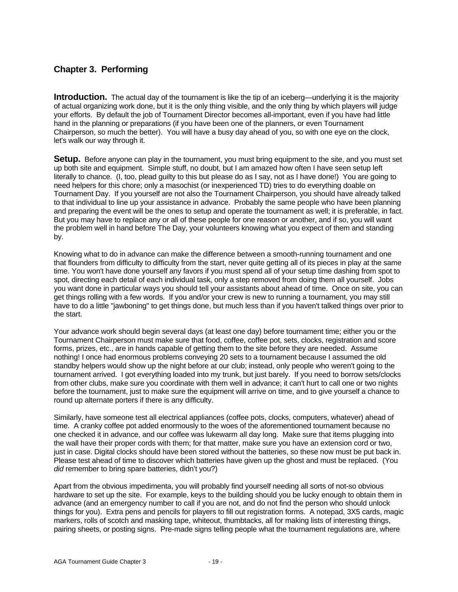#### **Chapter 3. Performing**

**Introduction.** The actual day of the tournament is like the tip of an iceberg—underlying it is the majority of actual organizing work done, but it is the only thing visible, and the only thing by which players will judge your efforts. By default the job of Tournament Director becomes all-important, even if you have had little hand in the planning or preparations (if you have been one of the planners, or even Tournament Chairperson, so much the better). You will have a busy day ahead of you, so with one eye on the clock, let's walk our way through it.

**Setup.** Before anyone can play in the tournament, you must bring equipment to the site, and you must set up both site and equipment. Simple stuff, no doubt, but I am amazed how often I have seen setup left literally to chance. (I, too, plead guilty to this but please do as I say, not as I have done!) You are going to need helpers for this chore; only a masochist (or inexperienced TD) tries to do everything doable on Tournament Day. If you yourself are not also the Tournament Chairperson, you should have already talked to that individual to line up your assistance in advance. Probably the same people who have been planning and preparing the event will be the ones to setup and operate the tournament as well; it is preferable, in fact. But you may have to replace any or all of these people for one reason or another, and if so, you will want the problem well in hand before The Day, your volunteers knowing what you expect of them and standing by.

Knowing what to do in advance can make the difference between a smooth-running tournament and one that flounders from difficulty to difficulty from the start, never quite getting all of its pieces in play at the same time. You won't have done yourself any favors if you must spend all of your setup time dashing from spot to spot, directing each detail of each individual task, only a step removed from doing them all yourself. Jobs you want done in particular ways you should tell your assistants about ahead of time. Once on site, you can get things rolling with a few words. If you and/or your crew is new to running a tournament, you may still have to do a little "jawboning" to get things done, but much less than if you haven't talked things over prior to the start.

Your advance work should begin several days (at least one day) before tournament time; either you or the Tournament Chairperson must make sure that food, coffee, coffee pot, sets, clocks, registration and score forms, prizes, etc., are in hands capable of getting them to the site before they are needed. Assume nothing! I once had enormous problems conveying 20 sets to a tournament because I assumed the old standby helpers would show up the night before at our club; instead, only people who weren't going to the tournament arrived. I got everything loaded into my trunk, but just barely. If you need to borrow sets/clocks from other clubs, make sure you coordinate with them well in advance; it can't hurt to call one or two nights before the tournament, just to make sure the equipment will arrive on time, and to give yourself a chance to round up alternate porters if there is any difficulty.

Similarly, have someone test all electrical appliances (coffee pots, clocks, computers, whatever) ahead of time. A cranky coffee pot added enormously to the woes of the aforementioned tournament because no one checked it in advance, and our coffee was lukewarm all day long. Make sure that items plugging into the wall have their proper cords with them; for that matter, make sure you have an extension cord or two, just in case. Digital clocks should have been stored without the batteries, so these now must be put back in. Please test ahead of time to discover which batteries have given up the ghost and must be replaced. (You *did* remember to bring spare batteries, didn't you?)

Apart from the obvious impedimenta, you will probably find yourself needing all sorts of not-so obvious hardware to set up the site. For example, keys to the building should you be lucky enough to obtain them in advance (and an emergency number to call if you are not, and do not find the person who should unlock things for you). Extra pens and pencils for players to fill out registration forms. A notepad, 3X5 cards, magic markers, rolls of scotch and masking tape, whiteout, thumbtacks, all for making lists of interesting things, pairing sheets, or posting signs. Pre-made signs telling people what the tournament regulations are, where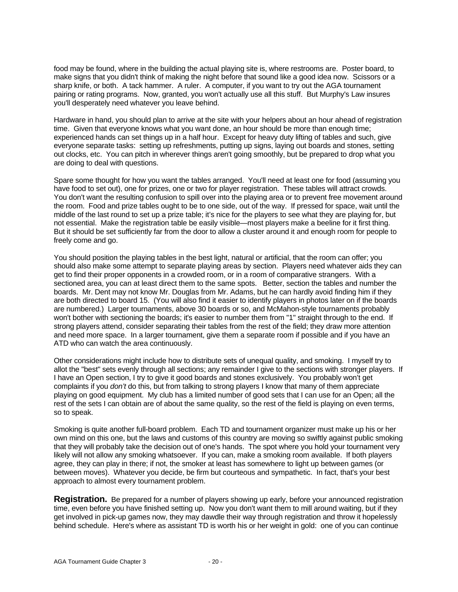food may be found, where in the building the actual playing site is, where restrooms are. Poster board, to make signs that you didn't think of making the night before that sound like a good idea now. Scissors or a sharp knife, or both. A tack hammer. A ruler. A computer, if you want to try out the AGA tournament pairing or rating programs. Now, granted, you won't actually use all this stuff. But Murphy's Law insures you'll desperately need whatever you leave behind.

Hardware in hand, you should plan to arrive at the site with your helpers about an hour ahead of registration time. Given that everyone knows what you want done, an hour should be more than enough time; experienced hands can set things up in a half hour. Except for heavy duty lifting of tables and such, give everyone separate tasks: setting up refreshments, putting up signs, laying out boards and stones, setting out clocks, etc. You can pitch in wherever things aren't going smoothly, but be prepared to drop what you are doing to deal with questions.

Spare some thought for how you want the tables arranged. You'll need at least one for food (assuming you have food to set out), one for prizes, one or two for player registration. These tables will attract crowds. You don't want the resulting confusion to spill over into the playing area or to prevent free movement around the room. Food and prize tables ought to be to one side, out of the way. If pressed for space, wait until the middle of the last round to set up a prize table; it's nice for the players to see what they are playing for, but not essential. Make the registration table be easily visible—most players make a beeline for it first thing. But it should be set sufficiently far from the door to allow a cluster around it and enough room for people to freely come and go.

You should position the playing tables in the best light, natural or artificial, that the room can offer; you should also make some attempt to separate playing areas by section. Players need whatever aids they can get to find their proper opponents in a crowded room, or in a room of comparative strangers. With a sectioned area, you can at least direct them to the same spots. Better, section the tables and number the boards. Mr. Dent may not know Mr. Douglas from Mr. Adams, but he can hardly avoid finding him if they are both directed to board 15. (You will also find it easier to identify players in photos later on if the boards are numbered.) Larger tournaments, above 30 boards or so, and McMahon-style tournaments probably won't bother with sectioning the boards; it's easier to number them from "1" straight through to the end. If strong players attend, consider separating their tables from the rest of the field; they draw more attention and need more space. In a larger tournament, give them a separate room if possible and if you have an ATD who can watch the area continuously.

Other considerations might include how to distribute sets of unequal quality, and smoking. I myself try to allot the "best" sets evenly through all sections; any remainder I give to the sections with stronger players. If I have an Open section, I try to give it good boards and stones exclusively. You probably won't get complaints if you *don't* do this, but from talking to strong players I know that many of them appreciate playing on good equipment. My club has a limited number of good sets that I can use for an Open; all the rest of the sets I can obtain are of about the same quality, so the rest of the field is playing on even terms, so to speak.

Smoking is quite another full-board problem. Each TD and tournament organizer must make up his or her own mind on this one, but the laws and customs of this country are moving so swiftly against public smoking that they will probably take the decision out of one's hands. The spot where you hold your tournament very likely will not allow any smoking whatsoever. If you can, make a smoking room available. If both players agree, they can play in there; if not, the smoker at least has somewhere to light up between games (or between moves). Whatever you decide, be firm but courteous and sympathetic. In fact, that's your best approach to almost every tournament problem.

**Registration.** Be prepared for a number of players showing up early, before your announced registration time, even before you have finished setting up. Now you don't want them to mill around waiting, but if they get involved in pick-up games now, they may dawdle their way through registration and throw it hopelessly behind schedule. Here's where as assistant TD is worth his or her weight in gold: one of you can continue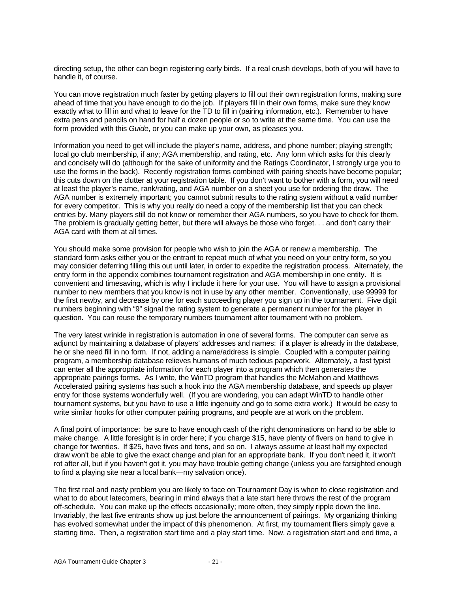directing setup, the other can begin registering early birds. If a real crush develops, both of you will have to handle it, of course.

You can move registration much faster by getting players to fill out their own registration forms, making sure ahead of time that you have enough to do the job. If players fill in their own forms, make sure they know exactly what to fill in and what to leave for the TD to fill in (pairing information, etc.). Remember to have extra pens and pencils on hand for half a dozen people or so to write at the same time. You can use the form provided with this *Guide*, or you can make up your own, as pleases you.

Information you need to get will include the player's name, address, and phone number; playing strength; local go club membership, if any; AGA membership, and rating, etc. Any form which asks for this clearly and concisely will do (although for the sake of uniformity and the Ratings Coordinator, I strongly urge you to use the forms in the back). Recently registration forms combined with pairing sheets have become popular; this cuts down on the clutter at your registration table. If you don't want to bother with a form, you will need at least the player's name, rank/rating, and AGA number on a sheet you use for ordering the draw. The AGA number is extremely important; you cannot submit results to the rating system without a valid number for every competitor. This is why you really do need a copy of the membership list that you can check entries by. Many players still do not know or remember their AGA numbers, so you have to check for them. The problem is gradually getting better, but there will always be those who forget. . . and don't carry their AGA card with them at all times.

You should make some provision for people who wish to join the AGA or renew a membership. The standard form asks either you or the entrant to repeat much of what you need on your entry form, so you may consider deferring filling this out until later, in order to expedite the registration process. Alternately, the entry form in the appendix combines tournament registration and AGA membership in one entity. It is convenient and timesaving, which is why I include it here for your use. You will have to assign a provisional number to new members that you know is not in use by any other member. Conventionally, use 99999 for the first newby, and decrease by one for each succeeding player you sign up in the tournament. Five digit numbers beginning with "9" signal the rating system to generate a permanent number for the player in question. You can reuse the temporary numbers tournament after tournament with no problem.

The very latest wrinkle in registration is automation in one of several forms. The computer can serve as adjunct by maintaining a database of players' addresses and names: if a player is already in the database, he or she need fill in no form. If not, adding a name/address is simple. Coupled with a computer pairing program, a membership database relieves humans of much tedious paperwork. Alternately, a fast typist can enter all the appropriate information for each player into a program which then generates the appropriate pairings forms. As I write, the WinTD program that handles the McMahon and Matthews Accelerated pairing systems has such a hook into the AGA membership database, and speeds up player entry for those systems wonderfully well. (If you are wondering, you can adapt WinTD to handle other tournament systems, but you have to use a little ingenuity and go to some extra work.) It would be easy to write similar hooks for other computer pairing programs, and people are at work on the problem.

A final point of importance: be sure to have enough cash of the right denominations on hand to be able to make change. A little foresight is in order here; if you charge \$15, have plenty of fivers on hand to give in change for twenties. If \$25, have fives and tens, and so on. I always assume at least half my expected draw won't be able to give the exact change and plan for an appropriate bank. If you don't need it, it won't rot after all, but if you haven't got it, you may have trouble getting change (unless you are farsighted enough to find a playing site near a local bank—my salvation once).

The first real and nasty problem you are likely to face on Tournament Day is when to close registration and what to do about latecomers, bearing in mind always that a late start here throws the rest of the program off-schedule. You can make up the effects occasionally; more often, they simply ripple down the line. Invariably, the last five entrants show up just before the announcement of pairings. My organizing thinking has evolved somewhat under the impact of this phenomenon. At first, my tournament fliers simply gave a starting time. Then, a registration start time and a play start time. Now, a registration start and end time, a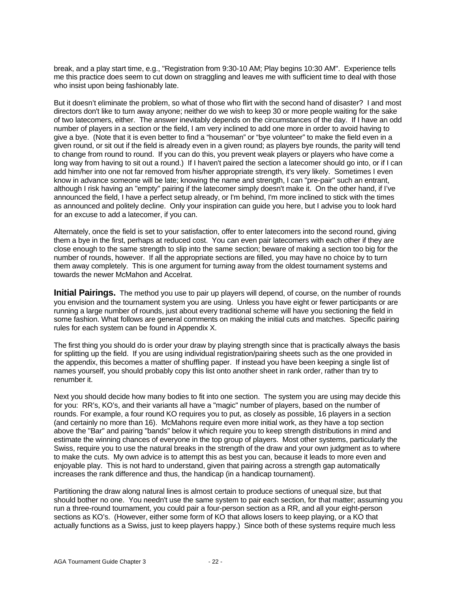break, and a play start time, e.g., "Registration from 9:30-10 AM; Play begins 10:30 AM". Experience tells me this practice does seem to cut down on straggling and leaves me with sufficient time to deal with those who insist upon being fashionably late.

But it doesn't eliminate the problem, so what of those who flirt with the second hand of disaster? I and most directors don't like to turn away anyone; neither do we wish to keep 30 or more people waiting for the sake of two latecomers, either. The answer inevitably depends on the circumstances of the day. If I have an odd number of players in a section or the field, I am very inclined to add one more in order to avoid having to give a bye. (Note that it is even better to find a "houseman" or "bye volunteer" to make the field even in a given round, or sit out if the field is already even in a given round; as players bye rounds, the parity will tend to change from round to round. If you can do this, you prevent weak players or players who have come a long way from having to sit out a round.) If I haven't paired the section a latecomer should go into, or if I can add him/her into one not far removed from his/her appropriate strength, it's very likely. Sometimes I even know in advance someone will be late; knowing the name and strength, I can "pre-pair" such an entrant, although I risk having an "empty" pairing if the latecomer simply doesn't make it. On the other hand, if I've announced the field, I have a perfect setup already, or I'm behind, I'm more inclined to stick with the times as announced and politely decline. Only your inspiration can guide you here, but I advise you to look hard for an excuse to add a latecomer, if you can.

Alternately, once the field is set to your satisfaction, offer to enter latecomers into the second round, giving them a bye in the first, perhaps at reduced cost. You can even pair latecomers with each other if they are close enough to the same strength to slip into the same section; beware of making a section too big for the number of rounds, however. If all the appropriate sections are filled, you may have no choice by to turn them away completely. This is one argument for turning away from the oldest tournament systems and towards the newer McMahon and Accelrat.

**Initial Pairings.** The method you use to pair up players will depend, of course, on the number of rounds you envision and the tournament system you are using. Unless you have eight or fewer participants or are running a large number of rounds, just about every traditional scheme will have you sectioning the field in some fashion. What follows are general comments on making the initial cuts and matches. Specific pairing rules for each system can be found in Appendix X.

The first thing you should do is order your draw by playing strength since that is practically always the basis for splitting up the field. If you are using individual registration/pairing sheets such as the one provided in the appendix, this becomes a matter of shuffling paper. If instead you have been keeping a single list of names yourself, you should probably copy this list onto another sheet in rank order, rather than try to renumber it.

Next you should decide how many bodies to fit into one section. The system you are using may decide this for you: RR's, KO's, and their variants all have a "magic" number of players, based on the number of rounds. For example, a four round KO requires you to put, as closely as possible, 16 players in a section (and certainly no more than 16). McMahons require even more initial work, as they have a top section above the "Bar" and pairing "bands" below it which require you to keep strength distributions in mind and estimate the winning chances of everyone in the top group of players. Most other systems, particularly the Swiss, require you to use the natural breaks in the strength of the draw and your own judgment as to where to make the cuts. My own advice is to attempt this as best you can, because it leads to more even and enjoyable play. This is not hard to understand, given that pairing across a strength gap automatically increases the rank difference and thus, the handicap (in a handicap tournament).

Partitioning the draw along natural lines is almost certain to produce sections of unequal size, but that should bother no one. You needn't use the same system to pair each section, for that matter; assuming you run a three-round tournament, you could pair a four-person section as a RR, and all your eight-person sections as KO's. (However, either some form of KO that allows losers to keep playing, or a KO that actually functions as a Swiss, just to keep players happy.) Since both of these systems require much less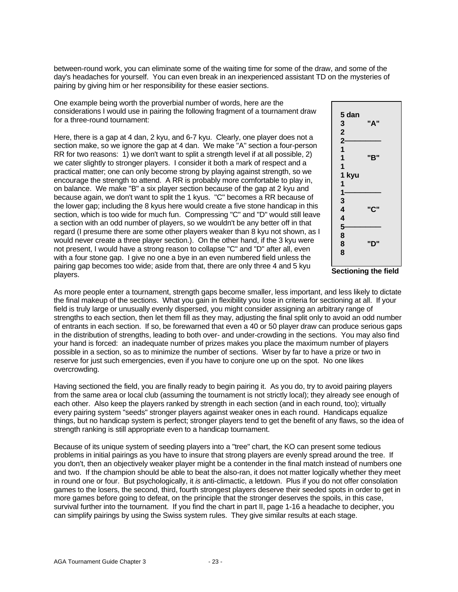between-round work, you can eliminate some of the waiting time for some of the draw, and some of the day's headaches for yourself. You can even break in an inexperienced assistant TD on the mysteries of pairing by giving him or her responsibility for these easier sections.

One example being worth the proverbial number of words, here are the considerations I would use in pairing the following fragment of a tournament draw for a three-round tournament:

Here, there is a gap at 4 dan, 2 kyu, and 6-7 kyu. Clearly, one player does not a section make, so we ignore the gap at 4 dan. We make "A" section a four-person RR for two reasons: 1) we don't want to split a strength level if at all possible, 2) we cater slightly to stronger players. I consider it both a mark of respect and a practical matter; one can only become strong by playing against strength, so we encourage the strength to attend. A RR is probably more comfortable to play in, on balance. We make "B" a six player section because of the gap at 2 kyu and because again, we don't want to split the 1 kyus. "C" becomes a RR because of the lower gap; including the 8 kyus here would create a five stone handicap in this section, which is too wide for much fun. Compressing "C" and "D" would still leave a section with an odd number of players, so we wouldn't be any better off in that regard (I presume there are some other players weaker than 8 kyu not shown, as I would never create a three player section.). On the other hand, if the 3 kyu were not present, I would have a strong reason to collapse "C" and "D" after all, even with a four stone gap. I give no one a bye in an even numbered field unless the pairing gap becomes too wide; aside from that, there are only three 4 and 5 kyu players.



**Sectioning the field**

As more people enter a tournament, strength gaps become smaller, less important, and less likely to dictate the final makeup of the sections. What you gain in flexibility you lose in criteria for sectioning at all. If your field is truly large or unusually evenly dispersed, you might consider assigning an arbitrary range of strengths to each section, then let them fill as they may, adjusting the final split only to avoid an odd number of entrants in each section. If so, be forewarned that even a 40 or 50 player draw can produce serious gaps in the distribution of strengths, leading to both over- and under-crowding in the sections. You may also find your hand is forced: an inadequate number of prizes makes you place the maximum number of players possible in a section, so as to minimize the number of sections. Wiser by far to have a prize or two in reserve for just such emergencies, even if you have to conjure one up on the spot. No one likes overcrowding.

Having sectioned the field, you are finally ready to begin pairing it. As you do, try to avoid pairing players from the same area or local club (assuming the tournament is not strictly local); they already see enough of each other. Also keep the players ranked by strength in each section (and in each round, too); virtually every pairing system "seeds" stronger players against weaker ones in each round. Handicaps equalize things, but no handicap system is perfect; stronger players tend to get the benefit of any flaws, so the idea of strength ranking is still appropriate even to a handicap tournament.

Because of its unique system of seeding players into a "tree" chart, the KO can present some tedious problems in initial pairings as you have to insure that strong players are evenly spread around the tree. If you don't, then an objectively weaker player might be a contender in the final match instead of numbers one and two. If the champion should be able to beat the also-ran, it does not matter logically whether they meet in round one or four. But psychologically, it *is* anti-climactic, a letdown. Plus if you do not offer consolation games to the losers, the second, third, fourth strongest players deserve their seeded spots in order to get in more games before going to defeat, on the principle that the stronger deserves the spoils, in this case, survival further into the tournament. If you find the chart in part II, page 1-16 a headache to decipher, you can simplify pairings by using the Swiss system rules. They give similar results at each stage.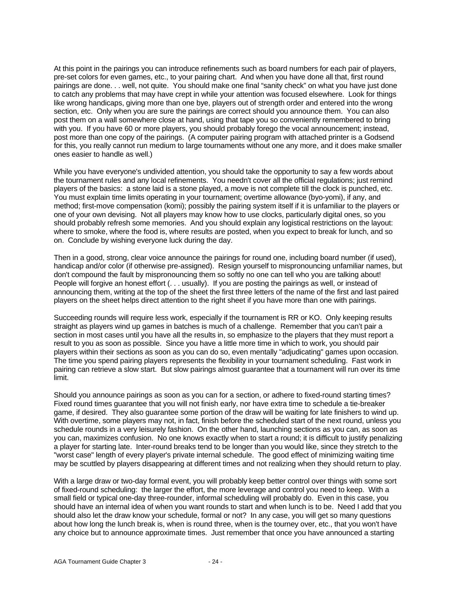At this point in the pairings you can introduce refinements such as board numbers for each pair of players, pre-set colors for even games, etc., to your pairing chart. And when you have done all that, first round pairings are done. . . well, not quite. You should make one final "sanity check" on what you have just done to catch any problems that may have crept in while your attention was focused elsewhere. Look for things like wrong handicaps, giving more than one bye, players out of strength order and entered into the wrong section, etc. Only when you are sure the pairings are correct should you announce them. You can also post them on a wall somewhere close at hand, using that tape you so conveniently remembered to bring with you. If you have 60 or more players, you should probably forego the vocal announcement; instead, post more than one copy of the pairings. (A computer pairing program with attached printer is a Godsend for this, you really cannot run medium to large tournaments without one any more, and it does make smaller ones easier to handle as well.)

While you have everyone's undivided attention, you should take the opportunity to say a few words about the tournament rules and any local refinements. You needn't cover all the official regulations; just remind players of the basics: a stone laid is a stone played, a move is not complete till the clock is punched, etc. You must explain time limits operating in your tournament; overtime allowance (byo-yomi), if any, and method; first-move compensation (komi); possibly the pairing system itself if it is unfamiliar to the players or one of your own devising. Not all players may know how to use clocks, particularly digital ones, so you should probably refresh some memories. And you should explain any logistical restrictions on the layout: where to smoke, where the food is, where results are posted, when you expect to break for lunch, and so on. Conclude by wishing everyone luck during the day.

Then in a good, strong, clear voice announce the pairings for round one, including board number (if used), handicap and/or color (if otherwise pre-assigned). Resign yourself to mispronouncing unfamiliar names, but don't compound the fault by mispronouncing them so softly no one can tell who you are talking about! People will forgive an honest effort (. . . usually). If you are posting the pairings as well, or instead of announcing them, writing at the top of the sheet the first three letters of the name of the first and last paired players on the sheet helps direct attention to the right sheet if you have more than one with pairings.

Succeeding rounds will require less work, especially if the tournament is RR or KO. Only keeping results straight as players wind up games in batches is much of a challenge. Remember that you can't pair a section in most cases until you have all the results in, so emphasize to the players that they must report a result to you as soon as possible. Since you have a little more time in which to work, you should pair players within their sections as soon as you can do so, even mentally "adjudicating" games upon occasion. The time you spend pairing players represents the flexibility in your tournament scheduling. Fast work in pairing can retrieve a slow start. But slow pairings almost guarantee that a tournament will run over its time limit.

Should you announce pairings as soon as you can for a section, or adhere to fixed-round starting times? Fixed round times guarantee that you will not finish early, nor have extra time to schedule a tie-breaker game, if desired. They also guarantee some portion of the draw will be waiting for late finishers to wind up. With overtime, some players may not, in fact, finish before the scheduled start of the next round, unless you schedule rounds in a very leisurely fashion. On the other hand, launching sections as you can, as soon as you can, maximizes confusion. No one knows exactly when to start a round; it is difficult to justify penalizing a player for starting late. Inter-round breaks tend to be longer than you would like, since they stretch to the "worst case" length of every player's private internal schedule. The good effect of minimizing waiting time may be scuttled by players disappearing at different times and not realizing when they should return to play.

With a large draw or two-day formal event, you will probably keep better control over things with some sort of fixed-round scheduling: the larger the effort, the more leverage and control you need to keep. With a small field or typical one-day three-rounder, informal scheduling will probably do. Even in this case, you should have an internal idea of when you want rounds to start and when lunch is to be. Need I add that you should also let the draw know your schedule, formal or not? In any case, you will get so many questions about how long the lunch break is, when is round three, when is the tourney over, etc., that you won't have any choice but to announce approximate times. Just remember that once you have announced a starting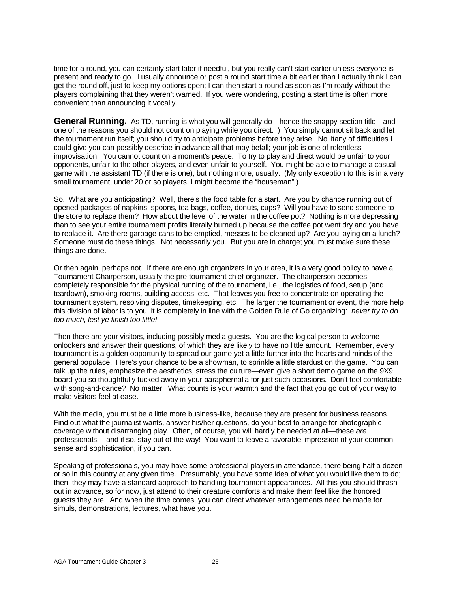time for a round, you can certainly start later if needful, but you really can't start earlier unless everyone is present and ready to go. I usually announce or post a round start time a bit earlier than I actually think I can get the round off, just to keep my options open; I can then start a round as soon as I'm ready without the players complaining that they weren't warned. If you were wondering, posting a start time is often more convenient than announcing it vocally.

**General Running.** As TD, running is what you will generally do—hence the snappy section title—and one of the reasons you should not count on playing while you direct. ) You simply cannot sit back and let the tournament run itself; you should try to anticipate problems before they arise. No litany of difficulties I could give you can possibly describe in advance all that may befall; your job is one of relentless improvisation. You cannot count on a moment's peace. To try to play and direct would be unfair to your opponents, unfair to the other players, and even unfair to yourself. You might be able to manage a casual game with the assistant TD (if there is one), but nothing more, usually. (My only exception to this is in a very small tournament, under 20 or so players, I might become the "houseman".)

So. What are you anticipating? Well, there's the food table for a start. Are you by chance running out of opened packages of napkins, spoons, tea bags, coffee, donuts, cups? Will you have to send someone to the store to replace them? How about the level of the water in the coffee pot? Nothing is more depressing than to see your entire tournament profits literally burned up because the coffee pot went dry and you have to replace it. Are there garbage cans to be emptied, messes to be cleaned up? Are you laying on a lunch? Someone must do these things. Not necessarily you. But you are in charge; you must make sure these things are done.

Or then again, perhaps not. If there are enough organizers in your area, it is a very good policy to have a Tournament Chairperson, usually the pre-tournament chief organizer. The chairperson becomes completely responsible for the physical running of the tournament, i.e., the logistics of food, setup (and teardown), smoking rooms, building access, etc. That leaves you free to concentrate on operating the tournament system, resolving disputes, timekeeping, etc. The larger the tournament or event, the more help this division of labor is to you; it is completely in line with the Golden Rule of Go organizing: *never try to do too much, lest ye finish too little!*

Then there are your visitors, including possibly media guests. You are the logical person to welcome onlookers and answer their questions, of which they are likely to have no little amount. Remember, every tournament is a golden opportunity to spread our game yet a little further into the hearts and minds of the general populace. Here's your chance to be a showman, to sprinkle a little stardust on the game. You can talk up the rules, emphasize the aesthetics, stress the culture—even give a short demo game on the 9X9 board you so thoughtfully tucked away in your paraphernalia for just such occasions. Don't feel comfortable with song-and-dance? No matter. What counts is your warmth and the fact that you go out of your way to make visitors feel at ease.

With the media, you must be a little more business-like, because they are present for business reasons. Find out what the journalist wants, answer his/her questions, do your best to arrange for photographic coverage without disarranging play. Often, of course, you will hardly be needed at all—these *are* professionals!—and if so, stay out of the way! You want to leave a favorable impression of your common sense and sophistication, if you can.

Speaking of professionals, you may have some professional players in attendance, there being half a dozen or so in this country at any given time. Presumably, you have some idea of what you would like them to do; then, they may have a standard approach to handling tournament appearances. All this you should thrash out in advance, so for now, just attend to their creature comforts and make them feel like the honored guests they are. And when the time comes, you can direct whatever arrangements need be made for simuls, demonstrations, lectures, what have you.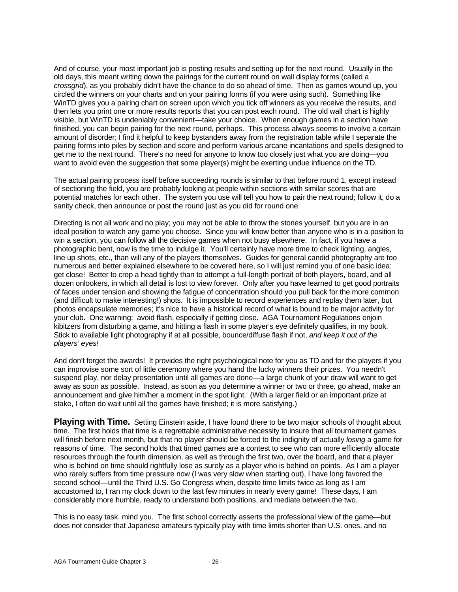And of course, your most important job is posting results and setting up for the next round. Usually in the old days, this meant writing down the pairings for the current round on wall display forms (called a *crossgrid*), as you probably didn't have the chance to do so ahead of time. Then as games wound up, you circled the winners on your charts and on your pairing forms (if you were using such). Something like WinTD gives you a pairing chart on screen upon which you tick off winners as you receive the results, and then lets you print one or more results reports that you can post each round. The old wall chart is highly visible, but WinTD is undeniably convenient—take your choice. When enough games in a section have finished, you can begin pairing for the next round, perhaps. This process always seems to involve a certain amount of disorder; I find it helpful to keep bystanders away from the registration table while I separate the pairing forms into piles by section and score and perform various arcane incantations and spells designed to get me to the next round. There's no need for anyone to know too closely just what you are doing—you want to avoid even the suggestion that some player(s) might be exerting undue influence on the TD.

The actual pairing process itself before succeeding rounds is similar to that before round 1, except instead of sectioning the field, you are probably looking at people within sections with similar scores that are potential matches for each other. The system you use will tell you how to pair the next round; follow it, do a sanity check, then announce or post the round just as you did for round one.

Directing is not all work and no play; you may not be able to throw the stones yourself, but you are in an ideal position to watch any game you choose. Since you will know better than anyone who is in a position to win a section, you can follow all the decisive games when not busy elsewhere. In fact, if you have a photographic bent, now is the time to indulge it. You'll certainly have more time to check lighting, angles, line up shots, etc., than will any of the players themselves. Guides for general candid photography are too numerous and better explained elsewhere to be covered here, so I will just remind you of one basic idea: get close! Better to crop a head tightly than to attempt a full-length portrait of both players, board, and all dozen onlookers, in which all detail is lost to view forever. Only after you have learned to get good portraits of faces under tension and showing the fatigue of concentration should you pull back for the more common (and difficult to make interesting!) shots. It is impossible to record experiences and replay them later, but photos encapsulate memories; it's nice to have a historical record of what is bound to be major activity for your club. One warning: avoid flash, especially if getting close. AGA Tournament Regulations enjoin kibitzers from disturbing a game, and hitting a flash in some player's eye definitely qualifies, in my book. Stick to available light photography if at all possible, bounce/diffuse flash if not, *and keep it out of the players' eyes!*

And don't forget the awards! It provides the right psychological note for you as TD and for the players if you can improvise some sort of little ceremony where you hand the lucky winners their prizes. You needn't suspend play, nor delay presentation until all games are done—a large chunk of your draw will want to get away as soon as possible. Instead, as soon as you determine a winner or two or three, go ahead, make an announcement and give him/her a moment in the spot light. (With a larger field or an important prize at stake, I often do wait until all the games have finished; it is more satisfying.)

**Playing with Time.** Setting Einstein aside, I have found there to be two major schools of thought about time. The first holds that time is a regrettable administrative necessity to insure that all tournament games will finish before next month, but that no player should be forced to the indignity of actually *losing* a game for reasons of time. The second holds that timed games are a contest to see who can more efficiently allocate resources through the fourth dimension, as well as through the first two, over the board, and that a player who is behind on time should rightfully lose as surely as a player who is behind on points. As I am a player who rarely suffers from time pressure now (I was very slow when starting out), I have long favored the second school—until the Third U.S. Go Congress when, despite time limits twice as long as I am accustomed to, I ran my clock down to the last few minutes in nearly every game! These days, I am considerably more humble, ready to understand both positions, and mediate between the two.

This is no easy task, mind you. The first school correctly asserts the professional view of the game—but does not consider that Japanese amateurs typically play with time limits shorter than U.S. ones, and no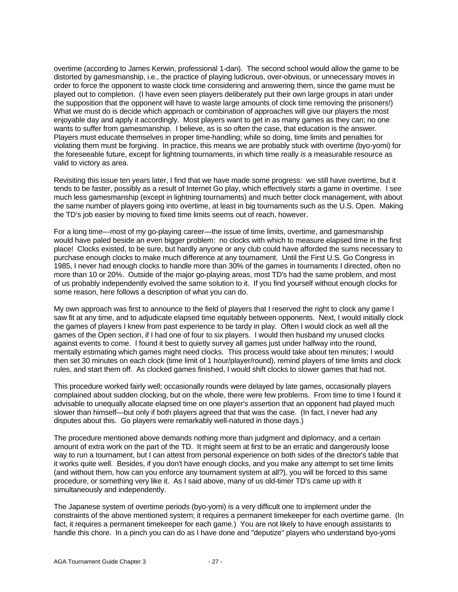overtime (according to James Kerwin, professional 1-dan). The second school would allow the game to be distorted by gamesmanship, i.e., the practice of playing ludicrous, over-obvious, or unnecessary moves in order to force the opponent to waste clock time considering and answering them, since the game must be played out to completion. (I have even seen players deliberately put their own large groups in atari under the supposition that the opponent will have to waste large amounts of clock time removing the prisoners!) What we must do is decide which approach or combination of approaches will give our players the most enjoyable day and apply it accordingly. Most players want to get in as many games as they can; no one wants to suffer from gamesmanship. I believe, as is so often the case, that education is the answer. Players must educate themselves in proper time-handling; while so doing, time limits and penalties for violating them must be forgiving. In practice, this means we are probably stuck with overtime (byo-yomi) for the foreseeable future, except for lightning tournaments, in which time really *is* a measurable resource as valid to victory as area.

Revisiting this issue ten years later, I find that we have made some progress: we still have overtime, but it tends to be faster, possibly as a result of Internet Go play, which effectively *starts* a game in overtime. I see much less gamesmanship (except in lightning tournaments) and much better clock management, with about the same number of players going into overtime, at least in big tournaments such as the U.S. Open. Making the TD's job easier by moving to fixed time limits seems out of reach, however.

For a long time—most of my go-playing career—the issue of time limits, overtime, and gamesmanship would have paled beside an even bigger problem: no clocks with which to measure elapsed time in the first place! Clocks existed, to be sure, but hardly anyone or any club could have afforded the sums necessary to purchase enough clocks to make much difference at any tournament. Until the First U.S. Go Congress in 1985, I never had enough clocks to handle more than 30% of the games in tournaments I directed, often no more than 10 or 20%. Outside of the major go-playing areas, most TD's had the same problem, and most of us probably independently evolved the same solution to it. If you find yourself without enough clocks for some reason, here follows a description of what you can do.

My own approach was first to announce to the field of players that I reserved the right to clock any game I saw fit at any time, and to adjudicate elapsed time equitably between opponents. Next, I would initially clock the games of players I knew from past experience to be tardy in play. Often I would clock as well all the games of the Open section, if I had one of four to six players. I would then husband my unused clocks against events to come. I found it best to quietly survey all games just under halfway into the round, mentally estimating which games might need clocks. This process would take about ten minutes; I would then set 30 minutes on each clock (time limit of 1 hour/player/round), remind players of time limits and clock rules, and start them off. As clocked games finished, I would shift clocks to slower games that had not.

This procedure worked fairly well; occasionally rounds were delayed by late games, occasionally players complained about sudden clocking, but on the whole, there were few problems. From time to time I found it advisable to unequally allocate elapsed time on one player's assertion that an opponent had played much slower than himself—but only if both players agreed that that was the case. (In fact, I never had any disputes about this. Go players were remarkably well-natured in those days.)

The procedure mentioned above demands nothing more than judgment and diplomacy, and a certain amount of extra work on the part of the TD. It might seem at first to be an erratic and dangerously loose way to run a tournament, but I can attest from personal experience on both sides of the director's table that it works quite well. Besides, if you don't have enough clocks, and you make any attempt to set time limits (and without them, how can you enforce any tournament system at all?), you will be forced to this same procedure, or something very like it. As I said above, many of us old-timer TD's came up with it simultaneously and independently.

The Japanese system of overtime periods (byo-yomi) is a very difficult one to implement under the constraints of the above mentioned system; it requires a permanent timekeeper for each overtime game. (In fact, it requires a permanent timekeeper for each game.) You are not likely to have enough assistants to handle this chore. In a pinch you can do as I have done and "deputize" players who understand byo-yomi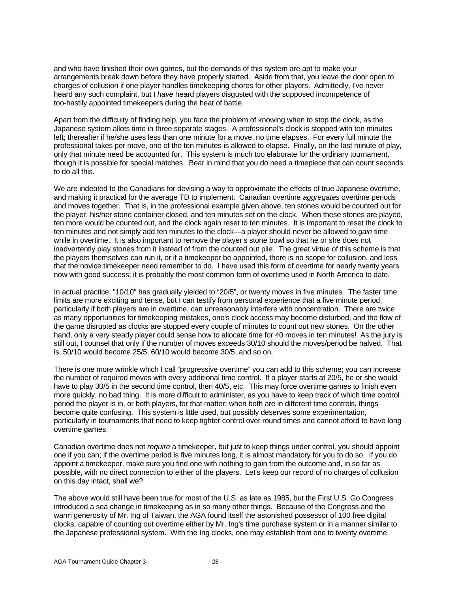and who have finished their own games, but the demands of this system are apt to make your arrangements break down before they have properly started. Aside from that, you leave the door open to charges of collusion if one player handles timekeeping chores for other players. Admittedly, I've never heard any such complaint, but I *have* heard players disgusted with the supposed incompetence of too-hastily appointed timekeepers during the heat of battle.

Apart from the difficulty of finding help, you face the problem of knowing when to stop the clock, as the Japanese system allots time in three separate stages. A professional's clock is stopped with ten minutes left; thereafter if he/she uses less than one minute for a move, no time elapses. For every full minute the professional takes per move, one of the ten minutes is allowed to elapse. Finally, on the last minute of play, only that minute need be accounted for. This system is much too elaborate for the ordinary tournament, though it is possible for special matches. Bear in mind that you do need a timepiece that can count seconds to do all this.

We are indebted to the Canadians for devising a way to approximate the effects of true Japanese overtime, and making it practical for the average TD to implement. Canadian overtime *aggregates* overtime periods and moves together. That is, in the professional example given above, ten stones would be counted out for the player, his/her stone container closed, and ten minutes set on the clock. When these stones are played, ten more would be counted out, and the clock again reset to ten minutes. It is important to reset the clock to ten minutes and not simply add ten minutes to the clock—a player should never be allowed to *gain* time while in overtime. It is also important to remove the player's stone bowl so that he or she does not inadvertently play stones from it instead of from the counted out pile. The great virtue of this scheme is that the players themselves can run it, or if a timekeeper be appointed, there is no scope for collusion, and less that the novice timekeeper need remember to do. I have used this form of overtime for nearly twenty years now with good success; it is probably the most common form of overtime used in North America to date.

In actual practice, "10/10" has gradually yielded to "20/5", or twenty moves in five minutes. The faster time limits are more exciting and tense, but I can testify from personal experience that a five minute period, particularly if both players are in overtime, can unreasonably interfere with concentration. There are twice as many opportunities for timekeeping mistakes, one's clock access may become disturbed, and the flow of the game disrupted as clocks are stopped every couple of minutes to count out new stones. On the other hand, only a very steady player could sense how to allocate time for 40 moves in ten minutes! As the jury is still out, I counsel that only if the number of moves exceeds 30/10 should the moves/period be halved. That is, 50/10 would become 25/5, 60/10 would become 30/5, and so on.

There is one more wrinkle which I call "progressive overtime" you can add to this scheme; you can increase the number of required moves with every additional time control. If a player starts at 20/5, he or she would have to play 30/5 in the second time control, then 40/5, etc. This may force overtime games to finish even more quickly, no bad thing. It is more difficult to administer, as you have to keep track of which time control period the player is in, or both players, for that matter; when both are in different time controls, things become quite confusing. This system is little used, but possibly deserves some experimentation, particularly in tournaments that need to keep tighter control over round times and cannot afford to have long overtime games.

Canadian overtime does not *require* a timekeeper, but just to keep things under control, you should appoint one if you can; if the overtime period is five minutes long, it is almost mandatory for you to do so. If you do appoint a timekeeper, make sure you find one with nothing to gain from the outcome and, in so far as possible, with no direct connection to either of the players. Let's keep our record of no charges of collusion on this day intact, shall we?

The above would still have been true for most of the U.S. as late as 1985, but the First U.S. Go Congress introduced a sea change in timekeeping as in so many other things. Because of the Congress and the warm generosity of Mr. Ing of Taiwan, the AGA found itself the astonished possessor of 100 free digital clocks, capable of counting out overtime either by Mr. Ing's time purchase system or in a manner similar to the Japanese professional system. With the Ing clocks, one may establish from one to twenty overtime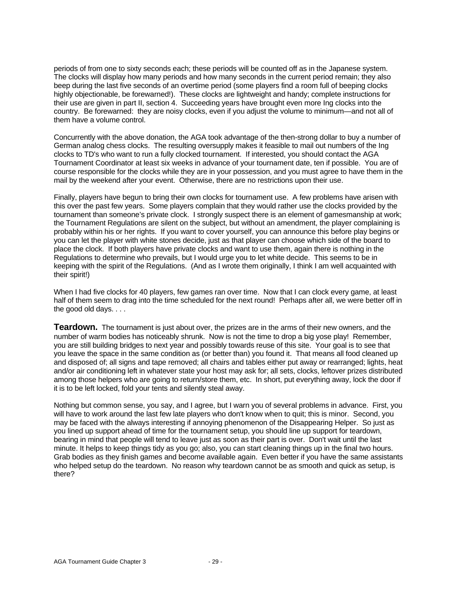periods of from one to sixty seconds each; these periods will be counted off as in the Japanese system. The clocks will display how many periods and how many seconds in the current period remain; they also beep during the last five seconds of an overtime period (some players find a room full of beeping clocks highly objectionable, be forewarned!). These clocks are lightweight and handy; complete instructions for their use are given in part II, section 4. Succeeding years have brought even more Ing clocks into the country. Be forewarned: they are noisy clocks, even if you adjust the volume to minimum—and not all of them have a volume control.

Concurrently with the above donation, the AGA took advantage of the then-strong dollar to buy a number of German analog chess clocks. The resulting oversupply makes it feasible to mail out numbers of the Ing clocks to TD's who want to run a fully clocked tournament. If interested, you should contact the AGA Tournament Coordinator at least six weeks in advance of your tournament date, ten if possible. You are of course responsible for the clocks while they are in your possession, and you must agree to have them in the mail by the weekend after your event. Otherwise, there are no restrictions upon their use.

Finally, players have begun to bring their own clocks for tournament use. A few problems have arisen with this over the past few years. Some players complain that they would rather use the clocks provided by the tournament than someone's private clock. I strongly suspect there is an element of gamesmanship at work; the Tournament Regulations are silent on the subject, but without an amendment, the player complaining is probably within his or her rights. If you want to cover yourself, you can announce this before play begins or you can let the player with white stones decide, just as that player can choose which side of the board to place the clock. If both players have private clocks and want to use them, again there is nothing in the Regulations to determine who prevails, but I would urge you to let white decide. This seems to be in keeping with the spirit of the Regulations. (And as I wrote them originally, I think I am well acquainted with their spirit!)

When I had five clocks for 40 players, few games ran over time. Now that I can clock every game, at least half of them seem to drag into the time scheduled for the next round! Perhaps after all, we were better off in the good old days. . . .

**Teardown.** The tournament is just about over, the prizes are in the arms of their new owners, and the number of warm bodies has noticeably shrunk. Now is not the time to drop a big yose play! Remember, you are still building bridges to next year and possibly towards reuse of this site. Your goal is to see that you leave the space in the same condition as (or better than) you found it. That means all food cleaned up and disposed of; all signs and tape removed; all chairs and tables either put away or rearranged; lights, heat and/or air conditioning left in whatever state your host may ask for; all sets, clocks, leftover prizes distributed among those helpers who are going to return/store them, etc. In short, put everything away, lock the door if it is to be left locked, fold your tents and silently steal away.

Nothing but common sense, you say, and I agree, but I warn you of several problems in advance. First, you will have to work around the last few late players who don't know when to quit; this is minor. Second, you may be faced with the always interesting if annoying phenomenon of the Disappearing Helper. So just as you lined up support ahead of time for the tournament setup, you should line up support for teardown, bearing in mind that people will tend to leave just as soon as their part is over. Don't wait until the last minute. It helps to keep things tidy as you go; also, you can start cleaning things up in the final two hours. Grab bodies as they finish games and become available again. Even better if you have the same assistants who helped setup do the teardown. No reason why teardown cannot be as smooth and quick as setup, is there?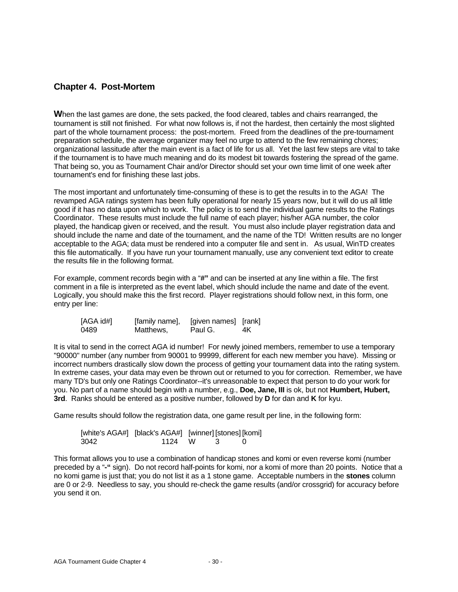#### **Chapter 4. Post-Mortem**

When the last games are done, the sets packed, the food cleared, tables and chairs rearranged, the tournament is still not finished. For what now follows is, if not the hardest, then certainly the most slighted part of the whole tournament process: the post-mortem. Freed from the deadlines of the pre-tournament preparation schedule, the average organizer may feel no urge to attend to the few remaining chores; organizational lassitude after the main event is a fact of life for us all. Yet the last few steps are vital to take if the tournament is to have much meaning and do its modest bit towards fostering the spread of the game. That being so, you as Tournament Chair and/or Director should set your own time limit of one week after tournament's end for finishing these last jobs.

The most important and unfortunately time-consuming of these is to get the results in to the AGA! The revamped AGA ratings system has been fully operational for nearly 15 years now, but it will do us all little good if it has no data upon which to work. The policy is to send the individual game results to the Ratings Coordinator. These results must include the full name of each player; his/her AGA number, the color played, the handicap given or received, and the result. You must also include player registration data and should include the name and date of the tournament, and the name of the TD! Written results are no longer acceptable to the AGA; data must be rendered into a computer file and sent in. As usual, WinTD creates this file automatically. If you have run your tournament manually, use any convenient text editor to create the results file in the following format.

For example, comment records begin with a "**#"** and can be inserted at any line within a file. The first comment in a file is interpreted as the event label, which should include the name and date of the event. Logically, you should make this the first record. Player registrations should follow next, in this form, one entry per line:

| [AGA id#] | [family name], | [given names] [rank] |    |
|-----------|----------------|----------------------|----|
| 0489      | Matthews,      | Paul G.              | 4K |

It is vital to send in the correct AGA id number! For newly joined members, remember to use a temporary "90000" number (any number from 90001 to 99999, different for each new member you have). Missing or incorrect numbers drastically slow down the process of getting your tournament data into the rating system. In extreme cases, your data may even be thrown out or returned to you for correction. Remember, we have many TD's but only one Ratings Coordinator--it's unreasonable to expect that person to do your work for you. No part of a name should begin with a number, e.g., **Doe, Jane, III** is ok, but not **Humbert, Hubert, 3rd**. Ranks should be entered as a positive number, followed by **D** for dan and **K** for kyu.

Game results should follow the registration data, one game result per line, in the following form:

|      | [white's AGA#] [black's AGA#] [winner] [stones] [komi] |          |  |
|------|--------------------------------------------------------|----------|--|
| 3042 | 1124 W                                                 | $\sim$ 3 |  |

This format allows you to use a combination of handicap stones and komi or even reverse komi (number preceded by a "**-"** sign). Do not record half-points for komi, nor a komi of more than 20 points. Notice that a no komi game is just that; you do not list it as a 1 stone game. Acceptable numbers in the **stones** column are 0 or 2-9. Needless to say, you should re-check the game results (and/or crossgrid) for accuracy before you send it on.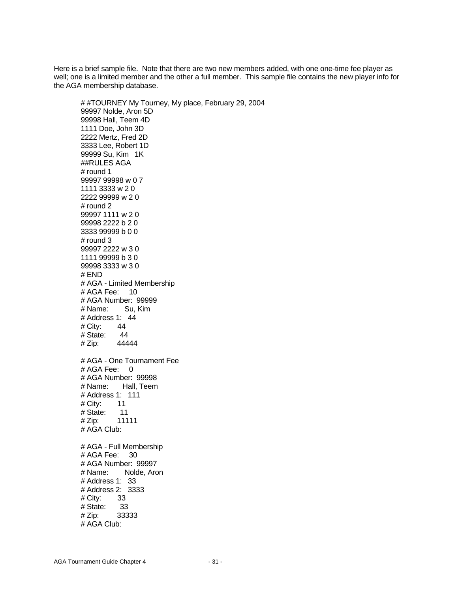Here is a brief sample file. Note that there are two new members added, with one one-time fee player as well; one is a limited member and the other a full member. This sample file contains the new player info for the AGA membership database.

# #TOURNEY My Tourney, My place, February 29, 2004 99997 Nolde, Aron 5D 99998 Hall, Teem 4D 1111 Doe, John 3D 2222 Mertz, Fred 2D 3333 Lee, Robert 1D 99999 Su, Kim 1K ##RULES AGA # round 1 99997 99998 w 0 7 1111 3333 w 2 0 2222 99999 w 2 0 # round 2 99997 1111 w 2 0 99998 2222 b 2 0 3333 99999 b 0 0 # round 3 99997 2222 w 3 0 1111 99999 b 3 0 99998 3333 w 3 0 # END # AGA - Limited Membership # AGA Fee: 10 # AGA Number: 99999 # Name: Su, Kim # Address 1: 44 # City: 44 # State: 44 # Zip: 44444 # AGA - One Tournament Fee # AGA Fee: 0 # AGA Number: 99998 # Name: Hall, Teem # Address 1: 111 # City: 11 # State: 11 # Zip: 11111 # AGA Club: # AGA - Full Membership # AGA Fee: 30 # AGA Number: 99997 # Name: Nolde, Aron # Address 1: 33 # Address 2: 3333 # City: 33 # State: 33 # Zip: 33333 # AGA Club: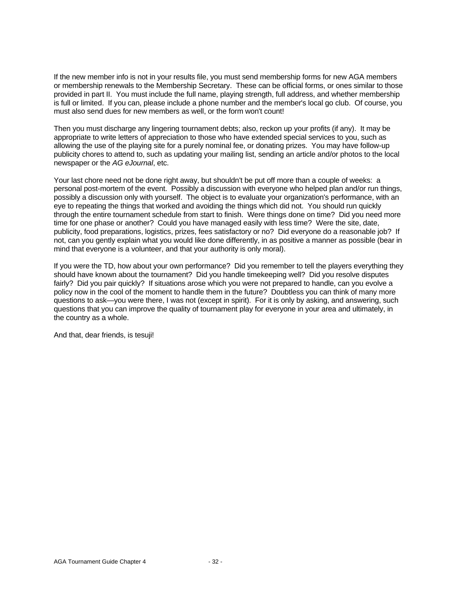If the new member info is not in your results file, you must send membership forms for new AGA members or membership renewals to the Membership Secretary. These can be official forms, or ones similar to those provided in part II. You must include the full name, playing strength, full address, and whether membership is full or limited. If you can, please include a phone number and the member's local go club. Of course, you must also send dues for new members as well, or the form won't count!

Then you must discharge any lingering tournament debts; also, reckon up your profits (if any). It may be appropriate to write letters of appreciation to those who have extended special services to you, such as allowing the use of the playing site for a purely nominal fee, or donating prizes. You may have follow-up publicity chores to attend to, such as updating your mailing list, sending an article and/or photos to the local newspaper or the *AG eJournal*, etc.

Your last chore need not be done right away, but shouldn't be put off more than a couple of weeks: a personal post-mortem of the event. Possibly a discussion with everyone who helped plan and/or run things, possibly a discussion only with yourself. The object is to evaluate your organization's performance, with an eye to repeating the things that worked and avoiding the things which did not. You should run quickly through the entire tournament schedule from start to finish. Were things done on time? Did you need more time for one phase or another? Could you have managed easily with less time? Were the site, date, publicity, food preparations, logistics, prizes, fees satisfactory or no? Did everyone do a reasonable job? If not, can you gently explain what you would like done differently, in as positive a manner as possible (bear in mind that everyone is a volunteer, and that your authority is only moral).

If you were the TD, how about your own performance? Did you remember to tell the players everything they should have known about the tournament? Did you handle timekeeping well? Did you resolve disputes fairly? Did you pair quickly? If situations arose which you were not prepared to handle, can you evolve a policy now in the cool of the moment to handle them in the future? Doubtless you can think of many more questions to ask—you were there, I was not (except in spirit). For it is only by asking, and answering, such questions that you can improve the quality of tournament play for everyone in your area and ultimately, in the country as a whole.

And that, dear friends, is tesuji!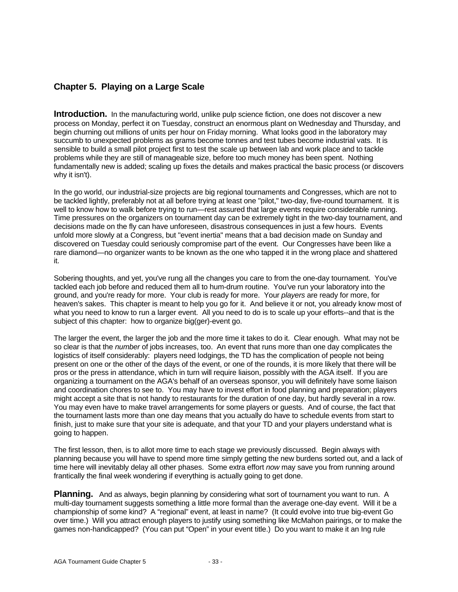#### **Chapter 5. Playing on a Large Scale**

**Introduction.** In the manufacturing world, unlike pulp science fiction, one does not discover a new process on Monday, perfect it on Tuesday, construct an enormous plant on Wednesday and Thursday, and begin churning out millions of units per hour on Friday morning. What looks good in the laboratory may succumb to unexpected problems as grams become tonnes and test tubes become industrial vats. It is sensible to build a small pilot project first to test the scale up between lab and work place and to tackle problems while they are still of manageable size, before too much money has been spent. Nothing fundamentally new is added; scaling up fixes the details and makes practical the basic process (or discovers why it isn't).

In the go world, our industrial-size projects are big regional tournaments and Congresses, which are not to be tackled lightly, preferably not at all before trying at least one "pilot," two-day, five-round tournament. It is well to know how to walk before trying to run—rest assured that large events require considerable running. Time pressures on the organizers on tournament day can be extremely tight in the two-day tournament, and decisions made on the fly can have unforeseen, disastrous consequences in just a few hours. Events unfold more slowly at a Congress, but "event inertia" means that a bad decision made on Sunday and discovered on Tuesday could seriously compromise part of the event. Our Congresses have been like a rare diamond—no organizer wants to be known as the one who tapped it in the wrong place and shattered it.

Sobering thoughts, and yet, you've rung all the changes you care to from the one-day tournament. You've tackled each job before and reduced them all to hum-drum routine. You've run your laboratory into the ground, and you're ready for more. Your club is ready for more. Your *players* are ready for more, for heaven's sakes. This chapter is meant to help you go for it. And believe it or not, you already know most of what you need to know to run a larger event. All you need to do is to scale up your efforts--and that is the subject of this chapter: how to organize big(ger)-event go.

The larger the event, the larger the job and the more time it takes to do it. Clear enough. What may not be so clear is that the *number* of jobs increases, too. An event that runs more than one day complicates the logistics of itself considerably: players need lodgings, the TD has the complication of people not being present on one or the other of the days of the event, or one of the rounds, it is more likely that there will be pros or the press in attendance, which in turn will require liaison, possibly with the AGA itself. If you are organizing a tournament on the AGA's behalf of an overseas sponsor, you will definitely have some liaison and coordination chores to see to. You may have to invest effort in food planning and preparation; players might accept a site that is not handy to restaurants for the duration of one day, but hardly several in a row. You may even have to make travel arrangements for some players or guests. And of course, the fact that the tournament lasts more than one day means that you actually do have to schedule events from start to finish, just to make sure that your site is adequate, and that your TD and your players understand what is going to happen.

The first lesson, then, is to allot more time to each stage we previously discussed. Begin always with planning because you will have to spend more time simply getting the new burdens sorted out, and a lack of time here will inevitably delay all other phases. Some extra effort *now* may save you from running around frantically the final week wondering if everything is actually going to get done.

**Planning.** And as always, begin planning by considering what sort of tournament you want to run. A multi-dav tournament suggests something a little more formal than the average one-day event. Will it be a championship of some kind? A "regional" event, at least in name? (It could evolve into true big-event Go over time.) Will you attract enough players to justify using something like McMahon pairings, or to make the games non-handicapped? (You can put "Open" in your event title.) Do you want to make it an Ing rule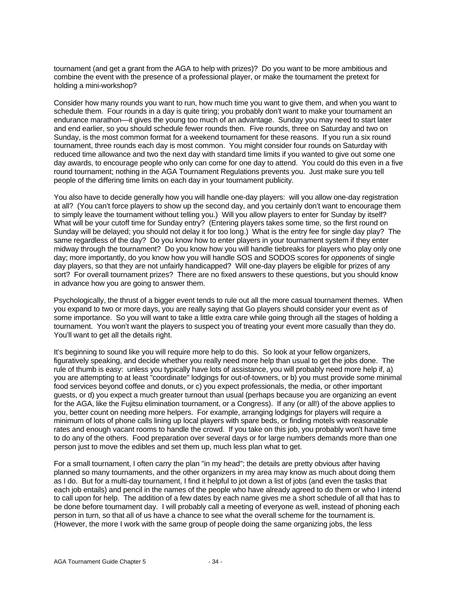tournament (and get a grant from the AGA to help with prizes)? Do you want to be more ambitious and combine the event with the presence of a professional player, or make the tournament the pretext for holding a mini-workshop?

Consider how many rounds you want to run, how much time you want to give them, and when you want to schedule them. Four rounds in a day is quite tiring; you probably don't want to make your tournament an endurance marathon—it gives the young too much of an advantage. Sunday you may need to start later and end earlier, so you should schedule fewer rounds then. Five rounds, three on Saturday and two on Sunday, is the most common format for a weekend tournament for these reasons. If you run a six round tournament, three rounds each day is most common. You might consider four rounds on Saturday with reduced time allowance and two the next day with standard time limits if you wanted to give out some one day awards, to encourage people who only can come for one day to attend. You could do this even in a five round tournament; nothing in the AGA Tournament Regulations prevents you. Just make sure you tell people of the differing time limits on each day in your tournament publicity.

You also have to decide generally how you will handle one-day players: will you allow one-day registration at all? (You can't force players to show up the second day, and you certainly don't want to encourage them to simply leave the tournament without telling you.) Will you allow players to enter for Sunday by itself? What will be your cutoff time for Sunday entry? (Entering players takes some time, so the first round on Sunday will be delayed; you should not delay it for too long.) What is the entry fee for single day play? The same regardless of the day? Do you know how to enter players in your tournament system if they enter midway through the tournament? Do you know how you will handle tiebreaks for players who play only one day; more importantly, do you know how you will handle SOS and SODOS scores for *opponents* of single day players, so that they are not unfairly handicapped? Will one-day players be eligible for prizes of any sort? For overall tournament prizes? There are no fixed answers to these questions, but you should know in advance how you are going to answer them.

Psychologically, the thrust of a bigger event tends to rule out all the more casual tournament themes. When you expand to two or more days, you are really saying that Go players should consider your event as of some importance. So you will want to take a little extra care while going through all the stages of holding a tournament. You won't want the players to suspect you of treating your event more casually than they do. You'll want to get all the details right.

It's beginning to sound like you will require more help to do this. So look at your fellow organizers, figuratively speaking, and decide whether you really need more help than usual to get the jobs done. The rule of thumb is easy: unless you typically have lots of assistance, you will probably need more help if, a) you are attempting to at least "coordinate" lodgings for out-of-towners, or b) you must provide some minimal food services beyond coffee and donuts, or c) you expect professionals, the media, or other important guests, or d) you expect a much greater turnout than usual (perhaps because you are organizing an event for the AGA, like the Fujitsu elimination tournament, or a Congress). If any (or all!) of the above applies to you, better count on needing more helpers. For example, arranging lodgings for players will require a minimum of lots of phone calls lining up local players with spare beds, or finding motels with reasonable rates and enough vacant rooms to handle the crowd. If you take on this job, you probably won't have time to do any of the others. Food preparation over several days or for large numbers demands more than one person just to move the edibles and set them up, much less plan what to get.

For a small tournament, I often carry the plan "in my head"; the details are pretty obvious after having planned so many tournaments, and the other organizers in my area may know as much about doing them as I do. But for a multi-day tournament, I find it helpful to jot down a list of jobs (and even the tasks that each job entails) and pencil in the names of the people who have already agreed to do them or who I intend to call upon for help. The addition of a few dates by each name gives me a short schedule of all that has to be done before tournament day. I will probably call a meeting of everyone as well, instead of phoning each person in turn, so that all of us have a chance to see what the overall scheme for the tournament is. (However, the more I work with the same group of people doing the same organizing jobs, the less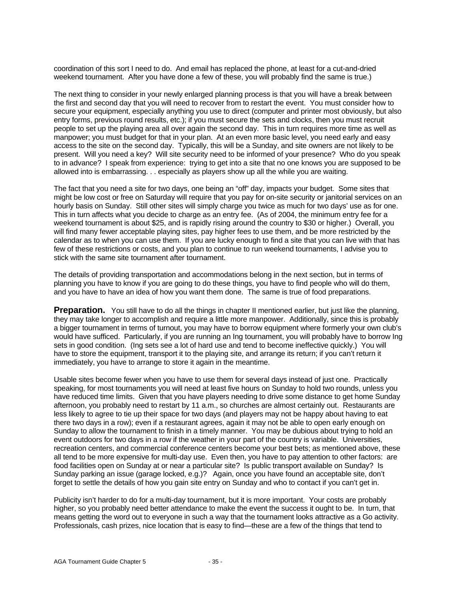coordination of this sort I need to do. And email has replaced the phone, at least for a cut-and-dried weekend tournament. After you have done a few of these, you will probably find the same is true.)

The next thing to consider in your newly enlarged planning process is that you will have a break between the first and second day that you will need to recover from to restart the event. You must consider how to secure your equipment, especially anything you use to direct (computer and printer most obviously, but also entry forms, previous round results, etc.); if you must secure the sets and clocks, then you must recruit people to set up the playing area all over again the second day. This in turn requires more time as well as manpower; you must budget for that in your plan. At an even more basic level, you need early and easy access to the site on the second day. Typically, this will be a Sunday, and site owners are not likely to be present. Will you need a key? Will site security need to be informed of your presence? Who do you speak to in advance? I speak from experience: trying to get into a site that no one knows you are supposed to be allowed into is embarrassing. . . especially as players show up all the while you are waiting.

The fact that you need a site for two days, one being an "off" day, impacts your budget. Some sites that might be low cost or free on Saturday will require that you pay for on-site security or janitorial services on an hourly basis on Sunday. Still other sites will simply charge you twice as much for two days' use as for one. This in turn affects what you decide to charge as an entry fee. (As of 2004, the minimum entry fee for a weekend tournament is about \$25, and is rapidly rising around the country to \$30 or higher.) Overall, you will find many fewer acceptable playing sites, pay higher fees to use them, and be more restricted by the calendar as to when you can use them. If you are lucky enough to find a site that you can live with that has few of these restrictions or costs, and you plan to continue to run weekend tournaments, I advise you to stick with the same site tournament after tournament.

The details of providing transportation and accommodations belong in the next section, but in terms of planning you have to know if you are going to do these things, you have to find people who will do them, and you have to have an idea of how you want them done. The same is true of food preparations.

**Preparation.** You still have to do all the things in chapter II mentioned earlier, but just like the planning, they may take longer to accomplish and require a little more manpower. Additionally, since this is probably a bigger tournament in terms of turnout, you may have to borrow equipment where formerly your own club's would have sufficed. Particularly, if you are running an Ing tournament, you will probably have to borrow Ing sets in good condition. (Ing sets see a lot of hard use and tend to become ineffective quickly.) You will have to store the equipment, transport it to the playing site, and arrange its return; if you can't return it immediately, you have to arrange to store it again in the meantime.

Usable sites become fewer when you have to use them for several days instead of just one. Practically speaking, for most tournaments you will need at least five hours on Sunday to hold two rounds, unless you have reduced time limits. Given that you have players needing to drive some distance to get home Sunday afternoon, you probably need to restart by 11 a.m., so churches are almost certainly out. Restaurants are less likely to agree to tie up their space for two days (and players may not be happy about having to eat there two days in a row); even if a restaurant agrees, again it may not be able to open early enough on Sunday to allow the tournament to finish in a timely manner. You may be dubious about trying to hold an event outdoors for two days in a row if the weather in your part of the country is variable. Universities, recreation centers, and commercial conference centers become your best bets; as mentioned above, these all tend to be more expensive for multi-day use. Even then, you have to pay attention to other factors: are food facilities open on Sunday at or near a particular site? Is public transport available on Sunday? Is Sunday parking an issue (garage locked, e.g.)? Again, once you have found an acceptable site, don't forget to settle the details of how you gain site entry on Sunday and who to contact if you can't get in.

Publicity isn't harder to do for a multi-day tournament, but it is more important. Your costs are probably higher, so you probably need better attendance to make the event the success it ought to be. In turn, that means getting the word out to everyone in such a way that the tournament looks attractive as a Go activity. Professionals, cash prizes, nice location that is easy to find—these are a few of the things that tend to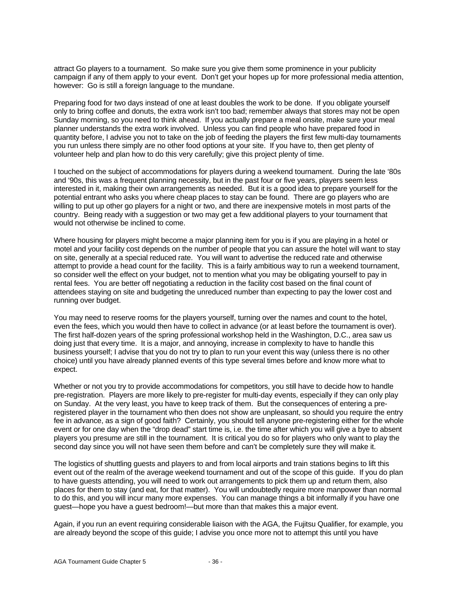attract Go players to a tournament. So make sure you give them some prominence in your publicity campaign if any of them apply to your event. Don't get your hopes up for more professional media attention, however: Go is still a foreign language to the mundane.

Preparing food for two days instead of one at least doubles the work to be done. If you obligate yourself only to bring coffee and donuts, the extra work isn't too bad; remember always that stores may not be open Sunday morning, so you need to think ahead. If you actually prepare a meal onsite, make sure your meal planner understands the extra work involved. Unless you can find people who have prepared food in quantity before, I advise you not to take on the job of feeding the players the first few multi-day tournaments you run unless there simply are no other food options at your site. If you have to, then get plenty of volunteer help and plan how to do this very carefully; give this project plenty of time.

I touched on the subject of accommodations for players during a weekend tournament. During the late '80s and '90s, this was a frequent planning necessity, but in the past four or five years, players seem less interested in it, making their own arrangements as needed. But it is a good idea to prepare yourself for the potential entrant who asks you where cheap places to stay can be found. There are go players who are willing to put up other go players for a night or two, and there are inexpensive motels in most parts of the country. Being ready with a suggestion or two may get a few additional players to your tournament that would not otherwise be inclined to come.

Where housing for players might become a major planning item for you is if you are playing in a hotel or motel and your facility cost depends on the number of people that you can assure the hotel will want to stay on site, generally at a special reduced rate. You will want to advertise the reduced rate and otherwise attempt to provide a head count for the facility. This is a fairly ambitious way to run a weekend tournament, so consider well the effect on your budget, not to mention what you may be obligating yourself to pay in rental fees. You are better off negotiating a reduction in the facility cost based on the final count of attendees staying on site and budgeting the unreduced number than expecting to pay the lower cost and running over budget.

You may need to reserve rooms for the players yourself, turning over the names and count to the hotel, even the fees, which you would then have to collect in advance (or at least before the tournament is over). The first half-dozen years of the spring professional workshop held in the Washington, D.C., area saw us doing just that every time. It is a major, and annoying, increase in complexity to have to handle this business yourself; I advise that you do not try to plan to run your event this way (unless there is no other choice) until you have already planned events of this type several times before and know more what to expect.

Whether or not you try to provide accommodations for competitors, you still have to decide how to handle pre-registration. Players are more likely to pre-register for multi-day events, especially if they can only play on Sunday. At the very least, you have to keep track of them. But the consequences of entering a preregistered player in the tournament who then does not show are unpleasant, so should you require the entry fee in advance, as a sign of good faith? Certainly, you should tell anyone pre-registering either for the whole event or for one day when the "drop dead" start time is, i.e. the time after which you will give a bye to absent players you presume are still in the tournament. It is critical you do so for players who only want to play the second day since you will not have seen them before and can't be completely sure they will make it.

The logistics of shuttling guests and players to and from local airports and train stations begins to lift this event out of the realm of the average weekend tournament and out of the scope of this guide. If you do plan to have guests attending, you will need to work out arrangements to pick them up and return them, also places for them to stay (and eat, for that matter). You will undoubtedly require more manpower than normal to do this, and you will incur many more expenses. You can manage things a bit informally if you have one guest—hope you have a guest bedroom!—but more than that makes this a major event.

Again, if you run an event requiring considerable liaison with the AGA, the Fujitsu Qualifier, for example, you are already beyond the scope of this guide; I advise you once more not to attempt this until you have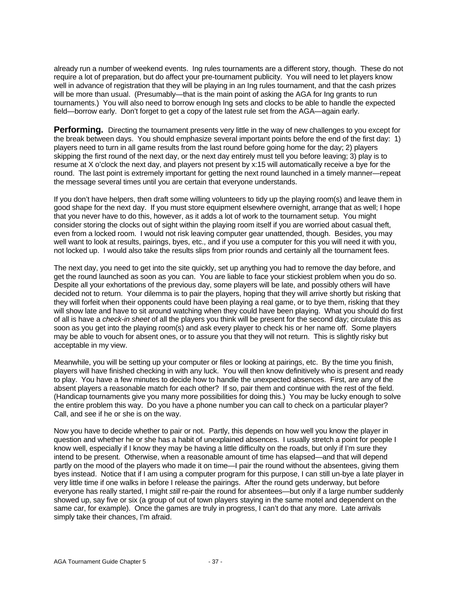already run a number of weekend events. Ing rules tournaments are a different story, though. These do not require a lot of preparation, but do affect your pre-tournament publicity. You will need to let players know well in advance of registration that they will be playing in an Ing rules tournament, and that the cash prizes will be more than usual. (Presumably—that is the main point of asking the AGA for Ing grants to run tournaments.) You will also need to borrow enough Ing sets and clocks to be able to handle the expected field—borrow early. Don't forget to get a copy of the latest rule set from the AGA—again early.

**Performing.** Directing the tournament presents very little in the way of new challenges to you except for the break between days. You should emphasize several important points before the end of the first day: 1) players need to turn in all game results from the last round before going home for the day; 2) players skipping the first round of the next day, or the next day entirely must tell you before leaving; 3) play is to resume at X o'clock the next day, and players not present by x:15 will automatically receive a bye for the round. The last point is extremely important for getting the next round launched in a timely manner—repeat the message several times until you are certain that everyone understands.

If you don't have helpers, then draft some willing volunteers to tidy up the playing room(s) and leave them in good shape for the next day. If you must store equipment elsewhere overnight, arrange that as well; I hope that you never have to do this, however, as it adds a lot of work to the tournament setup. You might consider storing the clocks out of sight within the playing room itself if you are worried about casual theft, even from a locked room. I would not risk leaving computer gear unattended, though. Besides, you may well want to look at results, pairings, byes, etc., and if you use a computer for this you will need it with you, not locked up. I would also take the results slips from prior rounds and certainly all the tournament fees.

The next day, you need to get into the site quickly, set up anything you had to remove the day before, and get the round launched as soon as you can. You are liable to face your stickiest problem when you do so. Despite all your exhortations of the previous day, some players will be late, and possibly others will have decided not to return. Your dilemma is to pair the players, hoping that they will arrive shortly but risking that they will forfeit when their opponents could have been playing a real game, or to bye them, risking that they will show late and have to sit around watching when they could have been playing. What you should do first of all is have a *check-in sheet* of all the players you think will be present for the second day; circulate this as soon as you get into the playing room(s) and ask every player to check his or her name off. Some players may be able to vouch for absent ones, or to assure you that they will not return. This is slightly risky but acceptable in my view.

Meanwhile, you will be setting up your computer or files or looking at pairings, etc. By the time you finish, players will have finished checking in with any luck. You will then know definitively who is present and ready to play. You have a few minutes to decide how to handle the unexpected absences. First, are any of the absent players a reasonable match for each other? If so, pair them and continue with the rest of the field. (Handicap tournaments give you many more possibilities for doing this.) You may be lucky enough to solve the entire problem this way. Do you have a phone number you can call to check on a particular player? Call, and see if he or she is on the way.

Now you have to decide whether to pair or not. Partly, this depends on how well you know the player in question and whether he or she has a habit of unexplained absences. I usually stretch a point for people I know well, especially if I know they may be having a little difficulty on the roads, but only if I'm sure they intend to be present. Otherwise, when a reasonable amount of time has elapsed—and that will depend partly on the mood of the players who made it on time—I pair the round without the absentees, giving them byes instead. Notice that if I am using a computer program for this purpose, I can still un-bye a late player in very little time if one walks in before I release the pairings. After the round gets underway, but before everyone has really started, I might *still* re-pair the round for absentees—but only if a large number suddenly showed up, say five or six (a group of out of town players staying in the same motel and dependent on the same car, for example). Once the games are truly in progress, I can't do that any more. Late arrivals simply take their chances, I'm afraid.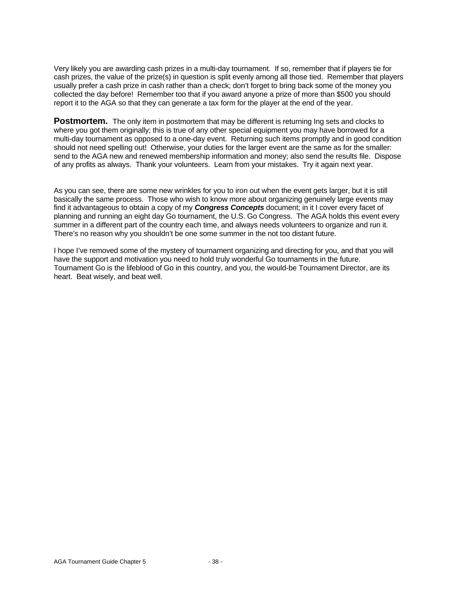Very likely you are awarding cash prizes in a multi-day tournament. If so, remember that if players tie for cash prizes, the value of the prize(s) in question is split evenly among all those tied. Remember that players usually prefer a cash prize in cash rather than a check; don't forget to bring back some of the money you collected the day before! Remember too that if you award anyone a prize of more than \$500 you should report it to the AGA so that they can generate a tax form for the player at the end of the year.

**Postmortem.** The only item in postmortem that may be different is returning Ing sets and clocks to where you got them originally; this is true of any other special equipment you may have borrowed for a multi-day tournament as opposed to a one-day event. Returning such items promptly and in good condition should not need spelling out! Otherwise, your duties for the larger event are the same as for the smaller: send to the AGA new and renewed membership information and money; also send the results file. Dispose of any profits as always. Thank your volunteers. Learn from your mistakes. Try it again next year.

As you can see, there are some new wrinkles for you to iron out when the event gets larger, but it is still basically the same process. Those who wish to know more about organizing genuinely large events may find it advantageous to obtain a copy of my *Congress Concepts* document; in it I cover every facet of planning and running an eight day Go tournament, the U.S. Go Congress. The AGA holds this event every summer in a different part of the country each time, and always needs volunteers to organize and run it. There's no reason why you shouldn't be one some summer in the not too distant future.

I hope I've removed some of the mystery of tournament organizing and directing for you, and that you will have the support and motivation you need to hold truly wonderful Go tournaments in the future. Tournament Go is the lifeblood of Go in this country, and you, the would-be Tournament Director, are its heart. Beat wisely, and beat well.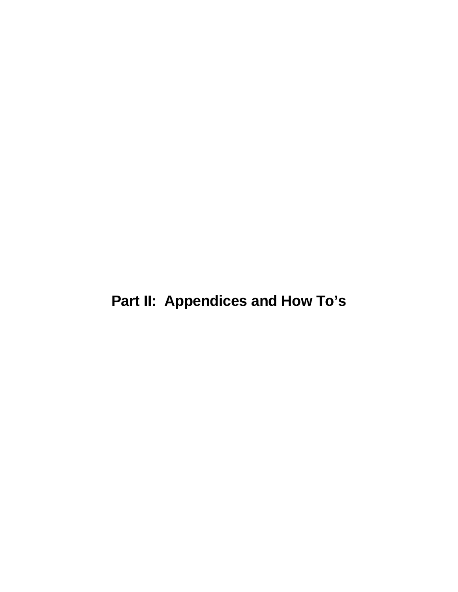**Part II: Appendices and How To's**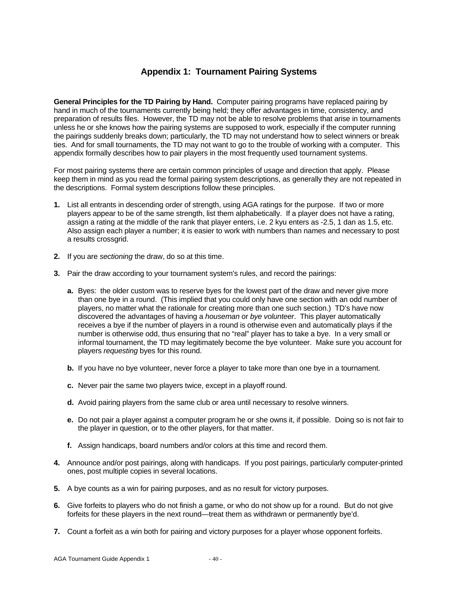#### **Appendix 1: Tournament Pairing Systems**

**General Principles for the TD Pairing by Hand.** Computer pairing programs have replaced pairing by hand in much of the tournaments currently being held; they offer advantages in time, consistency, and preparation of results files. However, the TD may not be able to resolve problems that arise in tournaments unless he or she knows how the pairing systems are supposed to work, especially if the computer running the pairings suddenly breaks down; particularly, the TD may not understand how to select winners or break ties. And for small tournaments, the TD may not want to go to the trouble of working with a computer. This appendix formally describes how to pair players in the most frequently used tournament systems.

For most pairing systems there are certain common principles of usage and direction that apply. Please keep them in mind as you read the formal pairing system descriptions, as generally they are not repeated in the descriptions. Formal system descriptions follow these principles.

- **1.** List all entrants in descending order of strength, using AGA ratings for the purpose. If two or more players appear to be of the same strength, list them alphabetically. If a player does not have a rating, assign a rating at the middle of the rank that player enters, i.e. 2 kyu enters as -2.5, 1 dan as 1.5, etc. Also assign each player a number; it is easier to work with numbers than names and necessary to post a results crossgrid.
- **2.** If you are *sectioning* the draw, do so at this time.
- **3.** Pair the draw according to your tournament system's rules, and record the pairings:
	- **a.** Byes: the older custom was to reserve byes for the lowest part of the draw and never give more than one bye in a round. (This implied that you could only have one section with an odd number of players, no matter what the rationale for creating more than one such section.) TD's have now discovered the advantages of having a *houseman* or *bye volunteer*. This player automatically receives a bye if the number of players in a round is otherwise even and automatically plays if the number is otherwise odd, thus ensuring that no "real" player has to take a bye. In a very small or informal tournament, the TD may legitimately become the bye volunteer. Make sure you account for players *requesting* byes for this round.
	- **b.** If you have no bye volunteer, never force a player to take more than one bye in a tournament.
	- **c.** Never pair the same two players twice, except in a playoff round.
	- **d.** Avoid pairing players from the same club or area until necessary to resolve winners.
	- **e.** Do not pair a player against a computer program he or she owns it, if possible. Doing so is not fair to the player in question, or to the other players, for that matter.
	- **f.** Assign handicaps, board numbers and/or colors at this time and record them.
- **4.** Announce and/or post pairings, along with handicaps. If you post pairings, particularly computer-printed ones, post multiple copies in several locations.
- **5.** A bye counts as a win for pairing purposes, and as no result for victory purposes.
- **6.** Give forfeits to players who do not finish a game, or who do not show up for a round. But do not give forfeits for these players in the next round—treat them as withdrawn or permanently bye'd.
- **7.** Count a forfeit as a win both for pairing and victory purposes for a player whose opponent forfeits.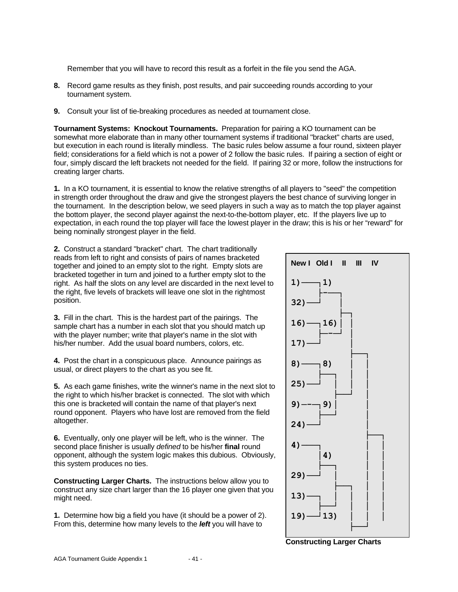Remember that you will have to record this result as a forfeit in the file you send the AGA.

- **8.** Record game results as they finish, post results, and pair succeeding rounds according to your tournament system.
- **9.** Consult your list of tie-breaking procedures as needed at tournament close.

**Tournament Systems: Knockout Tournaments.** Preparation for pairing a KO tournament can be somewhat more elaborate than in many other tournament systems if traditional "bracket" charts are used, but execution in each round is literally mindless. The basic rules below assume a four round, sixteen player field; considerations for a field which is not a power of 2 follow the basic rules. If pairing a section of eight or four, simply discard the left brackets not needed for the field. If pairing 32 or more, follow the instructions for creating larger charts.

**1.** In a KO tournament, it is essential to know the relative strengths of all players to "seed" the competition in strength order throughout the draw and give the strongest players the best chance of surviving longer in the tournament. In the description below, we seed players in such a way as to match the top player against the bottom player, the second player against the next-to-the-bottom player, etc. If the players live up to expectation, in each round the top player will face the lowest player in the draw; this is his or her "reward" for being nominally strongest player in the field.

**2.** Construct a standard "bracket" chart. The chart traditionally reads from left to right and consists of pairs of names bracketed together and joined to an empty slot to the right. Empty slots are bracketed together in turn and joined to a further empty slot to the right. As half the slots on any level are discarded in the next level to the right, five levels of brackets will leave one slot in the rightmost position.

**3.** Fill in the chart. This is the hardest part of the pairings. The sample chart has a number in each slot that you should match up with the player number; write that player's name in the slot with his/her number. Add the usual board numbers, colors, etc.

**4.** Post the chart in a conspicuous place. Announce pairings as usual, or direct players to the chart as you see fit.

**5.** As each game finishes, write the winner's name in the next slot to the right to which his/her bracket is connected. The slot with which this one is bracketed will contain the name of that player's next round opponent. Players who have lost are removed from the field altogether.

**6.** Eventually, only one player will be left, who is the winner. The second place finisher is usually *defined* to be his/her **final** round opponent, although the system logic makes this dubious. Obviously, this system produces no ties.

**Constructing Larger Charts.** The instructions below allow you to construct any size chart larger than the 16 player one given that you might need.

**1.** Determine how big a field you have (it should be a power of 2). From this, determine how many levels to the *left* you will have to



**Constructing Larger Charts**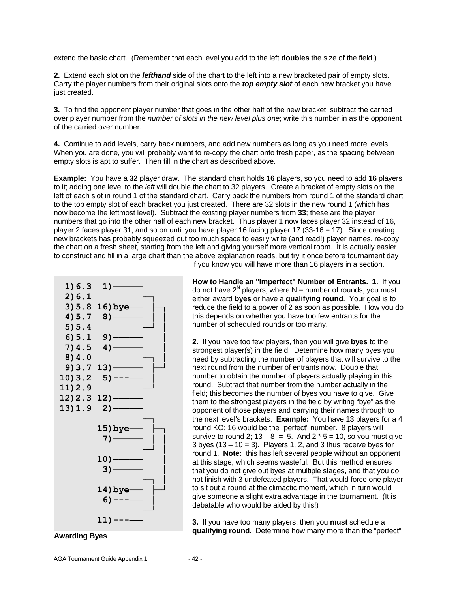extend the basic chart. (Remember that each level you add to the left **doubles** the size of the field.)

**2.** Extend each slot on the *lefthand* side of the chart to the left into a new bracketed pair of empty slots. Carry the player numbers from their original slots onto the *top empty slot* of each new bracket you have just created.

**3.** To find the opponent player number that goes in the other half of the new bracket, subtract the carried over player number from the *number of slots in the new level plus one*; write this number in as the opponent of the carried over number.

**4.** Continue to add levels, carry back numbers, and add new numbers as long as you need more levels. When you are done, you will probably want to re-copy the chart onto fresh paper, as the spacing between empty slots is apt to suffer. Then fill in the chart as described above.

**Example:** You have a **32** player draw. The standard chart holds **16** players, so you need to add **16** players to it; adding one level to the *left* will double the chart to 32 players. Create a bracket of empty slots on the left of each slot in round 1 of the standard chart. Carry back the numbers from round 1 of the standard chart to the top empty slot of each bracket you just created. There are 32 slots in the new round 1 (which has now become the leftmost level). Subtract the existing player numbers from **33**; these are the player numbers that go into the other half of each new bracket. Thus player 1 now faces player 32 instead of 16, player 2 faces player 31, and so on until you have player 16 facing player 17 (33-16 = 17). Since creating new brackets has probably squeezed out too much space to easily write (and read!) player names, re-copy the chart on a fresh sheet, starting from the left and giving yourself more vertical room. It is actually easier to construct and fill in a large chart than the above explanation reads, but try it once before tournament day



**Awarding Byes**

if you know you will have more than 16 players in a section.

**How to Handle an "Imperfect" Number of Entrants. 1.** If you do not have  $2^N$  players, where N = number of rounds, you must either award **byes** or have a **qualifying round**. Your goal is to reduce the field to a power of 2 as soon as possible. How you do this depends on whether you have too few entrants for the number of scheduled rounds or too many.

**2.** If you have too few players, then you will give **byes** to the strongest player(s) in the field. Determine how many byes you need by subtracting the number of players that will survive to the next round from the number of entrants now. Double that number to obtain the number of players actually playing in this round. Subtract that number from the number actually in the field; this becomes the number of byes you have to give. Give them to the strongest players in the field by writing "bye" as the opponent of those players and carrying their names through to the next level's brackets. **Example:** You have 13 players for a 4 round KO; 16 would be the "perfect" number. 8 players will survive to round 2;  $13 - 8 = 5$ . And  $2 * 5 = 10$ , so you must give  $3$  byes (13 – 10 = 3). Players 1, 2, and 3 thus receive byes for round 1. **Note:** this has left several people without an opponent at this stage, which seems wasteful. But this method ensures that you do not give out byes at multiple stages, and that you do not finish with 3 undefeated players. That would force one player to sit out a round at the climactic moment, which in turn would give someone a slight extra advantage in the tournament. (It is debatable who would be aided by this!)

**3.** If you have too many players, then you **must** schedule a **qualifying round**. Determine how many more than the "perfect"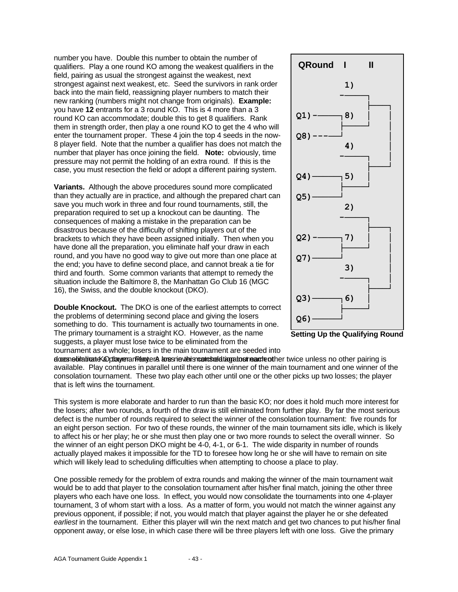number you have. Double this number to obtain the number of qualifiers. Play a one round KO among the weakest qualifiers in the field, pairing as usual the strongest against the weakest, next strongest against next weakest, etc. Seed the survivors in rank order back into the main field, reassigning player numbers to match their new ranking (numbers might not change from originals). **Example:** you have **12** entrants for a 3 round KO. This is 4 more than a 3 round KO can accommodate; double this to get 8 qualifiers. Rank them in strength order, then play a one round KO to get the 4 who will enter the tournament proper. These 4 join the top 4 seeds in the now-8 player field. Note that the number a qualifier has does not match the number that player has once joining the field. **Note:** obviously, time pressure may not permit the holding of an extra round. If this is the case, you must resection the field or adopt a different pairing system.

**Variants.** Although the above procedures sound more complicated than they actually are in practice, and although the prepared chart can save you much work in three and four round tournaments, still, the preparation required to set up a knockout can be daunting. The consequences of making a mistake in the preparation can be disastrous because of the difficulty of shifting players out of the brackets to which they have been assigned initially. Then when you have done all the preparation, you eliminate half your draw in each round, and you have no good way to give out more than one place at the end; you have to define second place, and cannot break a tie for third and fourth. Some common variants that attempt to remedy the situation include the Baltimore 8, the Manhattan Go Club 16 (MGC 16), the Swiss, and the double knockout (DKO).

**Double Knockout.** The DKO is one of the earliest attempts to correct the problems of determining second place and giving the losers something to do. This tournament is actually two tournaments in one. The primary tournament is a straight KO. However, as the name suggests, a player must lose twice to be eliminated from the tournament as a whole; losers in the main tournament are seeded into





dor and the interpretation of the mention of the player of the players of the players of the pairing is a player matched against a player matched against a player matched against each other pairing is available. Play continues in parallel until there is one winner of the main tournament and one winner of the consolation tournament. These two play each other until one or the other picks up two losses; the player that is left wins the tournament.

This system is more elaborate and harder to run than the basic KO; nor does it hold much more interest for the losers; after two rounds, a fourth of the draw is still eliminated from further play. By far the most serious defect is the number of rounds required to select the winner of the consolation tournament: five rounds for an eight person section. For two of these rounds, the winner of the main tournament sits idle, which is likely to affect his or her play; he or she must then play one or two more rounds to select the overall winner. So the winner of an eight person DKO might be 4-0, 4-1, or 6-1. The wide disparity in number of rounds actually played makes it impossible for the TD to foresee how long he or she will have to remain on site which will likely lead to scheduling difficulties when attempting to choose a place to play.

One possible remedy for the problem of extra rounds and making the winner of the main tournament wait would be to add that player to the consolation tournament after his/her final match, joining the other three players who each have one loss. In effect, you would now consolidate the tournaments into one 4-player tournament, 3 of whom start with a loss. As a matter of form, you would not match the winner against any previous opponent, if possible; if not, you would match that player against the player he or she defeated *earliest* in the tournament. Either this player will win the next match and get two chances to put his/her final opponent away, or else lose, in which case there will be three players left with one loss. Give the primary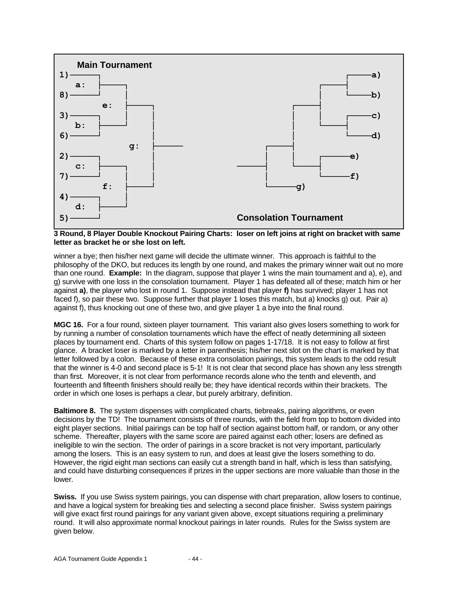



winner a bye; then his/her next game will decide the ultimate winner. This approach is faithful to the philosophy of the DKO, but reduces its length by one round, and makes the primary winner wait out no more than one round. **Example:** In the diagram, suppose that player 1 wins the main tournament and a), e), and g) survive with one loss in the consolation tournament. Player 1 has defeated all of these; match him or her against **a)**, the player who lost in round 1. Suppose instead that player **f)** has survived; player 1 has not faced f), so pair these two. Suppose further that player 1 loses this match, but a) knocks g) out. Pair a) against f), thus knocking out one of these two, and give player 1 a bye into the final round.

**MGC 16.** For a four round, sixteen player tournament. This variant also gives losers something to work for by running a number of consolation tournaments which have the effect of neatly determining all sixteen places by tournament end. Charts of this system follow on pages 1-17/18. It is not easy to follow at first glance. A bracket loser is marked by a letter in parenthesis; his/her next slot on the chart is marked by that letter followed by a colon. Because of these extra consolation pairings, this system leads to the odd result that the winner is 4-0 and second place is 5-1! It is not clear that second place has shown any less strength than first. Moreover, it is not clear from performance records alone who the tenth and eleventh, and fourteenth and fifteenth finishers should really be; they have identical records within their brackets. The order in which one loses is perhaps a clear, but purely arbitrary, definition.

**Baltimore 8.** The system dispenses with complicated charts, tiebreaks, pairing algorithms, or even decisions by the TD! The tournament consists of three rounds, with the field from top to bottom divided into eight player sections. Initial pairings can be top half of section against bottom half, or random, or any other scheme. Thereafter, players with the same score are paired against each other; losers are defined as ineligible to win the section. The order of pairings in a score bracket is not very important, particularly among the losers. This is an easy system to run, and does at least give the losers something to do. However, the rigid eight man sections can easily cut a strength band in half, which is less than satisfying, and could have disturbing consequences if prizes in the upper sections are more valuable than those in the lower.

**Swiss.** If you use Swiss system pairings, you can dispense with chart preparation, allow losers to continue, and have a logical system for breaking ties and selecting a second place finisher. Swiss system pairings will give exact first round pairings for any variant given above, except situations requiring a preliminary round. It will also approximate normal knockout pairings in later rounds. Rules for the Swiss system are given below.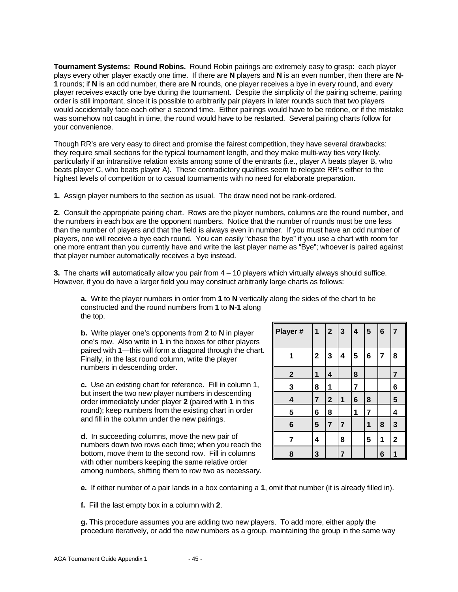**Tournament Systems: Round Robins.** Round Robin pairings are extremely easy to grasp: each player plays every other player exactly one time. If there are **N** players and **N** is an even number, then there are **N-1** rounds; if **N** is an odd number, there are **N** rounds, one player receives a bye in every round, and every player receives exactly one bye during the tournament. Despite the simplicity of the pairing scheme, pairing order is still important, since it is possible to arbitrarily pair players in later rounds such that two players would accidentally face each other a second time. Either pairings would have to be redone, or if the mistake was somehow not caught in time, the round would have to be restarted. Several pairing charts follow for your convenience.

Though RR's are very easy to direct and promise the fairest competition, they have several drawbacks: they require small sections for the typical tournament length, and they make multi-way ties very likely, particularly if an intransitive relation exists among some of the entrants (i.e., player A beats player B, who beats player C, who beats player A). These contradictory qualities seem to relegate RR's either to the highest levels of competition or to casual tournaments with no need for elaborate preparation.

**1.** Assign player numbers to the section as usual. The draw need not be rank-ordered.

**2.** Consult the appropriate pairing chart. Rows are the player numbers, columns are the round number, and the numbers in each box are the opponent numbers. Notice that the number of rounds must be one less than the number of players and that the field is always even in number. If you must have an odd number of players, one will receive a bye each round. You can easily "chase the bye" if you use a chart with room for one more entrant than you currently have and write the last player name as "Bye"; whoever is paired against that player number automatically receives a bye instead.

**3.** The charts will automatically allow you pair from 4 – 10 players which virtually always should suffice. However, if you do have a larger field you may construct arbitrarily large charts as follows:

**a.** Write the player numbers in order from **1** to **N** vertically along the sides of the chart to be constructed and the round numbers from **1** to **N-1** along the top.

**b.** Write player one's opponents from **2** to **N** in player one's row. Also write in **1** in the boxes for other players paired with **1**—this will form a diagonal through the chart. Finally, in the last round column, write the player numbers in descending order.

**c.** Use an existing chart for reference. Fill in column 1, but insert the two new player numbers in descending order immediately under player **2** (paired with **1** in this round); keep numbers from the existing chart in order and fill in the column under the new pairings.

**d.** In succeeding columns, move the new pair of numbers down two rows each time; when you reach the bottom, move them to the second row. Fill in columns with other numbers keeping the same relative order among numbers, shifting them to row two as necessary.

| Player #        | 1              | $\overline{2}$          | $\overline{\mathbf{3}}$ | $\overline{\mathbf{r}}$ | $\overline{5}$ | $6\phantom{a}$ | $\overline{7}$ |
|-----------------|----------------|-------------------------|-------------------------|-------------------------|----------------|----------------|----------------|
| 1               | $\overline{2}$ | 3                       | 4                       | 5                       | 6              | 7              | 8              |
| $\mathbf{2}$    | 1              | 4                       |                         | 8                       |                |                | $\overline{7}$ |
| 3               | 8              | 1                       |                         | 7                       |                |                | 6              |
| 4               | 7              | $\overline{\mathbf{2}}$ | 1                       | $6\phantom{1}6$         | 8              |                | 5              |
| 5               | 6              | 8                       |                         | 1                       | 7              |                | 4              |
| $6\phantom{1}6$ | 5              | $\overline{7}$          | 7                       |                         | 1              | 8              | 3              |
| 7               | 4              |                         | 8                       |                         | 5              | 1              | $\mathbf 2$    |
| 8               | 3              |                         | 7                       |                         |                | 6              | 1              |

**e.** If either number of a pair lands in a box containing a **1**, omit that number (it is already filled in).

**f.** Fill the last empty box in a column with **2**.

**g.** This procedure assumes you are adding two new players. To add more, either apply the procedure iteratively, or add the new numbers as a group, maintaining the group in the same way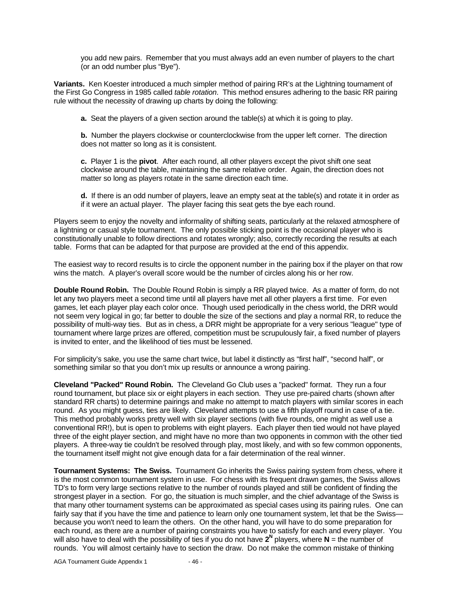you add new pairs. Remember that you must always add an even number of players to the chart (or an odd number plus "Bye").

**Variants.** Ken Koester introduced a much simpler method of pairing RR's at the Lightning tournament of the First Go Congress in 1985 called *table rotation*. This method ensures adhering to the basic RR pairing rule without the necessity of drawing up charts by doing the following:

**a.** Seat the players of a given section around the table(s) at which it is going to play.

**b.** Number the players clockwise or counterclockwise from the upper left corner. The direction does not matter so long as it is consistent.

**c.** Player 1 is the **pivot**. After each round, all other players except the pivot shift one seat clockwise around the table, maintaining the same relative order. Again, the direction does not matter so long as players rotate in the same direction each time.

**d.** If there is an odd number of players, leave an empty seat at the table(s) and rotate it in order as if it were an actual player. The player facing this seat gets the bye each round.

Players seem to enjoy the novelty and informality of shifting seats, particularly at the relaxed atmosphere of a lightning or casual style tournament. The only possible sticking point is the occasional player who is constitutionally unable to follow directions and rotates wrongly; also, correctly recording the results at each table. Forms that can be adapted for that purpose are provided at the end of this appendix.

The easiest way to record results is to circle the opponent number in the pairing box if the player on that row wins the match. A player's overall score would be the number of circles along his or her row.

**Double Round Robin.** The Double Round Robin is simply a RR played twice. As a matter of form, do not let any two players meet a second time until all players have met all other players a first time. For even games, let each player play each color once. Though used periodically in the chess world, the DRR would not seem very logical in go; far better to double the size of the sections and play a normal RR, to reduce the possibility of multi-way ties. But as in chess, a DRR might be appropriate for a very serious "league" type of tournament where large prizes are offered, competition must be scrupulously fair, a fixed number of players is invited to enter, and the likelihood of ties must be lessened.

For simplicity's sake, you use the same chart twice, but label it distinctly as "first half", "second half", or something similar so that you don't mix up results or announce a wrong pairing.

**Cleveland "Packed" Round Robin.** The Cleveland Go Club uses a "packed" format. They run a four round tournament, but place six or eight players in each section. They use pre-paired charts (shown after standard RR charts) to determine pairings and make no attempt to match players with similar scores in each round. As you might guess, ties are likely. Cleveland attempts to use a fifth playoff round in case of a tie. This method probably works pretty well with six player sections (with five rounds, one might as well use a conventional RR!), but is open to problems with eight players. Each player then tied would not have played three of the eight player section, and might have no more than two opponents in common with the other tied players. A three-way tie couldn't be resolved through play, most likely, and with so few common opponents, the tournament itself might not give enough data for a fair determination of the real winner.

**Tournament Systems: The Swiss.** Tournament Go inherits the Swiss pairing system from chess, where it is the most common tournament system in use. For chess with its frequent drawn games, the Swiss allows TD's to form very large sections relative to the number of rounds played and still be confident of finding the strongest player in a section. For go, the situation is much simpler, and the chief advantage of the Swiss is that many other tournament systems can be approximated as special cases using its pairing rules. One can fairly say that if you have the time and patience to learn only one tournament system, let that be the Swissbecause you won't need to learn the others. On the other hand, you will have to do some preparation for each round, as there are a number of pairing constraints you have to satisfy for each and every player. You will also have to deal with the possibility of ties if you do not have **2N** players, where **N** = the number of rounds. You will almost certainly have to section the draw. Do not make the common mistake of thinking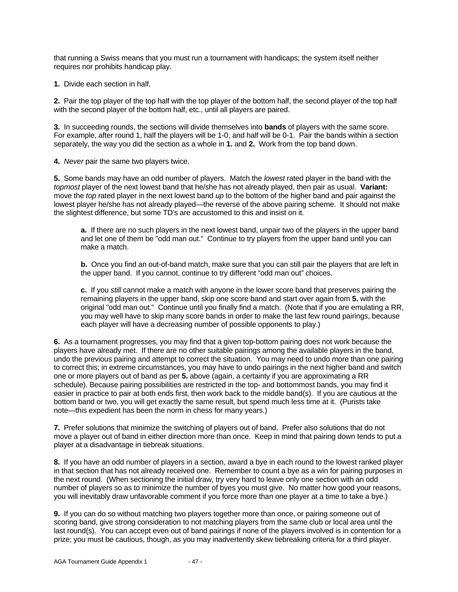that running a Swiss means that you must run a tournament with handicaps; the system itself neither requires nor prohibits handicap play.

**1.** Divide each section in half.

**2.** Pair the top player of the top half with the top player of the bottom half, the second player of the top half with the second player of the bottom half, etc., until all players are paired.

**3.** In succeeding rounds, the sections will divide themselves into **bands** of players with the same score. For example, after round 1, half the players will be 1-0, and half will be 0-1. Pair the bands within a section separately, the way you did the section as a whole in **1.** and **2.** Work from the top band down.

**4.** *Never* pair the same two players twice.

**5.** Some bands may have an odd number of players. Match the *lowest* rated player in the band with the *topmost* player of the next lowest band that he/she has not already played, then pair as usual. **Variant:** move the *top* rated player in the next lowest band *up* to the bottom of the higher band and pair against the lowest player he/she has not already played—the reverse of the above pairing scheme. It should not make the slightest difference, but some TD's are accustomed to this and insist on it.

**a.** If there are no such players in the next lowest band, unpair two of the players in the upper band and let one of them be "odd man out." Continue to try players from the upper band until you can make a match.

**b.** Once you find an out-of-band match, make sure that you can still pair the players that are left in the upper band. If you cannot, continue to try different "odd man out" choices.

**c.** If you *still* cannot make a match with anyone in the lower score band that preserves pairing the remaining players in the upper band, skip one score band and start over again from **5.** with the original "odd man out." Continue until you finally find a match. (Note that if you are emulating a RR, you may well have to skip many score bands in order to make the last few round pairings, because each player will have a decreasing number of possible opponents to play.)

**6.** As a tournament progresses, you may find that a given top-bottom pairing does not work because the players have already met. If there are no other suitable pairings among the available players in the band, undo the previous pairing and attempt to correct the situation. You may need to undo more than one pairing to correct this; in extreme circumstances, you may have to undo pairings in the next higher band and switch one or more players out of band as per **5.** above (again, a certainty if you are approximating a RR schedule). Because pairing possibilities are restricted in the top- and bottommost bands, you may find it easier in practice to pair at both ends first, then work back to the middle band(s). If you are cautious at the bottom band or two, you will get exactly the same result, but spend much less time at it. (Purists take note—this expedient has been the norm in chess for many years.)

**7.** Prefer solutions that minimize the switching of players out of band. Prefer also solutions that do not move a player out of band in either direction more than once. Keep in mind that pairing down tends to put a player at a disadvantage in tiebreak situations.

**8.** If you have an odd number of players in a section, award a bye in each round to the lowest ranked player in that section that has not already received one. Remember to count a bye as a win for pairing purposes in the next round. (When sectioning the initial draw, try very hard to leave only one section with an odd number of players so as to minimize the number of byes you must give. No matter how good your reasons, you will inevitably draw unfavorable comment if you force more than one player at a time to take a bye.)

**9.** If you can do so without matching two players together more than once, or pairing someone out of scoring band, give strong consideration to not matching players from the same club or local area until the last round(s). You can accept even out of band pairings if none of the players involved is in contention for a prize; you must be cautious, though, as you may inadvertently skew tiebreaking criteria for a third player.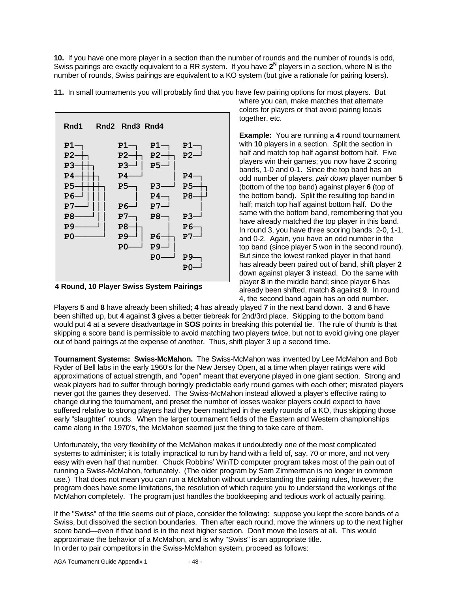**10.** If you have one more player in a section than the number of rounds and the number of rounds is odd, Swiss pairings are exactly equivalent to a RR system. If you have 2<sup>N</sup> players in a section, where N is the number of rounds, Swiss pairings are equivalent to a KO system (but give a rationale for pairing losers).



**11.** In small tournaments you will probably find that you have few pairing options for most players. But



where you can, make matches that alternate colors for players or that avoid pairing locals together, etc.

**Example:** You are running a **4** round tournament with **10** players in a section. Split the section in half and match top half against bottom half. Five players win their games; you now have 2 scoring bands, 1-0 and 0-1. Since the top band has an odd number of players, *pair down* player number **5** (bottom of the top band) against player **6** (top of the bottom band). Split the resulting top band in half; match top half against bottom half. Do the same with the bottom band, remembering that you have already matched the top player in this band. In round 3, you have three scoring bands: 2-0, 1-1, and 0-2. Again, you have an odd number in the top band (since player 5 won in the second round). But since the lowest ranked player in that band has already been paired out of band, shift player **2** down against player **3** instead. Do the same with player **8** in the middle band; since player **6** has already been shifted, match **8** against **9**. In round 4, the second band again has an odd number.

Players **5** and **8** have already been shifted; **4** has already played **7** in the next band down. **3** and **6** have been shifted up, but **4** against **3** gives a better tiebreak for 2nd/3rd place. Skipping to the bottom band would put **4** at a severe disadvantage in **SOS** points in breaking this potential tie. The rule of thumb is that skipping a score band is permissible to avoid matching two players twice, but not to avoid giving one player out of band pairings at the expense of another. Thus, shift player 3 up a second time.

**Tournament Systems: Swiss-McMahon.** The Swiss-McMahon was invented by Lee McMahon and Bob Ryder of Bell labs in the early 1960's for the New Jersey Open, at a time when player ratings were wild approximations of actual strength, and "open" meant that everyone played in one giant section. Strong and weak players had to suffer through boringly predictable early round games with each other; misrated players never got the games they deserved. The Swiss-McMahon instead allowed a player's effective rating to change during the tournament, and preset the number of losses weaker players could expect to have suffered relative to strong players had they been matched in the early rounds of a KO, thus skipping those early "slaughter" rounds. When the larger tournament fields of the Eastern and Western championships came along in the 1970's, the McMahon seemed just the thing to take care of them.

Unfortunately, the very flexibility of the McMahon makes it undoubtedly one of the most complicated systems to administer; it is totally impractical to run by hand with a field of, say, 70 or more, and not very easy with even half that number. Chuck Robbins' WinTD computer program takes most of the pain out of running a Swiss-McMahon, fortunately. (The older program by Sam Zimmerman is no longer in common use.) That does not mean you can run a McMahon without understanding the pairing rules, however; the program does have some limitations, the resolution of which require you to understand the workings of the McMahon completely. The program just handles the bookkeeping and tedious work of actually pairing.

If the "Swiss" of the title seems out of place, consider the following: suppose you kept the score bands of a Swiss, but dissolved the section boundaries. Then after each round, move the winners up to the next higher score band—even if that band is in the next higher section. Don't move the losers at all. This would approximate the behavior of a McMahon, and is why "Swiss" is an appropriate title. In order to pair competitors in the Swiss-McMahon system, proceed as follows: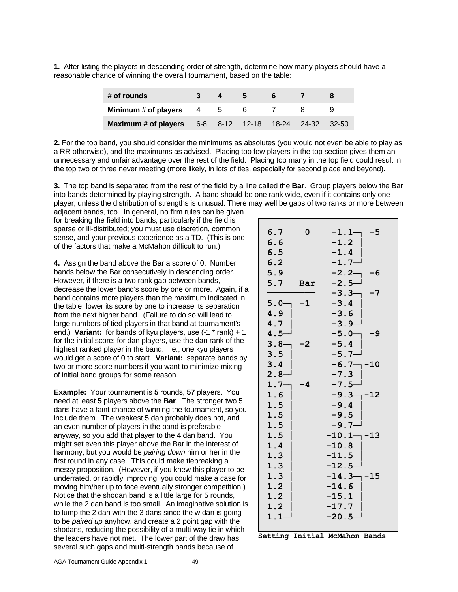**1.** After listing the players in descending order of strength, determine how many players should have a reasonable chance of winning the overall tournament, based on the table:

| # of rounds                                           |  | $\mathbf{b}$ |  |  |
|-------------------------------------------------------|--|--------------|--|--|
| Minimum # of players $4 \t 5$                         |  | 6.           |  |  |
| Maximum # of players 6-8 8-12 12-18 18-24 24-32 32-50 |  |              |  |  |

**2.** For the top band, you should consider the minimums as absolutes (you would not even be able to play as a RR otherwise), and the maximums as advised. Placing too few players in the top section gives them an unnecessary and unfair advantage over the rest of the field. Placing too many in the top field could result in the top two or three never meeting (more likely, in lots of ties, especially for second place and beyond).

**3.** The top band is separated from the rest of the field by a line called the **Bar**. Group players below the Bar into bands determined by playing strength. A band should be one rank wide, even if it contains only one player, unless the distribution of strengths is unusual. There may well be gaps of two ranks or more between

adjacent bands, too. In general, no firm rules can be given for breaking the field into bands, particularly if the field is sparse or ill-distributed; you must use discretion, common sense, and your previous experience as a TD. (This is one of the factors that make a McMahon difficult to run.)

**4.** Assign the band above the Bar a score of 0. Number bands below the Bar consecutively in descending order. However, if there is a two rank gap between bands. decrease the lower band's score by one or more. Again, if a band contains more players than the maximum indicated in the table, lower its score by one to increase its separation from the next higher band. (Failure to do so will lead to large numbers of tied players in that band at tournament's end.) **Variant:** for bands of kyu players, use (-1 \* rank) + 1 for the initial score; for dan players, use the dan rank of the highest ranked player in the band. I.e., one kyu players would get a score of 0 to start. **Variant:** separate bands by two or more score numbers if you want to minimize mixing of initial band groups for some reason.

**Example:** Your tournament is **5** rounds, **57** players. You need at least **5** players above the **Bar**. The stronger two 5 dans have a faint chance of winning the tournament, so you include them. The weakest 5 dan probably does not, and an even number of players in the band is preferable anyway, so you add that player to the 4 dan band. You might set even this player above the Bar in the interest of harmony, but you would be *pairing down* him or her in the first round in any case. This could make tiebreaking a messy proposition. (However, if you knew this player to be underrated, or rapidly improving, you could make a case for moving him/her up to face eventually stronger competition.) Notice that the shodan band is a little large for 5 rounds, while the 2 dan band is too small. An imaginative solution is to lump the 2 dan with the 3 dans since the w dan is going to be *paired up* anyhow, and create a 2 point gap with the shodans, reducing the possibility of a multi-way tie in which the leaders have not met. The lower part of the draw has several such gaps and multi-strength bands because of

| 6.7<br>6.6<br>6.5<br>6.2<br>5.9<br>5.7 | 0<br><b>Bar</b> | $-1.1-$<br>-5<br>$-1.2$<br>$-1.4$<br>$-1.7-$<br>$-2.2-$<br>-6<br>$-2.5-$ |
|----------------------------------------|-----------------|--------------------------------------------------------------------------|
| ===                                    |                 | $-3.3-$<br>-7                                                            |
| $5.0-$                                 | $-1$            | $-3.4$                                                                   |
| 4.9                                    |                 | $-3.6$                                                                   |
| 4.7                                    |                 | $-3.9-$                                                                  |
| $4.5-$                                 |                 | $-5.0-$<br>-9                                                            |
| $3.8 -$                                | -2              | $-5.4$                                                                   |
| 3.5                                    |                 | $-5.7-$                                                                  |
| 3.4                                    |                 | $-6.7 - -10$                                                             |
| 2 . 8 $-$                              |                 | $-7.3$                                                                   |
| $1.7 -$                                | -4              | $-7.5-$                                                                  |
| 1.6                                    |                 | $-9.3 - -12$                                                             |
| 1.5                                    |                 | $-9.4$                                                                   |
| 1.5                                    |                 | $-9.5$                                                                   |
| 1.5                                    |                 | $-9.7-$                                                                  |
| 1.5                                    |                 | $-10.1 - -13$                                                            |
| 1.4                                    |                 | $-10.8$                                                                  |
| 1.3                                    |                 | $-11.5$                                                                  |
| 1.3                                    |                 | $-12.5-$                                                                 |
| 1.3                                    |                 | $-14.3 - -15$                                                            |
| 1.2                                    |                 | $-14.6$                                                                  |
| 1.2                                    |                 | $-15.1$                                                                  |
| 1.2                                    |                 | $-17.7$                                                                  |
| $1.1 -$                                |                 | $-20.5-$                                                                 |

**Setting Initial McMahon Bands**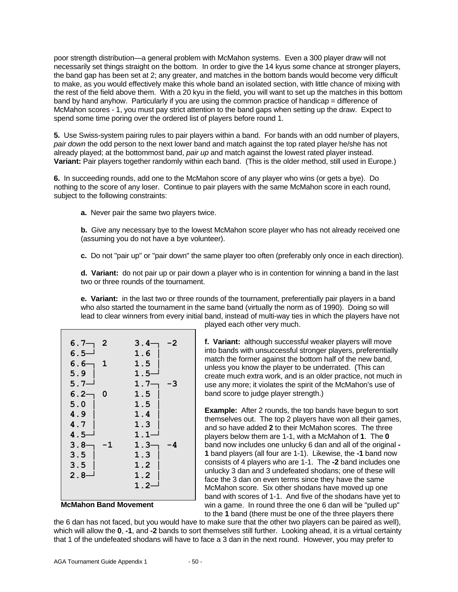poor strength distribution—a general problem with McMahon systems. Even a 300 player draw will not necessarily set things straight on the bottom. In order to give the 14 kyus some chance at stronger players, the band gap has been set at 2; any greater, and matches in the bottom bands would become very difficult to make, as you would effectively make this whole band an isolated section, with little chance of mixing with the rest of the field above them. With a 20 kyu in the field, you will want to set up the matches in this bottom band by hand anyhow. Particularly if you are using the common practice of handicap = difference of McMahon scores - 1, you must pay strict attention to the band gaps when setting up the draw. Expect to spend some time poring over the ordered list of players before round 1.

**5.** Use Swiss-system pairing rules to pair players within a band. For bands with an odd number of players, *pair down* the odd person to the next lower band and match against the top rated player he/she has not already played; at the bottommost band, *pair up* and match against the lowest rated player instead. **Variant:** Pair players together randomly within each band. (This is the older method, still used in Europe.)

**6.** In succeeding rounds, add one to the McMahon score of any player who wins (or gets a bye). Do nothing to the score of any loser. Continue to pair players with the same McMahon score in each round, subject to the following constraints:

**a.** Never pair the same two players twice.

**b.** Give any necessary bye to the lowest McMahon score player who has not already received one (assuming you do not have a bye volunteer).

**c.** Do not "pair up" or "pair down" the same player too often (preferably only once in each direction).

**d. Variant:** do not pair up or pair down a player who is in contention for winning a band in the last two or three rounds of the tournament.

**e. Variant:** in the last two or three rounds of the tournament, preferentially pair players in a band who also started the tournament in the same band (virtually the norm as of 1990). Doing so will lead to clear winners from every initial band, instead of multi-way ties in which the players have not

| $6.7 -$<br>- 2 | $3.4-$<br>-2 |
|----------------|--------------|
| 6.5 $-$        | 1.6          |
| $6.6-$<br>- 1  | 1.5          |
| 5.9            | 1.5-         |
| $5.7-$         | $1.7-$<br>-3 |
| $6.2 -$<br>0   | 1.5          |
| 5.0            | 1.5          |
| 4.9            | 1.4          |
| 4.7            | 1.3          |
| $4.5-$         | 1.1          |
| $3.8 -$<br>-1  | 1.3<br>-4    |
| 3.5            | 1.3          |
| 3.5            | 1.2          |
| $2.8 -$        | 1.2          |
|                | $1.2 -$      |
|                |              |

**McMahon Band Movement**

played each other very much.

**f. Variant:** although successful weaker players will move into bands with unsuccessful stronger players, preferentially match the former against the bottom half of the new band, unless you know the player to be underrated. (This can create much extra work, and is an older practice, not much in use any more; it violates the spirit of the McMahon's use of band score to judge player strength.)

**Example:** After 2 rounds, the top bands have begun to sort themselves out. The top 2 players have won all their games, and so have added **2** to their McMahon scores. The three players below them are 1-1, with a McMahon of **1**. The **0** band now includes one unlucky 6 dan and all of the original **- 1** band players (all four are 1-1). Likewise, the **-1** band now consists of 4 players who are 1-1. The **-2** band includes one unlucky 3 dan and 3 undefeated shodans; one of these will face the 3 dan on even terms since they have the same McMahon score. Six other shodans have moved up one band with scores of 1-1. And five of the shodans have yet to win a game. In round three the one 6 dan will be "pulled up" to the **1** band (there must be one of the three players there

the 6 dan has not faced, but you would have to make sure that the other two players can be paired as well), which will allow the **0**, **-1**, and **-2** bands to sort themselves still further. Looking ahead, it is a virtual certainty that 1 of the undefeated shodans will have to face a 3 dan in the next round. However, you may prefer to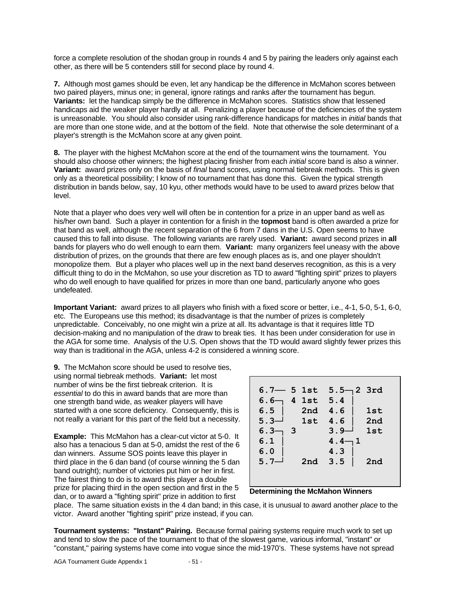force a complete resolution of the shodan group in rounds 4 and 5 by pairing the leaders only against each other, as there will be 5 contenders still for second place by round 4.

**7.** Although most games should be even, let any handicap be the difference in McMahon scores between two paired players, minus one; in general, ignore ratings and ranks *after* the tournament has begun. **Variants:** let the handicap simply be the difference in McMahon scores. Statistics show that lessened handicaps aid the weaker player hardly at all. Penalizing a player because of the deficiencies of the system is unreasonable. You should also consider using rank-difference handicaps for matches in *initial* bands that are more than one stone wide, and at the bottom of the field. Note that otherwise the sole determinant of a player's strength is the McMahon score at any given point.

**8.** The player with the highest McMahon score at the end of the tournament wins the tournament. You should also choose other winners; the highest placing finisher from each *initial* score band is also a winner. **Variant:** award prizes only on the basis of *final* band scores, using normal tiebreak methods. This is given only as a theoretical possibility; I know of no tournament that has done this. Given the typical strength distribution in bands below, say, 10 kyu, other methods would have to be used to award prizes below that level.

Note that a player who does very well will often be in contention for a prize in an upper band as well as his/her own band. Such a player in contention for a finish in the **topmost** band is often awarded a prize for that band as well, although the recent separation of the 6 from 7 dans in the U.S. Open seems to have caused this to fall into disuse. The following variants are rarely used. **Variant:** award second prizes in **all** bands for players who do well enough to earn them. **Variant:** many organizers feel uneasy with the above distribution of prizes, on the grounds that there are few enough places as is, and one player shouldn't monopolize them. But a player who places well up in the next band deserves recognition, as this is a very difficult thing to do in the McMahon, so use your discretion as TD to award "fighting spirit" prizes to players who do well enough to have qualified for prizes in more than one band, particularly anyone who goes undefeated.

**Important Variant:** award prizes to all players who finish with a fixed score or better, i.e., 4-1, 5-0, 5-1, 6-0, etc. The Europeans use this method; its disadvantage is that the number of prizes is completely unpredictable. Conceivably, no one might win a prize at all. Its advantage is that it requires little TD decision-making and no manipulation of the draw to break ties. It has been under consideration for use in the AGA for some time. Analysis of the U.S. Open shows that the TD would award slightly fewer prizes this way than is traditional in the AGA, unless 4-2 is considered a winning score.

**9.** The McMahon score should be used to resolve ties, using normal tiebreak methods. **Variant:** let most number of wins be the first tiebreak criterion. It is *essential* to do this in award bands that are more than one strength band wide, as weaker players will have started with a one score deficiency. Consequently, this is not really a variant for this part of the field but a necessity.

**Example:** This McMahon has a clear-cut victor at 5-0. It also has a tenacious 5 dan at 5-0, amidst the rest of the 6 dan winners. Assume SOS points leave this player in third place in the 6 dan band (of course winning the 5 dan band outright); number of victories put him or her in first. The fairest thing to do is to award this player a double prize for placing third in the open section and first in the 5 dan, or to award a "fighting spirit" prize in addition to first

| $6.7 - 5$ 1st<br>6.6- | 4 1st | $5.5 -$<br>5.4 | 2 3rd      |
|-----------------------|-------|----------------|------------|
| 6.5                   | 2nd   | 4.6            | <b>1st</b> |
| $5.3-$                | 1st   | 4.6            | 2nd        |
| 6.3<br>3              |       | $3.9-$         | <b>1st</b> |
| 6.1                   |       | 1<br>4.4       |            |
| 6.0                   |       | 4.3            |            |
| $5.7-$                | 2nd   | 3.5            | 2nd        |
|                       |       |                |            |
|                       |       |                |            |

#### **Determining the McMahon Winners**

place. The same situation exists in the 4 dan band; in this case, it is unusual to award another *place* to the victor. Award another "fighting spirit" prize instead, if you can.

**Tournament systems: "Instant" Pairing.** Because formal pairing systems require much work to set up and tend to slow the pace of the tournament to that of the slowest game, various informal, "instant" or "constant," pairing systems have come into vogue since the mid-1970's. These systems have not spread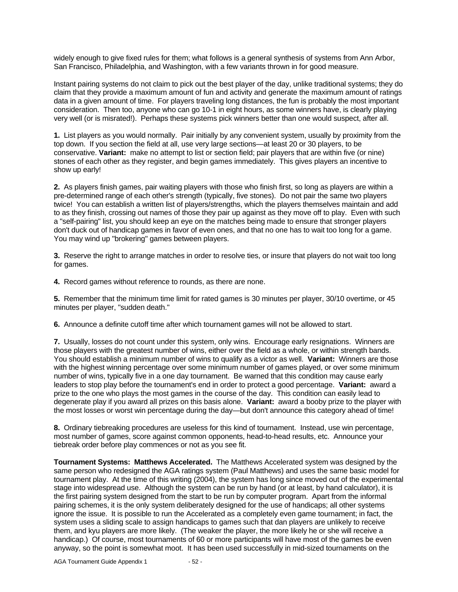widely enough to give fixed rules for them; what follows is a general synthesis of systems from Ann Arbor, San Francisco, Philadelphia, and Washington, with a few variants thrown in for good measure.

Instant pairing systems do not claim to pick out the best player of the day, unlike traditional systems; they do claim that they provide a maximum amount of fun and activity and generate the maximum amount of ratings data in a given amount of time. For players traveling long distances, the fun is probably the most important consideration. Then too, anyone who can go 10-1 in eight hours, as some winners have, is clearly playing very well (or is misrated!). Perhaps these systems pick winners better than one would suspect, after all.

**1.** List players as you would normally. Pair initially by any convenient system, usually by proximity from the top down. If you section the field at all, use very large sections—at least 20 or 30 players, to be conservative. **Variant:** make no attempt to list or section field; pair players that are within five (or nine) stones of each other as they register, and begin games immediately. This gives players an incentive to show up early!

**2.** As players finish games, pair waiting players with those who finish first, so long as players are within a pre-determined range of each other's strength (typically, five stones). Do not pair the same two players twice! You can establish a written list of players/strengths, which the players themselves maintain and add to as they finish, crossing out names of those they pair up against as they move off to play. Even with such a "self-pairing" list, you should keep an eye on the matches being made to ensure that stronger players don't duck out of handicap games in favor of even ones, and that no one has to wait too long for a game. You may wind up "brokering" games between players.

**3.** Reserve the right to arrange matches in order to resolve ties, or insure that players do not wait too long for games.

**4.** Record games without reference to rounds, as there are none.

**5.** Remember that the minimum time limit for rated games is 30 minutes per player, 30/10 overtime, or 45 minutes per player, "sudden death."

**6.** Announce a definite cutoff time after which tournament games will not be allowed to start.

**7.** Usually, losses do not count under this system, only wins. Encourage early resignations. Winners are those players with the greatest number of wins, either over the field as a whole, or within strength bands. You should establish a minimum number of wins to qualify as a victor as well. **Variant:** Winners are those with the highest winning percentage over some minimum number of games played, or over some minimum number of wins, typically five in a one day tournament. Be warned that this condition may cause early leaders to stop play before the tournament's end in order to protect a good percentage. **Variant:** award a prize to the one who plays the most games in the course of the day. This condition can easily lead to degenerate play if you award all prizes on this basis alone. **Variant:** award a booby prize to the player with the most losses or worst win percentage during the day—but don't announce this category ahead of time!

**8.** Ordinary tiebreaking procedures are useless for this kind of tournament. Instead, use win percentage, most number of games, score against common opponents, head-to-head results, etc. Announce your tiebreak order before play commences or not as you see fit.

**Tournament Systems: Matthews Accelerated.** The Matthews Accelerated system was designed by the same person who redesigned the AGA ratings system (Paul Matthews) and uses the same basic model for tournament play. At the time of this writing (2004), the system has long since moved out of the experimental stage into widespread use. Although the system can be run by hand (or at least, by hand calculator), it is the first pairing system designed from the start to be run by computer program. Apart from the informal pairing schemes, it is the only system deliberately designed for the use of handicaps; all other systems ignore the issue. It is possible to run the Accelerated as a completely even game tournament; in fact, the system uses a sliding scale to assign handicaps to games such that dan players are unlikely to receive them, and kyu players are more likely. (The weaker the player, the more likely he or she will receive a handicap.) Of course, most tournaments of 60 or more participants will have most of the games be even anyway, so the point is somewhat moot. It has been used successfully in mid-sized tournaments on the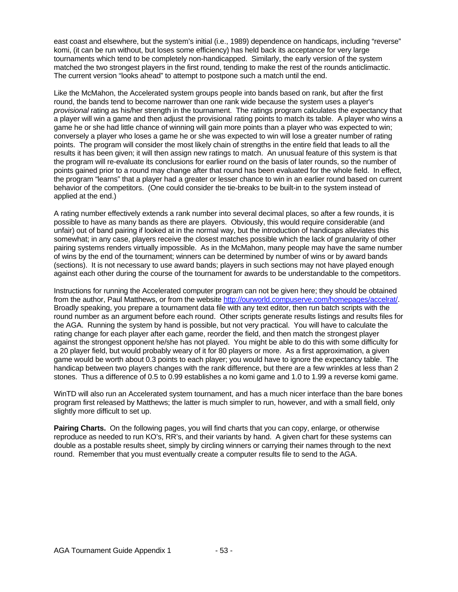east coast and elsewhere, but the system's initial (i.e., 1989) dependence on handicaps, including "reverse" komi, (it can be run without, but loses some efficiency) has held back its acceptance for very large tournaments which tend to be completely non-handicapped. Similarly, the early version of the system matched the two strongest players in the first round, tending to make the rest of the rounds anticlimactic. The current version "looks ahead" to attempt to postpone such a match until the end.

Like the McMahon, the Accelerated system groups people into bands based on rank, but after the first round, the bands tend to become narrower than one rank wide because the system uses a player's *provisional* rating as his/her strength in the tournament. The ratings program calculates the expectancy that a player will win a game and then adjust the provisional rating points to match its table. A player who wins a game he or she had little chance of winning will gain more points than a player who was expected to win; conversely a player who loses a game he or she was expected to win will lose a greater number of rating points. The program will consider the most likely chain of strengths in the entire field that leads to all the results it has been given; it will then assign new ratings to match. An unusual feature of this system is that the program will re-evaluate its conclusions for earlier round on the basis of later rounds, so the number of points gained prior to a round may change after that round has been evaluated for the whole field. In effect, the program "learns" that a player had a greater or lesser chance to win in an earlier round based on current behavior of the competitors. (One could consider the tie-breaks to be built-in to the system instead of applied at the end.)

A rating number effectively extends a rank number into several decimal places, so after a few rounds, it is possible to have as many bands as there are players. Obviously, this would require considerable (and unfair) out of band pairing if looked at in the normal way, but the introduction of handicaps alleviates this somewhat; in any case, players receive the closest matches possible which the lack of granularity of other pairing systems renders virtually impossible. As in the McMahon, many people may have the same number of wins by the end of the tournament; winners can be determined by number of wins or by award bands (sections). It is not necessary to use award bands; players in such sections may not have played enough against each other during the course of the tournament for awards to be understandable to the competitors.

Instructions for running the Accelerated computer program can not be given here; they should be obtained from the author, Paul Matthews, or from the website http://ourworld.compuserve.com/homepages/accelrat/. Broadly speaking, you prepare a tournament data file with any text editor, then run batch scripts with the round number as an argument before each round. Other scripts generate results listings and results files for the AGA. Running the system by hand is possible, but not very practical. You will have to calculate the rating change for each player after each game, reorder the field, and then match the strongest player against the strongest opponent he/she has not played. You might be able to do this with some difficulty for a 20 player field, but would probably weary of it for 80 players or more. As a first approximation, a given game would be worth about 0.3 points to each player; you would have to ignore the expectancy table. The handicap between two players changes with the rank difference, but there are a few wrinkles at less than 2 stones. Thus a difference of 0.5 to 0.99 establishes a no komi game and 1.0 to 1.99 a reverse komi game.

WinTD will also run an Accelerated system tournament, and has a much nicer interface than the bare bones program first released by Matthews; the latter is much simpler to run, however, and with a small field, only slightly more difficult to set up.

**Pairing Charts.** On the following pages, you will find charts that you can copy, enlarge, or otherwise reproduce as needed to run KO's, RR's, and their variants by hand. A given chart for these systems can double as a postable results sheet, simply by circling winners or carrying their names through to the next round. Remember that you must eventually create a computer results file to send to the AGA.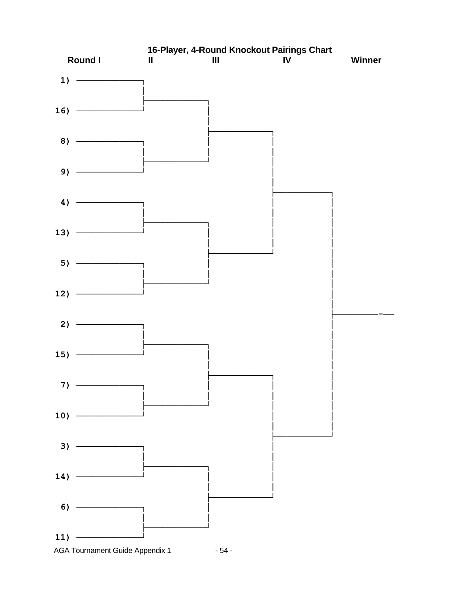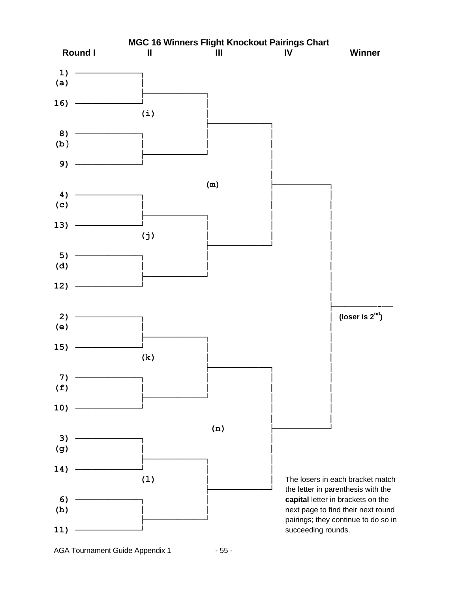

AGA Tournament Guide Appendix 1 - 55 -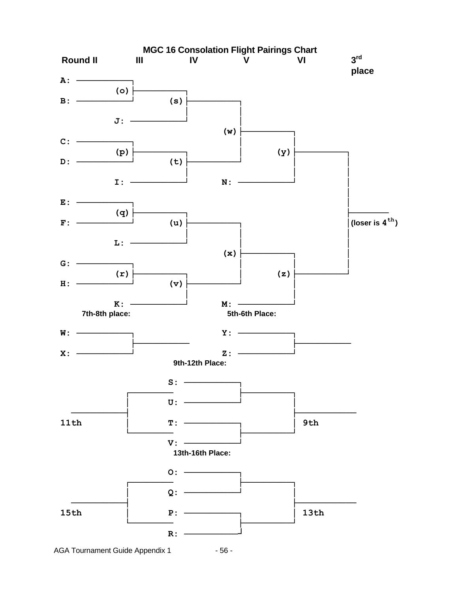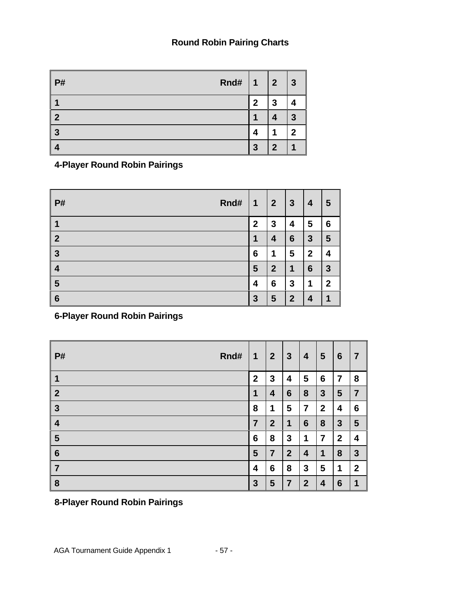## **Round Robin Pairing Charts**

| Rnd#<br><b>P#</b> | $\overline{1}$ | $\boldsymbol{2}$ | $\boldsymbol{3}$ |
|-------------------|----------------|------------------|------------------|
| и                 | $\mathbf{2}$   | 3                |                  |
| $\mathbf{2}$      |                |                  | ≏                |
| 3                 |                |                  | n                |
| 4                 | 3              | $\mathbf 2$      |                  |

**4-Player Round Robin Pairings**

| <b>P#</b>        | Rnd# | $\mathbf 1$     | $\boldsymbol{2}$ | $\mathbf{3}$   | 4               | 5            |
|------------------|------|-----------------|------------------|----------------|-----------------|--------------|
|                  |      | $\mathbf{2}$    | 3                | 4              | 5               | 6            |
| $\boldsymbol{2}$ |      | 1               | 4                | 6              | 3               | 5            |
| $\mathbf{3}$     |      | $6\phantom{1}6$ | 1                | 5              | $\mathbf{2}$    | 4            |
| 4                |      | 5               | $\boldsymbol{2}$ | 1              | $6\phantom{1}6$ | $\mathbf{3}$ |
| 5                |      | 4               | 6                | 3              | 1               | $\mathbf 2$  |
| $6\phantom{1}6$  |      | $\mathbf{3}$    | 5                | $\overline{2}$ | 4               | ۹            |

**6-Player Round Robin Pairings**

| Rnd#<br><b>P#</b> | 1                | $\boldsymbol{2}$ | 3              | 4              | 5              | 6                | 7                |
|-------------------|------------------|------------------|----------------|----------------|----------------|------------------|------------------|
| 1                 | $\boldsymbol{2}$ | 3                | 4              | 5              | 6              | 7                | 8                |
| $\overline{2}$    | 1                | 4                | 6              | 8              | 3              | 5                | $\overline{7}$   |
| 3                 | 8                | 1                | 5              | 7              | $\mathbf{2}$   | 4                | 6                |
| 4                 | 7                | $\boldsymbol{2}$ | 1              | 6              | 8              | $\mathbf{3}$     | 5                |
| $5\phantom{1}$    | 6                | 8                | 3              | 1              | $\overline{7}$ | $\boldsymbol{2}$ | 4                |
| $6\phantom{1}6$   | 5                | $\overline{7}$   | $\overline{2}$ | 4              | 1              | 8                | 3                |
| 7                 | 4                | 6                | 8              | 3              | 5              | 1                | $\boldsymbol{2}$ |
| 8                 | $\mathbf{3}$     | 5                | 7              | $\overline{2}$ | 4              | 6                | 1                |

# **8-Player Round Robin Pairings**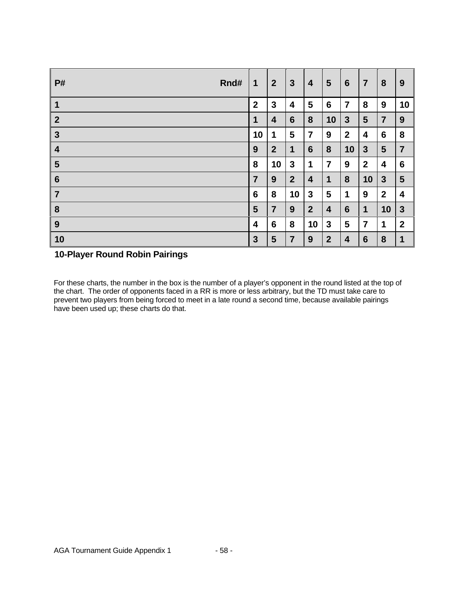| <b>P#</b>        | Rnd# | 1                | $\overline{2}$   | $\mathbf{3}$   | 4                | $5\phantom{.0}$         | $6\phantom{1}$   | $\overline{7}$ | 8               | 9                |
|------------------|------|------------------|------------------|----------------|------------------|-------------------------|------------------|----------------|-----------------|------------------|
| $\mathbf 1$      |      | $\boldsymbol{2}$ | $\mathbf{3}$     | 4              | 5                | 6                       | 7                | 8              | 9               | 10               |
| $\overline{2}$   |      | $\mathbf 1$      | 4                | $6\phantom{1}$ | 8                | 10                      | $\mathbf{3}$     | $5\phantom{1}$ | $\overline{7}$  | 9                |
| $\mathbf{3}$     |      | 10               | 1                | 5              | $\overline{7}$   | 9                       | $\boldsymbol{2}$ | 4              | $6\phantom{1}6$ | 8                |
| $\boldsymbol{4}$ |      | 9                | $\boldsymbol{2}$ | 1              | $6\phantom{1}$   | 8                       | 10               | $\mathbf{3}$   | 5               | $\overline{7}$   |
| $5\phantom{1}$   |      | 8                | 10               | $\mathbf{3}$   | 1                | $\overline{7}$          | 9                | $\mathbf{2}$   | 4               | 6                |
| $6\phantom{1}6$  |      | $\overline{7}$   | 9                | $\overline{2}$ | 4                | 1                       | 8                | 10             | $\mathbf{3}$    | 5                |
| $\overline{7}$   |      | $6\phantom{1}6$  | 8                | 10             | 3                | 5                       | 1                | 9              | $\mathbf{2}$    | 4                |
| 8                |      | 5                | $\overline{7}$   | 9              | $\boldsymbol{2}$ | $\overline{\mathbf{4}}$ | $6\phantom{1}6$  | 1              | 10              | $\mathbf{3}$     |
| 9                |      | 4                | $6\phantom{1}6$  | 8              | 10               | 3                       | 5                | $\overline{7}$ | 1               | $\boldsymbol{2}$ |
| 10               |      | $\mathbf{3}$     | 5                | $\overline{7}$ | 9                | $\overline{2}$          | 4                | 6              | 8               | 1                |

## **10-Player Round Robin Pairings**

For these charts, the number in the box is the number of a player's opponent in the round listed at the top of the chart. The order of opponents faced in a RR is more or less arbitrary, but the TD must take care to prevent two players from being forced to meet in a late round a second time, because available pairings have been used up; these charts do that.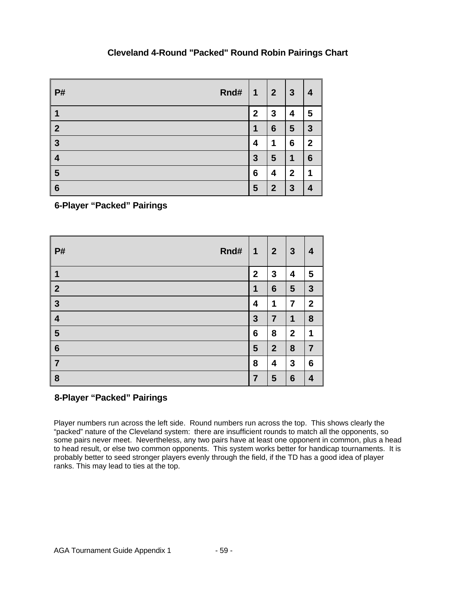## **Cleveland 4-Round "Packed" Round Robin Pairings Chart**

| <b>P#</b>               | Rnd# | $\overline{\mathbf{1}}$ | $\overline{2}$   | $\mathbf{3}$     | 4            |
|-------------------------|------|-------------------------|------------------|------------------|--------------|
| 1                       |      | $\mathbf{2}$            | 3                | 4                | 5            |
| $\boldsymbol{2}$        |      | 1                       | 6                | $5\phantom{.0}$  | $\mathbf{3}$ |
| $\mathbf{3}$            |      | 4                       | 1                | 6                | $\mathbf{2}$ |
| $\overline{\mathbf{4}}$ |      | 3                       | 5                | 1                | 6            |
| $5\phantom{1}$          |      | 6                       | 4                | $\boldsymbol{2}$ | и            |
| $6\phantom{1}6$         |      | 5                       | $\boldsymbol{2}$ | $\mathbf{3}$     | 4            |

**6-Player "Packed" Pairings**

| Rnd#<br>P#              | $\mathbf 1$     | $\overline{2}$  | $\mathbf{3}$     | $\boldsymbol{4}$ |
|-------------------------|-----------------|-----------------|------------------|------------------|
| $\overline{\mathbf{1}}$ | $\mathbf{2}$    | $\mathbf{3}$    | 4                | 5                |
| $\overline{2}$          | 1               | $6\phantom{1}6$ | $5\phantom{.0}$  | $\mathbf{3}$     |
| $\mathbf{3}$            | 4               | 1               | 7                | $\boldsymbol{2}$ |
| $\overline{\mathbf{4}}$ | $\mathbf{3}$    | 7               | 1                | 8                |
| 5                       | $6\phantom{1}6$ | 8               | $\boldsymbol{2}$ | 1                |
| $6\phantom{1}6$         | 5               | $\overline{2}$  | 8                | $\overline{7}$   |
| $\overline{7}$          | 8               | 4               | 3                | 6                |
| 8                       | 7               | 5               | $6\phantom{1}6$  | 4                |

# **8-Player "Packed" Pairings**

Player numbers run across the left side. Round numbers run across the top. This shows clearly the "packed" nature of the Cleveland system: there are insufficient rounds to match all the opponents, so some pairs never meet. Nevertheless, any two pairs have at least one opponent in common, plus a head to head result, or else two common opponents. This system works better for handicap tournaments. It is probably better to seed stronger players evenly through the field, if the TD has a good idea of player ranks. This may lead to ties at the top.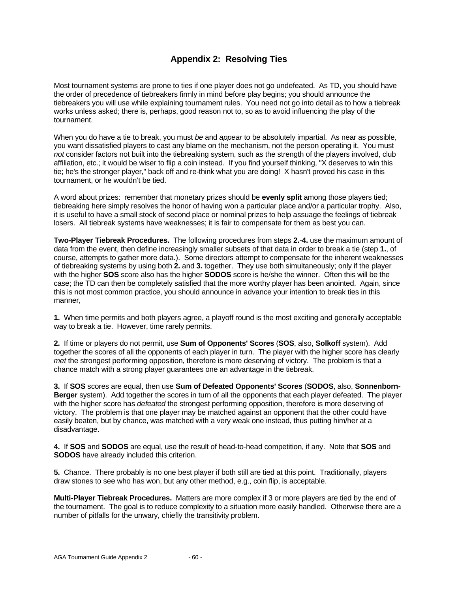## **Appendix 2: Resolving Ties**

Most tournament systems are prone to ties if one player does not go undefeated. As TD, you should have the order of precedence of tiebreakers firmly in mind before play begins; you should announce the tiebreakers you will use while explaining tournament rules. You need not go into detail as to how a tiebreak works unless asked; there is, perhaps, good reason not to, so as to avoid influencing the play of the tournament.

When you do have a tie to break, you must *be* and *appear* to be absolutely impartial. As near as possible, you want dissatisfied players to cast any blame on the mechanism, not the person operating it. You must *not* consider factors not built into the tiebreaking system, such as the strength of the players involved, club affiliation, etc.; it would be wiser to flip a coin instead. If you find yourself thinking, "X deserves to win this tie; he's the stronger player," back off and re-think what you are doing! X hasn't proved his case in this tournament, or he wouldn't be tied.

A word about prizes: remember that monetary prizes should be **evenly split** among those players tied; tiebreaking here simply resolves the honor of having won a particular place and/or a particular trophy. Also, it is useful to have a small stock of second place or nominal prizes to help assuage the feelings of tiebreak losers. All tiebreak systems have weaknesses; it is fair to compensate for them as best you can.

**Two-Player Tiebreak Procedures.** The following procedures from steps **2.**-**4.** use the maximum amount of data from the event, then define increasingly smaller subsets of that data in order to break a tie (step **1.**, of course, attempts to gather more data.). Some directors attempt to compensate for the inherent weaknesses of tiebreaking systems by using both **2.** and **3.** together. They use both simultaneously; only if the player with the higher **SOS** score also has the higher **SODOS** score is he/she the winner. Often this will be the case; the TD can then be completely satisfied that the more worthy player has been anointed. Again, since this is not most common practice, you should announce in advance your intention to break ties in this manner,

**1.** When time permits and both players agree, a playoff round is the most exciting and generally acceptable way to break a tie. However, time rarely permits.

**2.** If time or players do not permit, use **Sum of Opponents' Scores** (**SOS**, also, **Solkoff** system). Add together the scores of all the opponents of each player in turn. The player with the higher score has clearly *met* the strongest performing opposition, therefore is more deserving of victory. The problem is that a chance match with a strong player guarantees one an advantage in the tiebreak.

**3.** If **SOS** scores are equal, then use **Sum of Defeated Opponents' Scores** (**SODOS**, also, **Sonnenborn-Berger** system). Add together the scores in turn of all the opponents that each player defeated. The player with the higher score has *defeated* the strongest performing opposition, therefore is more deserving of victory. The problem is that one player may be matched against an opponent that the other could have easily beaten, but by chance, was matched with a very weak one instead, thus putting him/her at a disadvantage.

**4.** If **SOS** and **SODOS** are equal, use the result of head-to-head competition, if any. Note that **SOS** and **SODOS** have already included this criterion.

**5.** Chance. There probably is no one best player if both still are tied at this point. Traditionally, players draw stones to see who has won, but any other method, e.g., coin flip, is acceptable.

**Multi-Player Tiebreak Procedures.** Matters are more complex if 3 or more players are tied by the end of the tournament. The goal is to reduce complexity to a situation more easily handled. Otherwise there are a number of pitfalls for the unwary, chiefly the transitivity problem.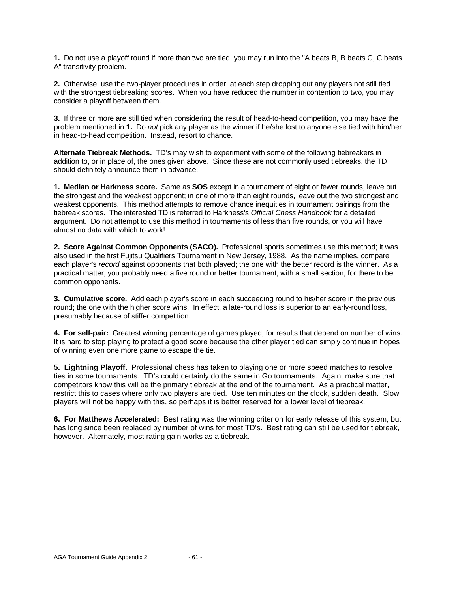**1.** Do not use a playoff round if more than two are tied; you may run into the "A beats B, B beats C, C beats A" transitivity problem.

**2.** Otherwise, use the two-player procedures in order, at each step dropping out any players not still tied with the strongest tiebreaking scores. When you have reduced the number in contention to two, you may consider a playoff between them.

**3.** If three or more are still tied when considering the result of head-to-head competition, you may have the problem mentioned in **1.** Do *not* pick any player as the winner if he/she lost to anyone else tied with him/her in head-to-head competition. Instead, resort to chance.

**Alternate Tiebreak Methods.** TD's may wish to experiment with some of the following tiebreakers in addition to, or in place of, the ones given above. Since these are not commonly used tiebreaks, the TD should definitely announce them in advance.

**1. Median or Harkness score.** Same as **SOS** except in a tournament of eight or fewer rounds, leave out the strongest and the weakest opponent; in one of more than eight rounds, leave out the two strongest and weakest opponents. This method attempts to remove chance inequities in tournament pairings from the tiebreak scores. The interested TD is referred to Harkness's *Official Chess Handbook* for a detailed argument. Do not attempt to use this method in tournaments of less than five rounds, or you will have almost no data with which to work!

**2. Score Against Common Opponents (SACO).** Professional sports sometimes use this method; it was also used in the first Fujitsu Qualifiers Tournament in New Jersey, 1988. As the name implies, compare each player's *record* against opponents that both played; the one with the better record is the winner. As a practical matter, you probably need a five round or better tournament, with a small section, for there to be common opponents.

**3. Cumulative score.** Add each player's score in each succeeding round to his/her score in the previous round; the one with the higher score wins. In effect, a late-round loss is superior to an early-round loss, presumably because of stiffer competition.

**4. For self-pair:** Greatest winning percentage of games played, for results that depend on number of wins. It is hard to stop playing to protect a good score because the other player tied can simply continue in hopes of winning even one more game to escape the tie.

**5. Lightning Playoff.** Professional chess has taken to playing one or more speed matches to resolve ties in some tournaments. TD's could certainly do the same in Go tournaments. Again, make sure that competitors know this will be the primary tiebreak at the end of the tournament. As a practical matter, restrict this to cases where only two players are tied. Use ten minutes on the clock, sudden death. Slow players will not be happy with this, so perhaps it is better reserved for a lower level of tiebreak.

**6. For Matthews Accelerated:** Best rating was the winning criterion for early release of this system, but has long since been replaced by number of wins for most TD's. Best rating can still be used for tiebreak, however. Alternately, most rating gain works as a tiebreak.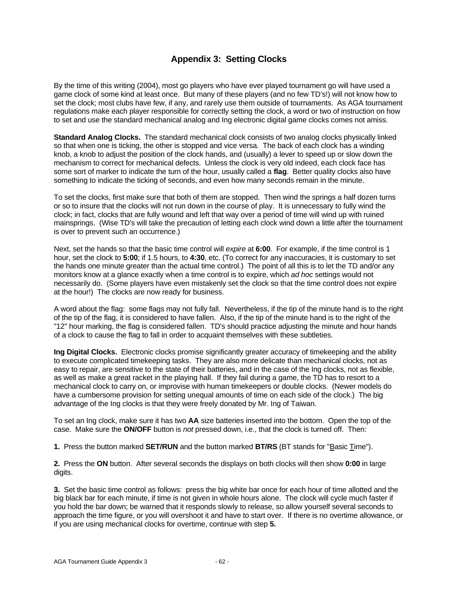## **Appendix 3: Setting Clocks**

By the time of this writing (2004), most go players who have ever played tournament go will have used a game clock of some kind at least once. But many of these players (and no few TD's!) will not know how to set the clock; most clubs have few, if any, and rarely use them outside of tournaments. As AGA tournament regulations make each player responsible for correctly setting the clock, a word or two of instruction on how to set and use the standard mechanical analog and Ing electronic digital game clocks comes not amiss.

**Standard Analog Clocks.** The standard mechanical clock consists of two analog clocks physically linked so that when one is ticking, the other is stopped and vice versa. The back of each clock has a winding knob, a knob to adjust the position of the clock hands, and (usually) a lever to speed up or slow down the mechanism to correct for mechanical defects. Unless the clock is very old indeed, each clock face has some sort of marker to indicate the turn of the hour, usually called a **flag**. Better quality clocks also have something to indicate the ticking of seconds, and even how many seconds remain in the minute.

To set the clocks, first make sure that both of them are stopped. Then wind the springs a half dozen turns or so to insure that the clocks will not run down in the course of play. It is unnecessary to fully wind the clock; in fact, clocks that are fully wound and left that way over a period of time will wind up with ruined mainsprings. (Wise TD's will take the precaution of letting each clock wind down a little after the tournament is over to prevent such an occurrence.)

Next, set the hands so that the basic time control will *expire* at **6:00**. For example, if the time control is 1 hour, set the clock to **5:00**; if 1.5 hours, to **4:30**, etc. (To correct for any inaccuracies, it is customary to set the hands one minute greater than the actual time control.) The point of all this is to let the TD and/or any monitors know at a glance exactly when a time control is to expire, which *ad hoc* settings would not necessarily do. (Some players have even mistakenly set the clock so that the time control does not expire at the hour!) The clocks are now ready for business.

A word about the flag: some flags may not fully fall. Nevertheless, if the tip of the minute hand is to the right of the tip of the flag, it is considered to have fallen. Also, if the tip of the minute hand is to the right of the "12" hour marking, the flag is considered fallen. TD's should practice adjusting the minute and hour hands of a clock to cause the flag to fall in order to acquaint themselves with these subtleties.

**Ing Digital Clocks.** Electronic clocks promise significantly greater accuracy of timekeeping and the ability to execute complicated timekeeping tasks. They are also more delicate than mechanical clocks, not as easy to repair, are sensitive to the state of their batteries, and in the case of the Ing clocks, not as flexible, as well as make a great racket in the playing hall. If they fail during a game, the TD has to resort to a mechanical clock to carry on, or improvise with human timekeepers or double clocks. (Newer models do have a cumbersome provision for setting unequal amounts of time on each side of the clock.) The big advantage of the Ing clocks is that they were freely donated by Mr. Ing of Taiwan.

To set an Ing clock, make sure it has two **AA** size batteries inserted into the bottom. Open the top of the case. Make sure the **ON/OFF** button is *not* pressed down, i.e., that the clock is turned off. Then:

**1.** Press the button marked **SET/RUN** and the button marked **BT/RS** (BT stands for "Basic Time").

**2.** Press the **ON** button. After several seconds the displays on both clocks will then show **0:00** in large digits.

**3.** Set the basic time control as follows: press the big white bar once for each hour of time allotted and the big black bar for each minute, if time is not given in whole hours alone. The clock will cycle much faster if you hold the bar down; be warned that it responds slowly to release, so allow yourself several seconds to approach the time figure, or you will overshoot it and have to start over. If there is no overtime allowance, or if you are using mechanical clocks for overtime, continue with step **5.**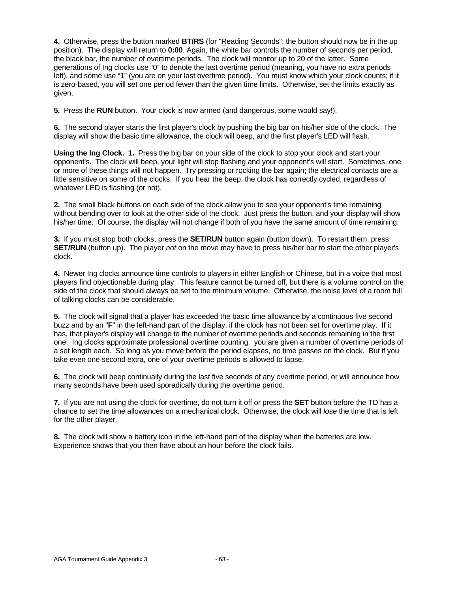**4.** Otherwise, press the button marked **BT/RS** (for "Reading Seconds"; the button should now be in the up position). The display will return to **0:00**. Again, the white bar controls the number of seconds per period, the black bar, the number of overtime periods. The clock will monitor up to 20 of the latter. Some generations of Ing clocks use "0" to denote the last overtime period (meaning, you have no extra periods left), and some use "1" (you are on your last overtime period). You must know which your clock counts; if it is zero-based, you will set one period fewer than the given time limits. Otherwise, set the limits exactly as given.

**5.** Press the **RUN** button. Your clock is now armed (and dangerous, some would say!).

**6.** The second player starts the first player's clock by pushing the big bar on his/her side of the clock. The display will show the basic time allowance, the clock will beep, and the first player's LED will flash.

**Using the Ing Clock. 1.** Press the big bar on your side of the clock to stop your clock and start your opponent's. The clock will beep, your light will stop flashing and your opponent's will start. Sometimes, one or more of these things will not happen. Try pressing or rocking the bar again; the electrical contacts are a little sensitive on some of the clocks. If you hear the beep, the clock has correctly cycled, regardless of whatever LED is flashing (or not).

**2.** The small black buttons on each side of the clock allow you to see your opponent's time remaining without bending over to look at the other side of the clock. Just press the button, and your display will show his/her time. Of course, the display will not change if both of you have the same amount of time remaining.

**3.** If you must stop both clocks, press the **SET/RUN** button again (button down). To restart them, press **SET/RUN** (button up). The player *not* on the move may have to press his/her bar to start the other player's clock.

**4.** Newer Ing clocks announce time controls to players in either English or Chinese, but in a voice that most players find objectionable during play. This feature cannot be turned off, but there is a volume control on the side of the clock that should always be set to the minimum volume. Otherwise, the noise level of a room full of talking clocks can be considerable.

**5.** The clock will signal that a player has exceeded the basic time allowance by a continuous five second buzz and by an "**F**" in the left-hand part of the display, if the clock has not been set for overtime play. If it has, that player's display will change to the number of overtime periods and seconds remaining in the first one. Ing clocks approximate professional overtime counting: you are given a number of overtime periods of a set length each. So long as you move before the period elapses, no time passes on the clock. But if you take even one second extra, one of your overtime periods is allowed to lapse.

**6.** The clock will beep continually during the last five seconds of any overtime period, or will announce how many seconds have been used sporadically during the overtime period.

**7.** If you are not using the clock for overtime, do not turn it off or press the **SET** button before the TD has a chance to set the time allowances on a mechanical clock. Otherwise, the clock will *lose* the time that is left for the other player.

**8.** The clock will show a battery icon in the left-hand part of the display when the batteries are low. Experience shows that you then have about an hour before the clock fails.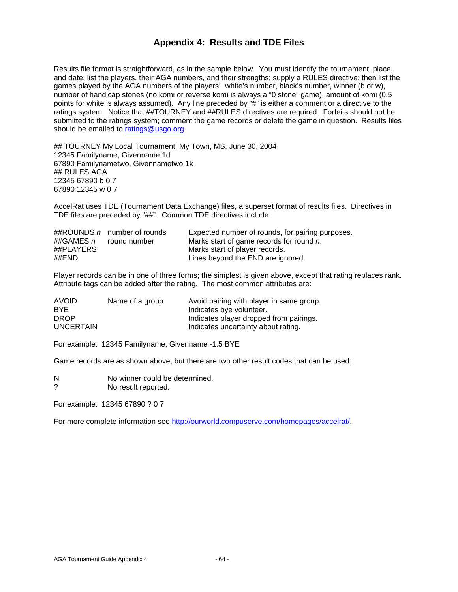#### **Appendix 4: Results and TDE Files**

Results file format is straightforward, as in the sample below. You must identify the tournament, place, and date; list the players, their AGA numbers, and their strengths; supply a RULES directive; then list the games played by the AGA numbers of the players: white's number, black's number, winner (b or w), number of handicap stones (no komi or reverse komi is always a "0 stone" game), amount of komi (0.5 points for white is always assumed). Any line preceded by "#" is either a comment or a directive to the ratings system. Notice that ##TOURNEY and ##RULES directives are required. Forfeits should not be submitted to the ratings system; comment the game records or delete the game in question. Results files should be emailed to ratings@usgo.org.

## TOURNEY My Local Tournament, My Town, MS, June 30, 2004 12345 Familyname, Givenname 1d 67890 Familynametwo, Givennametwo 1k ## RULES AGA 12345 67890 b 0 7 67890 12345 w 0 7

AccelRat uses TDE (Tournament Data Exchange) files, a superset format of results files. Directives in TDE files are preceded by "##". Common TDE directives include:

|                          | ##ROUNDS n number of rounds | Expected number of rounds, for pairing purposes. |
|--------------------------|-----------------------------|--------------------------------------------------|
| ##GAMES $n$ round number |                             | Marks start of game records for round n.         |
| ##PLAYERS                |                             | Marks start of player records.                   |
| ##END                    |                             | Lines beyond the END are ignored.                |

Player records can be in one of three forms; the simplest is given above, except that rating replaces rank. Attribute tags can be added after the rating. The most common attributes are:

| <b>AVOID</b>     | Name of a group | Avoid pairing with player in same group. |
|------------------|-----------------|------------------------------------------|
| <b>BYE</b>       |                 | Indicates bye volunteer.                 |
| <b>DROP</b>      |                 | Indicates player dropped from pairings.  |
| <b>UNCERTAIN</b> |                 | Indicates uncertainty about rating.      |

For example: 12345 Familyname, Givenname -1.5 BYE

Game records are as shown above, but there are two other result codes that can be used:

N No winner could be determined.

? No result reported.

For example: 12345 67890 ? 0 7

For more complete information see http://ourworld.compuserve.com/homepages/accelrat/.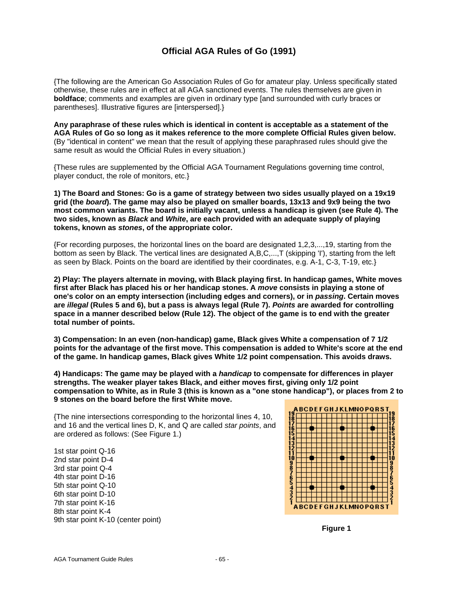## **Official AGA Rules of Go (1991)**

{The following are the American Go Association Rules of Go for amateur play. Unless specifically stated otherwise, these rules are in effect at all AGA sanctioned events. The rules themselves are given in **boldface**; comments and examples are given in ordinary type [and surrounded with curly braces or parentheses]. Illustrative figures are [interspersed].}

**Any paraphrase of these rules which is identical in content is acceptable as a statement of the AGA Rules of Go so long as it makes reference to the more complete Official Rules given below.** (By "identical in content" we mean that the result of applying these paraphrased rules should give the same result as would the Official Rules in every situation.)

{These rules are supplemented by the Official AGA Tournament Regulations governing time control, player conduct, the role of monitors, etc.}

**1) The Board and Stones: Go is a game of strategy between two sides usually played on a 19x19 grid (the** *board***). The game may also be played on smaller boards, 13x13 and 9x9 being the two most common variants. The board is initially vacant, unless a handicap is given (see Rule 4). The two sides, known as** *Black* **and** *White***, are each provided with an adequate supply of playing tokens, known as** *stones***, of the appropriate color.**

{For recording purposes, the horizontal lines on the board are designated 1,2,3,...,19, starting from the bottom as seen by Black. The vertical lines are designated A,B,C,...,T (skipping 'I'), starting from the left as seen by Black. Points on the board are identified by their coordinates, e.g. A-1, C-3, T-19, etc.}

**2) Play: The players alternate in moving, with Black playing first. In handicap games, White moves first after Black has placed his or her handicap stones. A** *move* **consists in playing a stone of one's color on an empty intersection (including edges and corners), or in** *passing***. Certain moves are** *illegal* **(Rules 5 and 6), but a pass is always legal (Rule 7).** *Points* **are awarded for controlling space in a manner described below (Rule 12). The object of the game is to end with the greater total number of points.**

**3) Compensation: In an even (non-handicap) game, Black gives White a compensation of 7 1/2 points for the advantage of the first move. This compensation is added to White's score at the end of the game. In handicap games, Black gives White 1/2 point compensation. This avoids draws.**

**4) Handicaps: The game may be played with a** *handicap* **to compensate for differences in player strengths. The weaker player takes Black, and either moves first, giving only 1/2 point compensation to White, as in Rule 3 (this is known as a "one stone handicap"), or places from 2 to 9 stones on the board before the first White move.**

{The nine intersections corresponding to the horizontal lines 4, 10, and 16 and the vertical lines D, K, and Q are called *star points*, and are ordered as follows: (See Figure 1.)

1st star point Q-16 2nd star point D-4 3rd star point Q-4 4th star point D-16 5th star point Q-10 6th star point D-10 7th star point K-16 8th star point K-4 9th star point K-10 (center point)



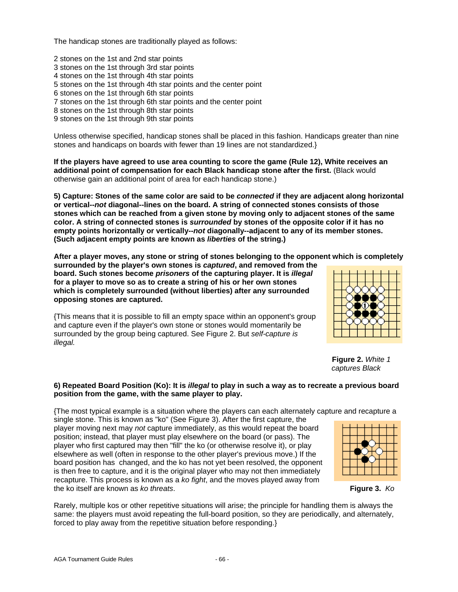The handicap stones are traditionally played as follows:

2 stones on the 1st and 2nd star points 3 stones on the 1st through 3rd star points 4 stones on the 1st through 4th star points 5 stones on the 1st through 4th star points and the center point 6 stones on the 1st through 6th star points 7 stones on the 1st through 6th star points and the center point 8 stones on the 1st through 8th star points 9 stones on the 1st through 9th star points

Unless otherwise specified, handicap stones shall be placed in this fashion. Handicaps greater than nine stones and handicaps on boards with fewer than 19 lines are not standardized.}

**If the players have agreed to use area counting to score the game (Rule 12), White receives an additional point of compensation for each Black handicap stone after the first.** (Black would otherwise gain an additional point of area for each handicap stone.)

**5) Capture: Stones of the same color are said to be** *connected* **if they are adjacent along horizontal or vertical--***not* **diagonal--lines on the board. A string of connected stones consists of those stones which can be reached from a given stone by moving only to adjacent stones of the same color. A string of connected stones is** *surrounded* **by stones of the opposite color if it has no empty points horizontally or vertically--***not* **diagonally--adjacent to any of its member stones. (Such adjacent empty points are known as** *liberties* **of the string.)**

**After a player moves, any stone or string of stones belonging to the opponent which is completely**

**surrounded by the player's own stones is** *captured***, and removed from the board. Such stones become** *prisoners* **of the capturing player. It is** *illegal* **for a player to move so as to create a string of his or her own stones which is completely surrounded (without liberties) after any surrounded opposing stones are captured.**

{This means that it is possible to fill an empty space within an opponent's group and capture even if the player's own stone or stones would momentarily be surrounded by the group being captured. See Figure 2. But *self-capture is illegal.*



 **Figure 2.** *White 1 captures Black*

#### **6) Repeated Board Position (Ko): It is** *illegal* **to play in such a way as to recreate a previous board position from the game, with the same player to play.**

{The most typical example is a situation where the players can each alternately capture and recapture a

single stone. This is known as "ko" (See Figure 3). After the first capture, the player moving next may *not* capture immediately, as this would repeat the board position; instead, that player must play elsewhere on the board (or pass). The player who first captured may then "fill" the ko (or otherwise resolve it), or play elsewhere as well (often in response to the other player's previous move.) If the board position has changed, and the ko has not yet been resolved, the opponent is then free to capture, and it is the original player who may not then immediately recapture. This process is known as a *ko fight*, and the moves played away from the ko itself are known as *ko threats*. **Figure 3.** *Ko*



Rarely, multiple kos or other repetitive situations will arise; the principle for handling them is always the same: the players must avoid repeating the full-board position, so they are periodically, and alternately, forced to play away from the repetitive situation before responding.}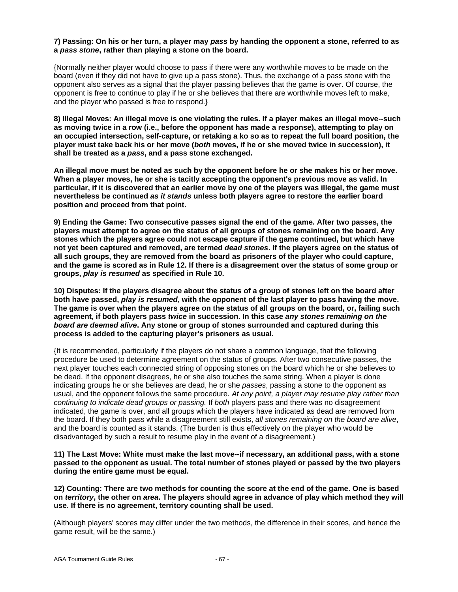#### **7) Passing: On his or her turn, a player may** *pass* **by handing the opponent a stone, referred to as a** *pass stone***, rather than playing a stone on the board.**

{Normally neither player would choose to pass if there were any worthwhile moves to be made on the board (even if they did not have to give up a pass stone). Thus, the exchange of a pass stone with the opponent also serves as a signal that the player passing believes that the game is over. Of course, the opponent is free to continue to play if he or she believes that there are worthwhile moves left to make, and the player who passed is free to respond.}

**8) Illegal Moves: An illegal move is one violating the rules. If a player makes an illegal move--such as moving twice in a row (i.e., before the opponent has made a response), attempting to play on an occupied intersection, self-capture, or retaking a ko so as to repeat the full board position, the player must take back his or her move (***both* **moves, if he or she moved twice in succession), it shall be treated as a** *pass***, and a pass stone exchanged.**

**An illegal move must be noted as such by the opponent before he or she makes his or her move. When a player moves, he or she is tacitly accepting the opponent's previous move as valid. In particular, if it is discovered that an earlier move by one of the players was illegal, the game must nevertheless be continued** *as it stands* **unless both players agree to restore the earlier board position and proceed from that point.**

**9) Ending the Game: Two consecutive passes signal the end of the game. After two passes, the players must attempt to agree on the status of all groups of stones remaining on the board. Any stones which the players agree could not escape capture if the game continued, but which have not yet been captured and removed, are termed** *dead stones***. If the players agree on the status of all such groups, they are removed from the board as prisoners of the player who could capture, and the game is scored as in Rule 12. If there is a disagreement over the status of some group or groups,** *play is resumed* **as specified in Rule 10.**

**10) Disputes: If the players disagree about the status of a group of stones left on the board after both have passed,** *play is resumed***, with the opponent of the last player to pass having the move. The game is over when the players agree on the status of all groups on the board, or, failing such agreement, if both players pass** *twice* **in succession. In this case** *any stones remaining on the board are deemed alive***. Any stone or group of stones surrounded and captured during this process is added to the capturing player's prisoners as usual.**

{It is recommended, particularly if the players do not share a common language, that the following procedure be used to determine agreement on the status of groups. After two consecutive passes, the next player touches each connected string of opposing stones on the board which he or she believes to be dead. If the opponent disagrees, he or she also touches the same string. When a player is done indicating groups he or she believes are dead, he or she *passes*, passing a stone to the opponent as usual, and the opponent follows the same procedure. *At any point, a player may resume play rather than continuing to indicate dead groups or passing.* If *both* players pass and there was no disagreement indicated, the game is over, and all groups which the players have indicated as dead are removed from the board. If they both pass while a disagreement still exists, *all stones remaining on the board are alive*, and the board is counted as it stands. (The burden is thus effectively on the player who would be disadvantaged by such a result to resume play in the event of a disagreement.)

**11) The Last Move: White must make the last move--if necessary, an additional pass, with a stone passed to the opponent as usual. The total number of stones played or passed by the two players during the entire game must be equal.**

**12) Counting: There are two methods for counting the score at the end of the game. One is based on** *territory***, the other on** *area***. The players should agree in advance of play which method they will use. If there is no agreement, territory counting shall be used.**

(Although players' scores may differ under the two methods, the difference in their scores, and hence the game result, will be the same.)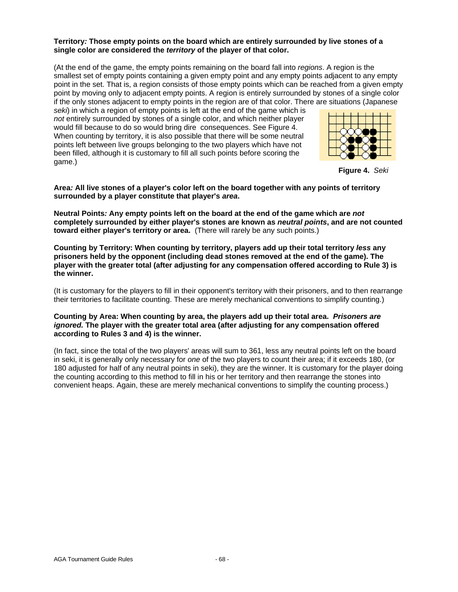#### **Territory***:* **Those empty points on the board which are entirely surrounded by live stones of a single color are considered the** *territory* **of the player of that color.**

(At the end of the game, the empty points remaining on the board fall into *regions*. A region is the smallest set of empty points containing a given empty point and any empty points adjacent to any empty point in the set. That is, a region consists of those empty points which can be reached from a given empty point by moving only to adjacent empty points. A region is entirely surrounded by stones of a single color if the only stones adjacent to empty points in the region are of that color. There are situations (Japanese

*seki*) in which a region of empty points is left at the end of the game which is *not* entirely surrounded by stones of a single color, and which neither player would fill because to do so would bring dire consequences. See Figure 4. When counting by territory, it is also possible that there will be some neutral points left between live groups belonging to the two players which have not been filled, although it is customary to fill all such points before scoring the game.)



**Figure 4.** *Seki*

**Area***:* **All live stones of a player's color left on the board together with any points of territory surrounded by a player constitute that player's** *area***.**

**Neutral Points***:* **Any empty points left on the board at the end of the game which are** *not* **completely surrounded by either player's stones are known as** *neutral points***, and are not counted toward either player's territory or area.** (There will rarely be any such points.)

**Counting by Territory: When counting by territory, players add up their total territory** *less* **any prisoners held by the opponent (including dead stones removed at the end of the game). The player with the greater total (after adjusting for any compensation offered according to Rule 3) is the winner.**

(It is customary for the players to fill in their opponent's territory with their prisoners, and to then rearrange their territories to facilitate counting. These are merely mechanical conventions to simplify counting.)

**Counting by Area: When counting by area, the players add up their total area.** *Prisoners are ignored.* **The player with the greater total area (after adjusting for any compensation offered according to Rules 3 and 4) is the winner.**

(In fact, since the total of the two players' areas will sum to 361, less any neutral points left on the board in seki, it is generally only necessary for *one* of the two players to count their area; if it exceeds 180, (or 180 adjusted for half of any neutral points in seki), they are the winner. It is customary for the player doing the counting according to this method to fill in his or her territory and then rearrange the stones into convenient heaps. Again, these are merely mechanical conventions to simplify the counting process.)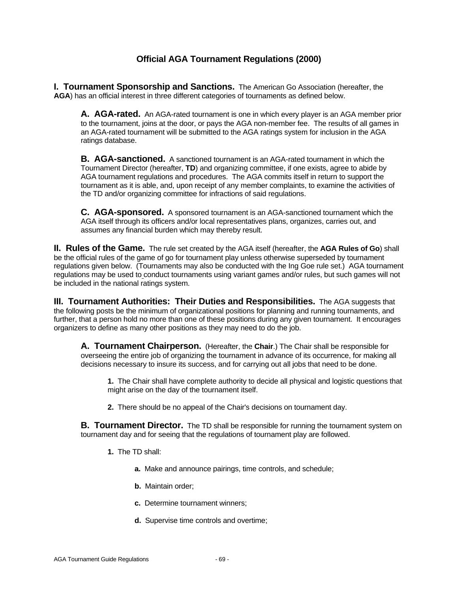## **Official AGA Tournament Regulations (2000)**

**I. Tournament Sponsorship and Sanctions.** The American Go Association (hereafter, the **AGA**) has an official interest in three different categories of tournaments as defined below.

**A. AGA-rated.** An AGA-rated tournament is one in which every player is an AGA member prior to the tournament, joins at the door, or pays the AGA non-member fee. The results of all games in an AGA-rated tournament will be submitted to the AGA ratings system for inclusion in the AGA ratings database.

**B. AGA-sanctioned.** A sanctioned tournament is an AGA-rated tournament in which the Tournament Director (hereafter, **TD**) and organizing committee, if one exists, agree to abide by AGA tournament regulations and procedures. The AGA commits itself in return to support the tournament as it is able, and, upon receipt of any member complaints, to examine the activities of the TD and/or organizing committee for infractions of said regulations.

**C. AGA-sponsored.** A sponsored tournament is an AGA-sanctioned tournament which the AGA itself through its officers and/or local representatives plans, organizes, carries out, and assumes any financial burden which may thereby result.

**II. Rules of the Game.** The rule set created by the AGA itself (hereafter, the **AGA Rules of Go**) shall be the official rules of the game of go for tournament play unless otherwise superseded by tournament regulations given below. (Tournaments may also be conducted with the Ing Goe rule set.) AGA tournament regulations may be used to conduct tournaments using variant games and/or rules, but such games will not be included in the national ratings system.

**III. Tournament Authorities: Their Duties and Responsibilities.** The AGA suggests that the following posts be the minimum of organizational positions for planning and running tournaments, and further, that a person hold no more than one of these positions during any given tournament. It encourages organizers to define as many other positions as they may need to do the job.

**A. Tournament Chairperson.** (Hereafter, the **Chair**.) The Chair shall be responsible for overseeing the entire job of organizing the tournament in advance of its occurrence, for making all decisions necessary to insure its success, and for carrying out all jobs that need to be done.

**1.** The Chair shall have complete authority to decide all physical and logistic questions that might arise on the day of the tournament itself.

**2.** There should be no appeal of the Chair's decisions on tournament day.

**B. Tournament Director.** The TD shall be responsible for running the tournament system on tournament day and for seeing that the regulations of tournament play are followed.

- **1.** The TD shall:
	- **a.** Make and announce pairings, time controls, and schedule;
	- **b.** Maintain order;
	- **c.** Determine tournament winners;
	- **d.** Supervise time controls and overtime;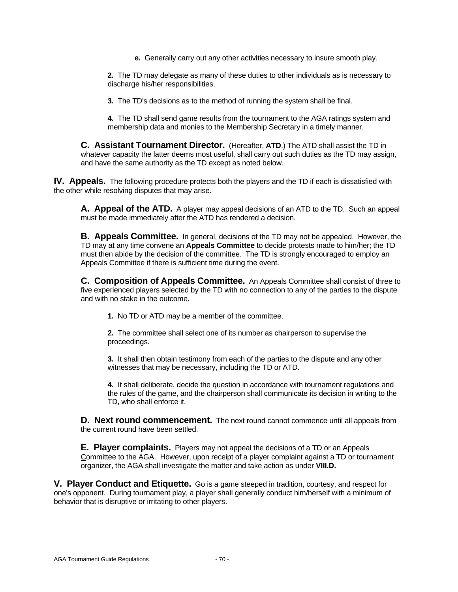**e.** Generally carry out any other activities necessary to insure smooth play.

**2.** The TD may delegate as many of these duties to other individuals as is necessary to discharge his/her responsibilities.

**3.** The TD's decisions as to the method of running the system shall be final.

**4.** The TD shall send game results from the tournament to the AGA ratings system and membership data and monies to the Membership Secretary in a timely manner.

**C. Assistant Tournament Director.** (Hereafter, **ATD**.) The ATD shall assist the TD in whatever capacity the latter deems most useful, shall carry out such duties as the TD may assign, and have the same authority as the TD except as noted below.

**IV. Appeals.** The following procedure protects both the players and the TD if each is dissatisfied with the other while resolving disputes that may arise.

**A. Appeal of the ATD.** A player may appeal decisions of an ATD to the TD. Such an appeal must be made immediately after the ATD has rendered a decision.

**B. Appeals Committee.** In general, decisions of the TD may not be appealed. However, the TD may at any time convene an **Appeals Committee** to decide protests made to him/her; the TD must then abide by the decision of the committee. The TD is strongly encouraged to employ an Appeals Committee if there is sufficient time during the event.

**C. Composition of Appeals Committee.** An Appeals Committee shall consist of three to five experienced players selected by the TD with no connection to any of the parties to the dispute and with no stake in the outcome.

**1.** No TD or ATD may be a member of the committee.

**2.** The committee shall select one of its number as chairperson to supervise the proceedings.

**3.** It shall then obtain testimony from each of the parties to the dispute and any other witnesses that may be necessary, including the TD or ATD.

**4.** It shall deliberate, decide the question in accordance with tournament regulations and the rules of the game, and the chairperson shall communicate its decision in writing to the TD, who shall enforce it.

**D. Next round commencement.** The next round cannot commence until all appeals from the current round have been settled.

**E. Player complaints.** Players may not appeal the decisions of a TD or an Appeals Committee to the AGA. However, upon receipt of a player complaint against a TD or tournament organizer, the AGA shall investigate the matter and take action as under **VIII.D.**

**V. Player Conduct and Etiquette.** Go is a game steeped in tradition, courtesy, and respect for one's opponent. During tournament play, a player shall generally conduct him/herself with a minimum of behavior that is disruptive or irritating to other players.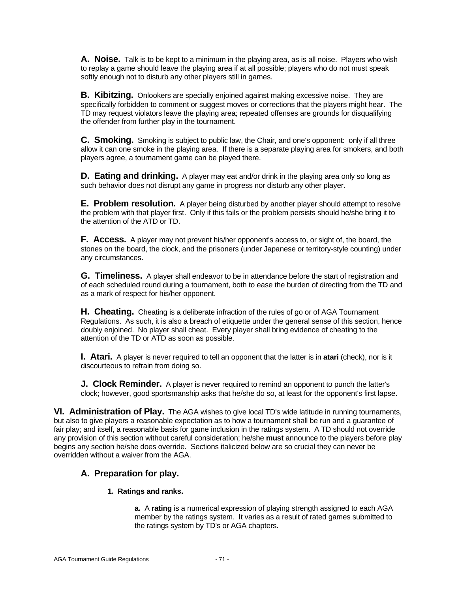**A. Noise.** Talk is to be kept to a minimum in the playing area, as is all noise. Players who wish to replay a game should leave the playing area if at all possible; players who do not must speak softly enough not to disturb any other players still in games.

**B. Kibitzing.** Onlookers are specially enjoined against making excessive noise. They are specifically forbidden to comment or suggest moves or corrections that the players might hear. The TD may request violators leave the playing area; repeated offenses are grounds for disqualifying the offender from further play in the tournament.

**C. Smoking.** Smoking is subject to public law, the Chair, and one's opponent: only if all three allow it can one smoke in the playing area. If there is a separate playing area for smokers, and both players agree, a tournament game can be played there.

**D. Eating and drinking.** A player may eat and/or drink in the playing area only so long as such behavior does not disrupt any game in progress nor disturb any other player.

**E. Problem resolution.** A player being disturbed by another player should attempt to resolve the problem with that player first. Only if this fails or the problem persists should he/she bring it to the attention of the ATD or TD.

**F. Access.** A player may not prevent his/her opponent's access to, or sight of, the board, the stones on the board, the clock, and the prisoners (under Japanese or territory-style counting) under any circumstances.

**G. Timeliness.** A player shall endeavor to be in attendance before the start of registration and of each scheduled round during a tournament, both to ease the burden of directing from the TD and as a mark of respect for his/her opponent.

**H. Cheating.** Cheating is a deliberate infraction of the rules of go or of AGA Tournament Regulations. As such, it is also a breach of etiquette under the general sense of this section, hence doubly enjoined. No player shall cheat. Every player shall bring evidence of cheating to the attention of the TD or ATD as soon as possible.

**I. Atari.** A player is never required to tell an opponent that the latter is in **atari** (check), nor is it discourteous to refrain from doing so.

**J. Clock Reminder.** A player is never required to remind an opponent to punch the latter's clock; however, good sportsmanship asks that he/she do so, at least for the opponent's first lapse.

**VI. Administration of Play.** The AGA wishes to give local TD's wide latitude in running tournaments, but also to give players a reasonable expectation as to how a tournament shall be run and a guarantee of fair play; and itself, a reasonable basis for game inclusion in the ratings system. A TD should not override any provision of this section without careful consideration; he/she **must** announce to the players before play begins any section he/she does override. Sections italicized below are so crucial they can never be overridden without a waiver from the AGA.

## **A. Preparation for play.**

## **1. Ratings and ranks.**

**a.** A **rating** is a numerical expression of playing strength assigned to each AGA member by the ratings system. It varies as a result of rated games submitted to the ratings system by TD's or AGA chapters.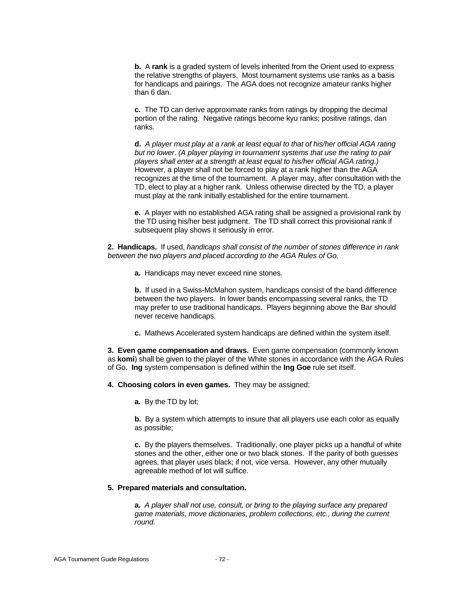**b.** A **rank** is a graded system of levels inherited from the Orient used to express the relative strengths of players. Most tournament systems use ranks as a basis for handicaps and pairings. The AGA does not recognize amateur ranks higher than 6 dan.

**c.** The TD can derive approximate ranks from ratings by dropping the decimal portion of the rating. Negative ratings become kyu ranks; positive ratings, dan ranks.

**d.** *A player must play at a rank at least equal to that of his/her official AGA rating but no lower*. *(A player playing in tournament systems that use the rating to pair players shall enter at a strength at least equal to his/her official AGA rating.)* However, a player shall not be forced to play at a rank higher than the AGA recognizes at the time of the tournament. A player may, after consultation with the TD, elect to play at a higher rank. Unless otherwise directed by the TD, a player must play at the rank initially established for the entire tournament.

**e.** A player with no established AGA rating shall be assigned a provisional rank by the TD using his/her best judgment. The TD shall correct this provisional rank if subsequent play shows it seriously in error.

**2. Handicaps.** If used, *handicaps shall consist of the number of stones difference in rank between the two players and placed according to the AGA Rules of Go.*

**a.** Handicaps may never exceed nine stones.

**b.** If used in a Swiss-McMahon system, handicaps consist of the band difference between the two players. In lower bands encompassing several ranks, the TD may prefer to use traditional handicaps. Players beginning above the Bar should never receive handicaps.

**c.** Mathews Accelerated system handicaps are defined within the system itself.

**3. Even game compensation and draws.** Even game compensation (commonly known as **komi**) shall be given to the player of the White stones in accordance with the AGA Rules of Go. **Ing** system compensation is defined within the **Ing Goe** rule set itself.

- **4. Choosing colors in even games.** They may be assigned:
	- **a.** By the TD by lot;

**b.** By a system which attempts to insure that all players use each color as equally as possible;

**c.** By the players themselves. Traditionally, one player picks up a handful of white stones and the other, either one or two black stones. If the parity of both guesses agrees, that player uses black; if not, vice versa. However, any other mutually agreeable method of lot will suffice.

#### **5. Prepared materials and consultation.**

**a.** *A player shall not use, consult, or bring to the playing surface any prepared game materials, move dictionaries, problem collections, etc., during the current round.*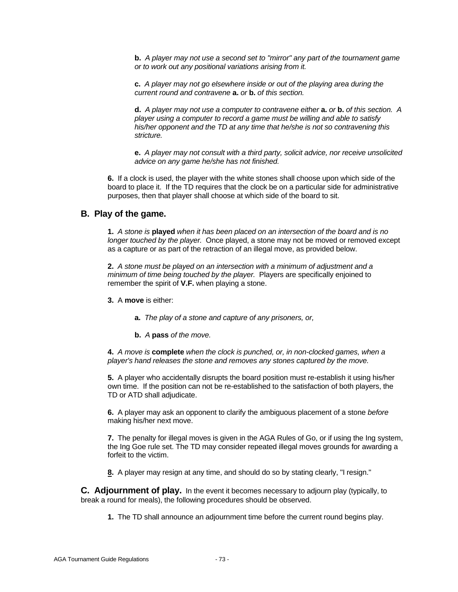**b.** *A player may not use a second set to "mirror" any part of the tournament game or to work out any positional variations arising from it.*

**c.** *A player may not go elsewhere inside or out of the playing area during the current round and contravene* **a.** *or* **b.** *of this section.*

**d.** *A player may not use a computer to contravene either* **a.** *or* **b.** *of this section. A player using a computer to record a game must be willing and able to satisfy his/her opponent and the TD at any time that he/she is not so contravening this stricture.*

**e.** *A player may not consult with a third party, solicit advice, nor receive unsolicited advice on any game he/she has not finished.*

**6.** If a clock is used, the player with the white stones shall choose upon which side of the board to place it. If the TD requires that the clock be on a particular side for administrative purposes, then that player shall choose at which side of the board to sit.

### **B. Play of the game.**

**1.** *A stone is* **played** *when it has been placed on an intersection of the board and is no longer touched by the player.* Once played, a stone may not be moved or removed except as a capture or as part of the retraction of an illegal move, as provided below.

**2.** *A stone must be played on an intersection with a minimum of adjustment and a minimum of time being touched by the player.* Players are specifically enjoined to remember the spirit of **V.F.** when playing a stone.

**3.** A **move** is either:

**a.** *The play of a stone and capture of any prisoners, or,*

**b.** *A* **pass** *of the move.*

**4.** *A move is* **complete** *when the clock is punched, or, in non-clocked games, when a player's hand releases the stone and removes any stones captured by the move.*

**5.** A player who accidentally disrupts the board position must re-establish it using his/her own time. If the position can not be re-established to the satisfaction of both players, the TD or ATD shall adjudicate.

**6.** A player may ask an opponent to clarify the ambiguous placement of a stone *before* making his/her next move.

**7.** The penalty for illegal moves is given in the AGA Rules of Go, or if using the Ing system, the Ing Goe rule set. The TD may consider repeated illegal moves grounds for awarding a forfeit to the victim.

**8.** A player may resign at any time, and should do so by stating clearly, "I resign."

**C. Adjournment of play.** In the event it becomes necessary to adjourn play (typically, to break a round for meals), the following procedures should be observed.

**1.** The TD shall announce an adjournment time before the current round begins play.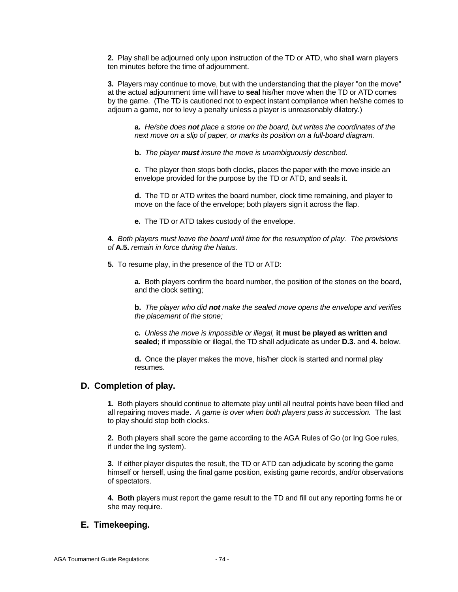**2.** Play shall be adjourned only upon instruction of the TD or ATD, who shall warn players ten minutes before the time of adjournment.

**3.** Players may continue to move, but with the understanding that the player "on the move" at the actual adjournment time will have to **seal** his/her move when the TD or ATD comes by the game. (The TD is cautioned not to expect instant compliance when he/she comes to adjourn a game, nor to levy a penalty unless a player is unreasonably dilatory.)

**a.** *He/she does not place a stone on the board, but writes the coordinates of the next move on a slip of paper, or marks its position on a full-board diagram.*

**b.** *The player must insure the move is unambiguously described.*

**c.** The player then stops both clocks, places the paper with the move inside an envelope provided for the purpose by the TD or ATD, and seals it.

**d.** The TD or ATD writes the board number, clock time remaining, and player to move on the face of the envelope; both players sign it across the flap.

**e.** The TD or ATD takes custody of the envelope.

**4.** *Both players must leave the board until time for the resumption of play. The provisions of* **A.5.** *remain in force during the hiatus.*

**5.** To resume play, in the presence of the TD or ATD:

**a.** Both players confirm the board number, the position of the stones on the board, and the clock setting;

**b.** *The player who did not make the sealed move opens the envelope and verifies the placement of the stone;*

**c.** *Unless the move is impossible or illegal,* **it must be played as written and sealed;** if impossible or illegal, the TD shall adjudicate as under **D.3.** and **4.** below.

**d.** Once the player makes the move, his/her clock is started and normal play resumes.

## **D. Completion of play.**

**1.** Both players should continue to alternate play until all neutral points have been filled and all repairing moves made. *A game is over when both players pass in succession.* The last to play should stop both clocks.

**2.** Both players shall score the game according to the AGA Rules of Go (or Ing Goe rules, if under the Ing system).

**3.** If either player disputes the result, the TD or ATD can adjudicate by scoring the game himself or herself, using the final game position, existing game records, and/or observations of spectators.

**4. Both** players must report the game result to the TD and fill out any reporting forms he or she may require.

## **E. Timekeeping.**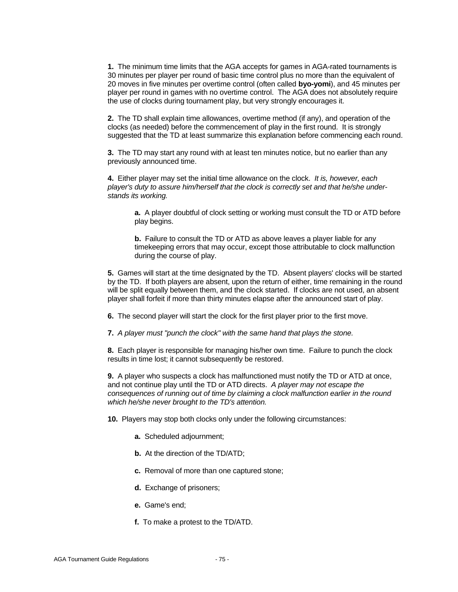**1.** The minimum time limits that the AGA accepts for games in AGA-rated tournaments is 30 minutes per player per round of basic time control plus no more than the equivalent of 20 moves in five minutes per overtime control (often called **byo-yomi**), and 45 minutes per player per round in games with no overtime control. The AGA does not absolutely require the use of clocks during tournament play, but very strongly encourages it.

**2.** The TD shall explain time allowances, overtime method (if any), and operation of the clocks (as needed) before the commencement of play in the first round. It is strongly suggested that the TD at least summarize this explanation before commencing each round.

**3.** The TD may start any round with at least ten minutes notice, but no earlier than any previously announced time.

**4.** Either player may set the initial time allowance on the clock. *It is, however, each player's duty to assure him/herself that the clock is correctly set and that he/she understands its working.*

**a.** A player doubtful of clock setting or working must consult the TD or ATD before play begins.

**b.** Failure to consult the TD or ATD as above leaves a player liable for any timekeeping errors that may occur, except those attributable to clock malfunction during the course of play.

**5.** Games will start at the time designated by the TD. Absent players' clocks will be started by the TD. If both players are absent, upon the return of either, time remaining in the round will be split equally between them, and the clock started. If clocks are not used, an absent player shall forfeit if more than thirty minutes elapse after the announced start of play.

**6.** The second player will start the clock for the first player prior to the first move.

**7.** *A player must "punch the clock" with the same hand that plays the stone.*

**8.** Each player is responsible for managing his/her own time. Failure to punch the clock results in time lost; it cannot subsequently be restored.

**9.** A player who suspects a clock has malfunctioned must notify the TD or ATD at once, and not continue play until the TD or ATD directs. *A player may not escape the consequences of running out of time by claiming a clock malfunction earlier in the round which he/she never brought to the TD's attention.*

**10.** Players may stop both clocks only under the following circumstances:

- **a.** Scheduled adjournment;
- **b.** At the direction of the TD/ATD;
- **c.** Removal of more than one captured stone;
- **d.** Exchange of prisoners;
- **e.** Game's end;
- **f.** To make a protest to the TD/ATD.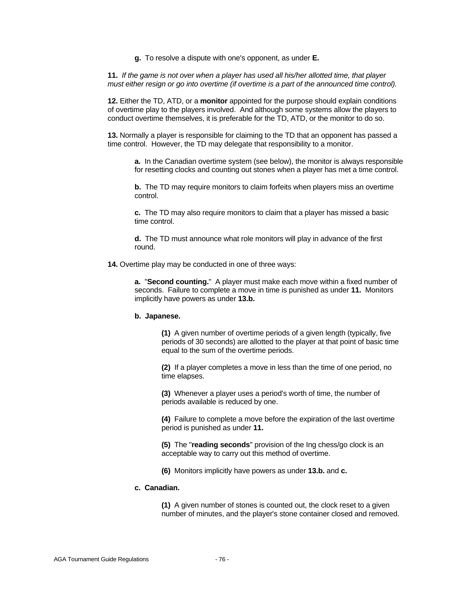**g.** To resolve a dispute with one's opponent, as under **E.**

**11.** *If the game is not over when a player has used all his/her allotted time, that player must either resign or go into overtime (if overtime is a part of the announced time control).*

**12.** Either the TD, ATD, or a **monitor** appointed for the purpose should explain conditions of overtime play to the players involved. And although some systems allow the players to conduct overtime themselves, it is preferable for the TD, ATD, or the monitor to do so.

**13.** Normally a player is responsible for claiming to the TD that an opponent has passed a time control. However, the TD may delegate that responsibility to a monitor.

**a.** In the Canadian overtime system (see below), the monitor is always responsible for resetting clocks and counting out stones when a player has met a time control.

**b.** The TD may require monitors to claim forfeits when players miss an overtime control.

**c.** The TD may also require monitors to claim that a player has missed a basic time control.

**d.** The TD must announce what role monitors will play in advance of the first round.

**14.** Overtime play may be conducted in one of three ways:

**a.** "**Second counting.**" A player must make each move within a fixed number of seconds. Failure to complete a move in time is punished as under **11.** Monitors implicitly have powers as under **13.b.**

#### **b. Japanese.**

**(1)** A given number of overtime periods of a given length (typically, five periods of 30 seconds) are allotted to the player at that point of basic time equal to the sum of the overtime periods.

**(2)** If a player completes a move in less than the time of one period, no time elapses.

**(3)** Whenever a player uses a period's worth of time, the number of periods available is reduced by one.

**(4)** Failure to complete a move before the expiration of the last overtime period is punished as under **11.**

**(5)** The "**reading seconds**" provision of the Ing chess/go clock is an acceptable way to carry out this method of overtime.

**(6)** Monitors implicitly have powers as under **13.b.** and **c.**

### **c. Canadian.**

**(1)** A given number of stones is counted out, the clock reset to a given number of minutes, and the player's stone container closed and removed.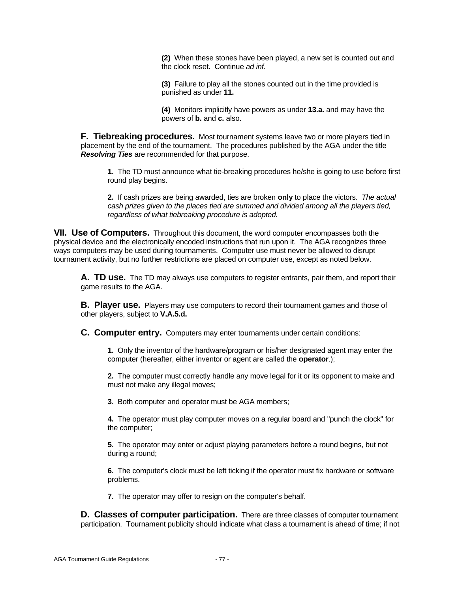**(2)** When these stones have been played, a new set is counted out and the clock reset. Continue *ad inf*.

**(3)** Failure to play all the stones counted out in the time provided is punished as under **11.**

**(4)** Monitors implicitly have powers as under **13.a.** and may have the powers of **b.** and **c.** also.

**F. Tiebreaking procedures.** Most tournament systems leave two or more players tied in placement by the end of the tournament. The procedures published by the AGA under the title *Resolving Ties* are recommended for that purpose.

**1.** The TD must announce what tie-breaking procedures he/she is going to use before first round play begins.

**2.** If cash prizes are being awarded, ties are broken **only** to place the victors. *The actual cash prizes given to the places tied are summed and divided among all the players tied, regardless of what tiebreaking procedure is adopted.*

**VII. Use of Computers.** Throughout this document, the word computer encompasses both the physical device and the electronically encoded instructions that run upon it. The AGA recognizes three ways computers may be used during tournaments. Computer use must never be allowed to disrupt tournament activity, but no further restrictions are placed on computer use, except as noted below.

**A. TD use.** The TD may always use computers to register entrants, pair them, and report their game results to the AGA.

**B. Player use.** Players may use computers to record their tournament games and those of other players, subject to **V.A.5.d.**

**C. Computer entry.** Computers may enter tournaments under certain conditions:

**1.** Only the inventor of the hardware/program or his/her designated agent may enter the computer (hereafter, either inventor or agent are called the **operator**.);

**2.** The computer must correctly handle any move legal for it or its opponent to make and must not make any illegal moves;

**3.** Both computer and operator must be AGA members;

**4.** The operator must play computer moves on a regular board and "punch the clock" for the computer;

**5.** The operator may enter or adjust playing parameters before a round begins, but not during a round;

**6.** The computer's clock must be left ticking if the operator must fix hardware or software problems.

**7.** The operator may offer to resign on the computer's behalf.

**D. Classes of computer participation.** There are three classes of computer tournament participation. Tournament publicity should indicate what class a tournament is ahead of time; if not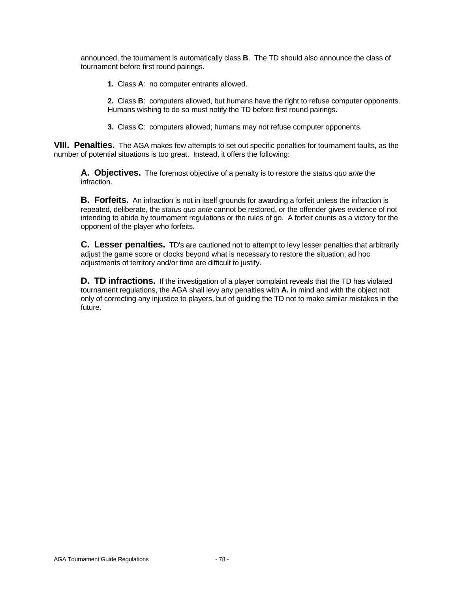announced, the tournament is automatically class **B**. The TD should also announce the class of tournament before first round pairings.

**1.** Class **A**: no computer entrants allowed.

**2.** Class **B**: computers allowed, but humans have the right to refuse computer opponents. Humans wishing to do so must notify the TD before first round pairings.

**3.** Class **C**: computers allowed; humans may not refuse computer opponents.

**VIII. Penalties.** The AGA makes few attempts to set out specific penalties for tournament faults, as the number of potential situations is too great. Instead, it offers the following:

**A. Objectives.** The foremost objective of a penalty is to restore the *status quo ante* the infraction.

**B. Forfeits.** An infraction is not in itself grounds for awarding a forfeit unless the infraction is repeated, deliberate, the *status quo ante* cannot be restored, or the offender gives evidence of not intending to abide by tournament regulations or the rules of go. A forfeit counts as a victory for the opponent of the player who forfeits.

**C. Lesser penalties.** TD's are cautioned not to attempt to levy lesser penalties that arbitrarily adjust the game score or clocks beyond what is necessary to restore the situation; ad hoc adjustments of territory and/or time are difficult to justify.

**D. TD infractions.** If the investigation of a player complaint reveals that the TD has violated tournament regulations, the AGA shall levy any penalties with **A.** in mind and with the object not only of correcting any injustice to players, but of guiding the TD not to make similar mistakes in the future.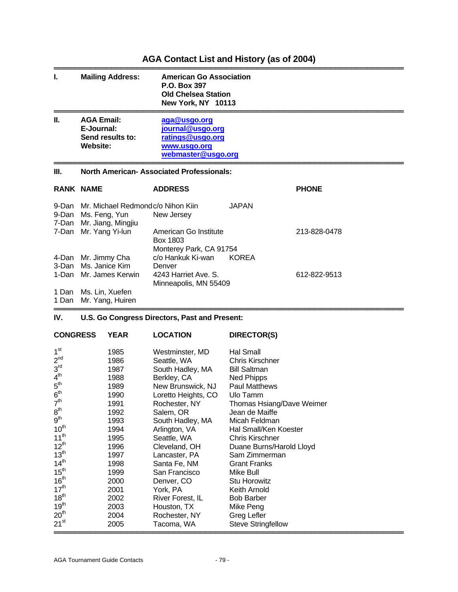## **AGA Contact List and History (as of 2004)**

| ı.    | <b>Mailing Address:</b>                                                                    | <b>American Go Association</b><br>P.O. Box 397<br><b>Old Chelsea Station</b><br>New York, NY 10113 |              |              |
|-------|--------------------------------------------------------------------------------------------|----------------------------------------------------------------------------------------------------|--------------|--------------|
| Ш.    | <b>AGA Email:</b><br>E-Journal:<br>Send results to:<br>Website:                            | aga@usgo.org<br>journal@usgo.org<br>ratings@usgo.org<br>www.usgo.org<br>webmaster@usgo.org         |              |              |
| Ш.    |                                                                                            | <b>North American- Associated Professionals:</b>                                                   |              |              |
|       | <b>RANK NAME</b>                                                                           | <b>ADDRESS</b>                                                                                     |              | <b>PHONE</b> |
|       | 9-Dan Mr. Michael Redmondc/o Nihon Kiin<br>9-Dan Ms. Feng, Yun<br>7-Dan Mr. Jiang, Mingjiu | New Jersey                                                                                         | <b>JAPAN</b> |              |
|       | 7-Dan Mr. Yang Yi-lun                                                                      | American Go Institute<br>Box 1803<br>Monterey Park, CA 91754                                       |              | 213-828-0478 |
| 3-Dan | 4-Dan Mr. Jimmy Cha<br>Ms. Janice Kim                                                      | c/o Hankuk Ki-wan<br>Denver                                                                        | <b>KOREA</b> |              |
|       | 1-Dan Mr. James Kerwin                                                                     | 4243 Harriet Ave. S.<br>Minneapolis, MN 55409                                                      |              | 612-822-9513 |
|       | 1 Dan Ms. Lin, Xuefen<br>4 Des Ma Vese Huis                                                |                                                                                                    |              |              |

═══════════════════════════════════════════════════════════════════

1 Dan Mr. Yang, Huiren

#### **IV. U.S. Go Congress Directors, Past and Present:**

| <b>CONGRESS</b>               | <b>YEAR</b> | <b>LOCATION</b>     | DIRECTOR(S)               |
|-------------------------------|-------------|---------------------|---------------------------|
| 1 <sup>st</sup>               | 1985        | Westminster, MD     | Hal Small                 |
| 2 <sup>nd</sup>               | 1986        | Seattle, WA         | <b>Chris Kirschner</b>    |
| 3 <sup>rd</sup>               | 1987        | South Hadley, MA    | <b>Bill Saltman</b>       |
| 4 <sup>th</sup>               | 1988        | Berkley, CA         | Ned Phipps                |
| $5^{\text{th}}$               | 1989        | New Brunswick, NJ   | <b>Paul Matthews</b>      |
| 6 <sup>th</sup>               | 1990        | Loretto Heights, CO | Ulo Tamm                  |
| 7 <sup>th</sup>               | 1991        | Rochester, NY       | Thomas Hsiang/Dave Weimer |
| 8 <sup>th</sup>               | 1992        | Salem, OR           | Jean de Maiffe            |
| 9 <sup>th</sup>               | 1993        | South Hadley, MA    | Micah Feldman             |
| 10 <sup>th</sup>              | 1994        | Arlington, VA       | Hal Small/Ken Koester     |
| 11 <sup>th</sup>              | 1995        | Seattle, WA         | Chris Kirschner           |
| $12^{th}$                     | 1996        | Cleveland, OH       | Duane Burns/Harold Lloyd  |
| 13 <sup>th</sup>              | 1997        | Lancaster, PA       | Sam Zimmerman             |
| 14 <sup>th</sup>              | 1998        | Santa Fe, NM        | <b>Grant Franks</b>       |
| $15^{th}$<br>16 <sup>th</sup> | 1999        | San Francisco       | Mike Bull                 |
|                               | 2000        | Denver, CO          | <b>Stu Horowitz</b>       |
| 17 <sup>th</sup>              | 2001        | York, PA            | Keith Arnold              |
| 18 <sup>th</sup>              | 2002        | River Forest, IL    | <b>Bob Barber</b>         |
| 19 <sup>th</sup>              | 2003        | Houston, TX         | Mike Peng                 |
| 20 <sup>th</sup>              | 2004        | Rochester, NY       | Greg Lefler               |
| $21^{st}$                     | 2005        | Tacoma, WA          | <b>Steve Stringfellow</b> |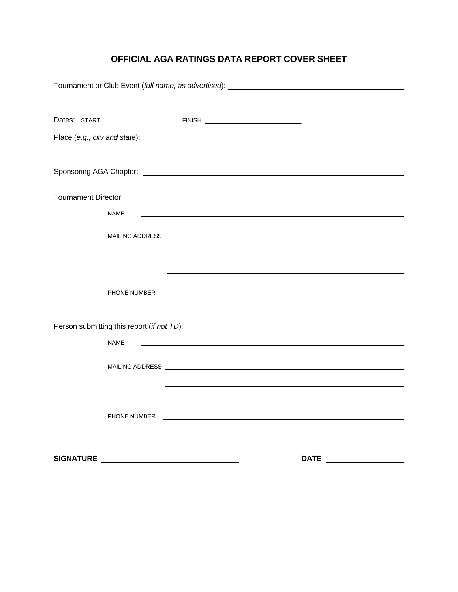## **OFFICIAL AGA RATINGS DATA REPORT COVER SHEET**

| <b>Tournament Director:</b>                |                                                                                                                                                                                                                                |
|--------------------------------------------|--------------------------------------------------------------------------------------------------------------------------------------------------------------------------------------------------------------------------------|
|                                            |                                                                                                                                                                                                                                |
| <b>NAME</b>                                |                                                                                                                                                                                                                                |
|                                            |                                                                                                                                                                                                                                |
|                                            |                                                                                                                                                                                                                                |
|                                            |                                                                                                                                                                                                                                |
|                                            |                                                                                                                                                                                                                                |
|                                            |                                                                                                                                                                                                                                |
| PHONE NUMBER                               |                                                                                                                                                                                                                                |
|                                            |                                                                                                                                                                                                                                |
|                                            |                                                                                                                                                                                                                                |
| Person submitting this report (if not TD): |                                                                                                                                                                                                                                |
|                                            |                                                                                                                                                                                                                                |
| <b>NAME</b>                                | <u> 1989 - Johann Barbara, martin amerikan basal dan berasal dan berasal dalam basal dalam basal dalam basal dala</u>                                                                                                          |
|                                            |                                                                                                                                                                                                                                |
|                                            | MAILING ADDRESS <b>WARDEN CONTROL</b>                                                                                                                                                                                          |
|                                            |                                                                                                                                                                                                                                |
|                                            |                                                                                                                                                                                                                                |
|                                            |                                                                                                                                                                                                                                |
|                                            | PHONE NUMBER THE RESIDENCE OF A STATE OF THE STATE OF THE STATE OF THE STATE OF THE STATE OF THE STATE OF THE STATE OF THE STATE OF THE STATE OF THE STATE OF THE STATE OF THE STATE OF THE STATE OF THE STATE OF THE STATE OF |
|                                            |                                                                                                                                                                                                                                |
|                                            |                                                                                                                                                                                                                                |
|                                            |                                                                                                                                                                                                                                |
|                                            | <b>DATE Example 20</b>                                                                                                                                                                                                         |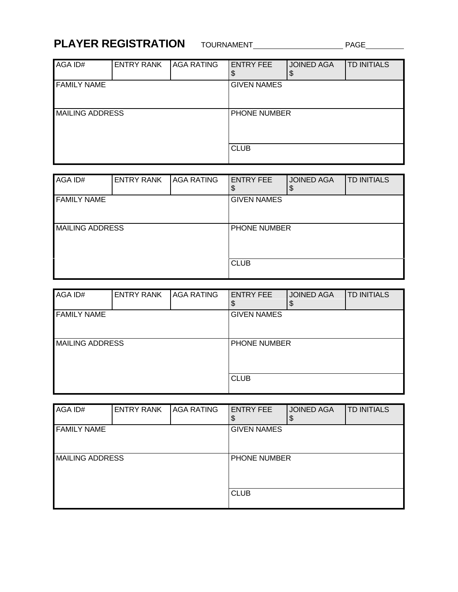# **PLAYER REGISTRATION** TOURNAMENT **PAGE**

| AGA ID#                | <b>ENTRY RANK</b> | <b>AGA RATING</b> | <b>ENTRY FEE</b>   | <b>JOINED AGA</b> | <b>TD INITIALS</b> |  |
|------------------------|-------------------|-------------------|--------------------|-------------------|--------------------|--|
| <b>FAMILY NAME</b>     |                   |                   | <b>GIVEN NAMES</b> |                   |                    |  |
| <b>MAILING ADDRESS</b> |                   |                   | PHONE NUMBER       |                   |                    |  |
|                        |                   |                   | <b>CLUB</b>        |                   |                    |  |

| AGA ID#                | <b>ENTRY RANK</b> | <b>AGA RATING</b> | <b>ENTRY FEE</b><br>\$ | <b>JOINED AGA</b><br>\$ | <b>TD INITIALS</b> |  |
|------------------------|-------------------|-------------------|------------------------|-------------------------|--------------------|--|
| <b>FAMILY NAME</b>     |                   |                   | <b>GIVEN NAMES</b>     |                         |                    |  |
| <b>MAILING ADDRESS</b> |                   |                   | <b>PHONE NUMBER</b>    |                         |                    |  |
|                        |                   |                   | <b>CLUB</b>            |                         |                    |  |

| AGA ID#                | <b>ENTRY RANK</b> | <b>AGA RATING</b> | <b>ENTRY FEE</b><br>\$ | <b>JOINED AGA</b><br>\$ | <b>TD INITIALS</b> |  |
|------------------------|-------------------|-------------------|------------------------|-------------------------|--------------------|--|
| <b>FAMILY NAME</b>     |                   |                   | <b>GIVEN NAMES</b>     |                         |                    |  |
| <b>MAILING ADDRESS</b> |                   |                   | PHONE NUMBER           |                         |                    |  |
|                        |                   |                   | <b>CLUB</b>            |                         |                    |  |

| AGA ID#                | <b>ENTRY RANK</b> | <b>AGA RATING</b> | <b>ENTRY FEE</b><br>\$ | <b>JOINED AGA</b><br>ъD | <b>TD INITIALS</b> |
|------------------------|-------------------|-------------------|------------------------|-------------------------|--------------------|
| <b>FAMILY NAME</b>     |                   |                   | <b>GIVEN NAMES</b>     |                         |                    |
| <b>MAILING ADDRESS</b> |                   |                   | PHONE NUMBER           |                         |                    |
|                        |                   |                   | <b>CLUB</b>            |                         |                    |